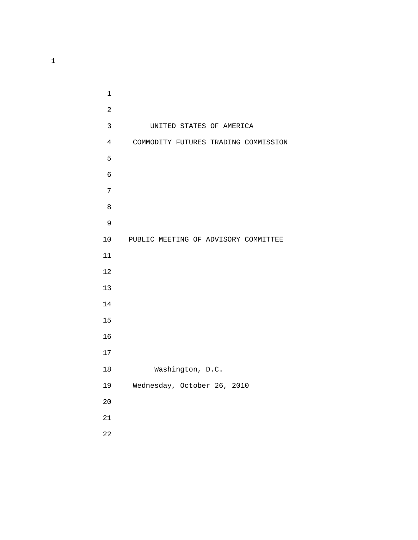3 UNITED STATES OF AMERICA 4 COMMODITY FUTURES TRADING COMMISSION  $5<sub>5</sub>$  10 PUBLIC MEETING OF ADVISORY COMMITTEE 18 Washington, D.C. 19 Wednesday, October 26, 2010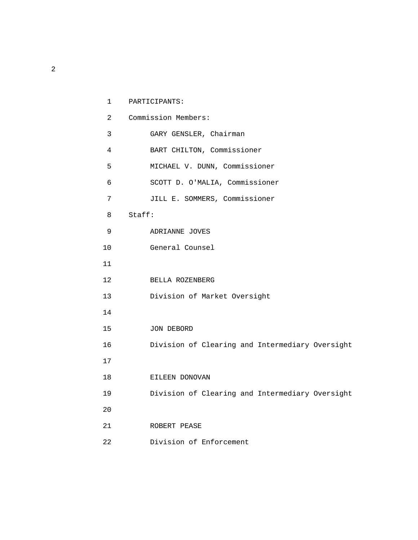| 1              | PARTICIPANTS:                                   |
|----------------|-------------------------------------------------|
| $\overline{2}$ | Commission Members:                             |
| 3              | GARY GENSLER, Chairman                          |
| 4              | BART CHILTON, Commissioner                      |
| 5              | MICHAEL V. DUNN, Commissioner                   |
| б              | SCOTT D. O'MALIA, Commissioner                  |
| 7              | JILL E. SOMMERS, Commissioner                   |
| 8              | Staff:                                          |
| 9              | ADRIANNE JOVES                                  |
| 10             | General Counsel                                 |
| 11             |                                                 |
| 12             | BELLA ROZENBERG                                 |
| 13             | Division of Market Oversight                    |
| 14             |                                                 |
| 15             | JON DEBORD                                      |
| 16             | Division of Clearing and Intermediary Oversight |
| 17             |                                                 |
| 18             | EILEEN DONOVAN                                  |
| 19             | Division of Clearing and Intermediary Oversight |
| 20             |                                                 |
| 21             | ROBERT PEASE                                    |
| 22             | Division of Enforcement                         |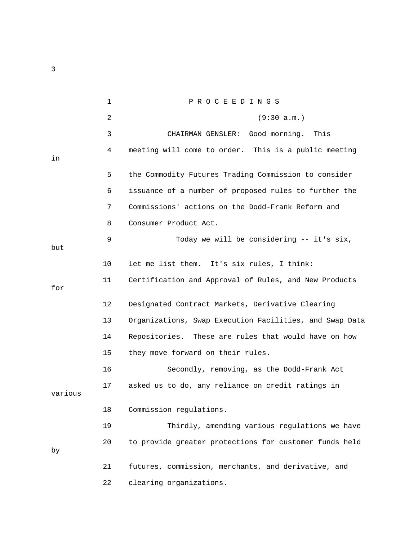1 P R O C E E D I N G S 2 (9:30 a.m.) 3 CHAIRMAN GENSLER: Good morning. This 4 meeting will come to order. This is a public meeting in 5 the Commodity Futures Trading Commission to consider 6 issuance of a number of proposed rules to further the 7 Commissions' actions on the Dodd-Frank Reform and 8 Consumer Product Act. 9 Today we will be considering -- it's six, but 10 let me list them. It's six rules, I think: 11 Certification and Approval of Rules, and New Products for 12 Designated Contract Markets, Derivative Clearing 13 Organizations, Swap Execution Facilities, and Swap Data 14 Repositories. These are rules that would have on how 15 they move forward on their rules. 16 Secondly, removing, as the Dodd-Frank Act 17 asked us to do, any reliance on credit ratings in various 18 Commission regulations. 19 Thirdly, amending various regulations we have 20 to provide greater protections for customer funds held by 21 futures, commission, merchants, and derivative, and 22 clearing organizations.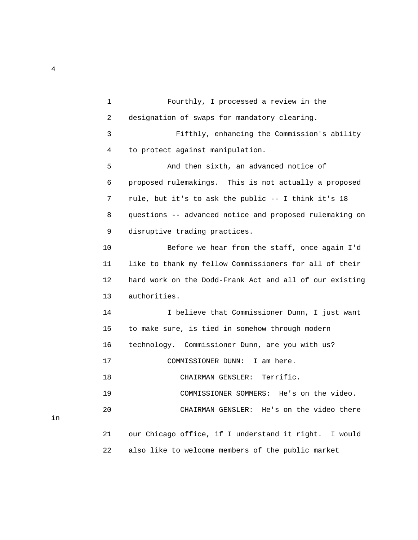1 Fourthly, I processed a review in the 2 designation of swaps for mandatory clearing. 3 Fifthly, enhancing the Commission's ability 4 to protect against manipulation. 5 And then sixth, an advanced notice of 6 proposed rulemakings. This is not actually a proposed 7 rule, but it's to ask the public -- I think it's 18 8 questions -- advanced notice and proposed rulemaking on 9 disruptive trading practices. 10 Before we hear from the staff, once again I'd 11 like to thank my fellow Commissioners for all of their 12 hard work on the Dodd-Frank Act and all of our existing 13 authorities. 14 I believe that Commissioner Dunn, I just want 15 to make sure, is tied in somehow through modern 16 technology. Commissioner Dunn, are you with us? 17 COMMISSIONER DUNN: I am here. 18 CHAIRMAN GENSLER: Terrific. 19 COMMISSIONER SOMMERS: He's on the video. 20 CHAIRMAN GENSLER: He's on the video there 21 our Chicago office, if I understand it right. I would 22 also like to welcome members of the public market

4

in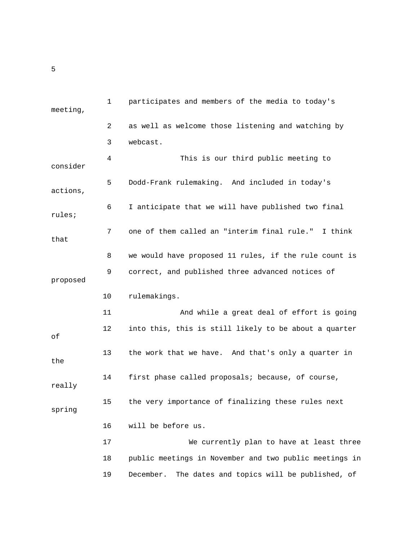| meeting, | 1  | participates and members of the media to today's        |
|----------|----|---------------------------------------------------------|
|          | 2  | as well as welcome those listening and watching by      |
|          | 3  | webcast.                                                |
| consider | 4  | This is our third public meeting to                     |
| actions, | 5  | Dodd-Frank rulemaking. And included in today's          |
| rules;   | 6  | I anticipate that we will have published two final      |
| that     | 7  | one of them called an "interim final rule." I think     |
|          | 8  | we would have proposed 11 rules, if the rule count is   |
| proposed | 9  | correct, and published three advanced notices of        |
|          | 10 | rulemakings.                                            |
|          | 11 | And while a great deal of effort is going               |
| оf       | 12 | into this, this is still likely to be about a quarter   |
| the      | 13 | the work that we have. And that's only a quarter in     |
| really   | 14 | first phase called proposals; because, of course,       |
| spring   | 15 | the very importance of finalizing these rules next      |
|          | 16 | will be before us.                                      |
|          | 17 | We currently plan to have at least three                |
|          | 18 | public meetings in November and two public meetings in  |
|          | 19 | The dates and topics will be published, of<br>December. |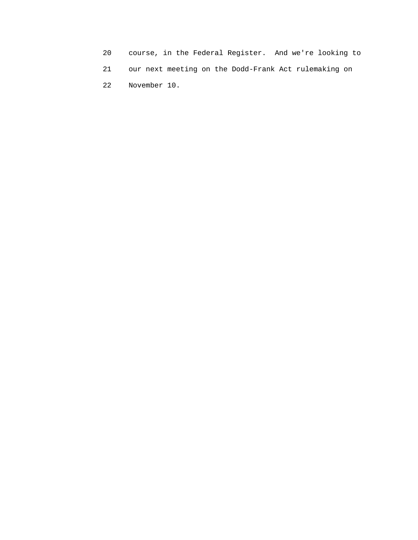20 course, in the Federal Register. And we're looking to 21 our next meeting on the Dodd-Frank Act rulemaking on 22 November 10.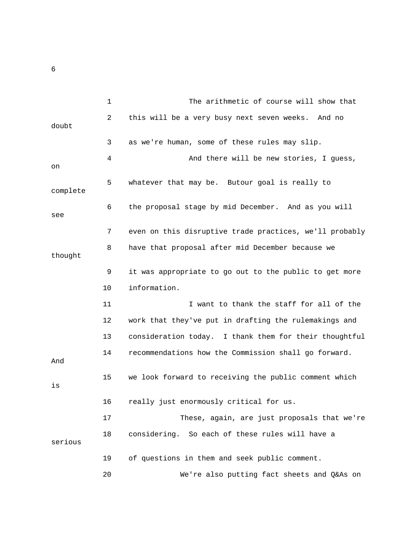|          | 1  | The arithmetic of course will show that                 |
|----------|----|---------------------------------------------------------|
| doubt    | 2  | this will be a very busy next seven weeks. And no       |
|          | 3  | as we're human, some of these rules may slip.           |
| on       | 4  | And there will be new stories, I guess,                 |
| complete | 5  | whatever that may be. Butour goal is really to          |
| see      | 6  | the proposal stage by mid December. And as you will     |
|          | 7  | even on this disruptive trade practices, we'll probably |
| thought  | 8  | have that proposal after mid December because we        |
|          | 9  | it was appropriate to go out to the public to get more  |
|          | 10 | information.                                            |
|          | 11 | I want to thank the staff for all of the                |
|          | 12 | work that they've put in drafting the rulemakings and   |
|          | 13 | consideration today. I thank them for their thoughtful  |
| And      | 14 | recommendations how the Commission shall go forward.    |
| is       | 15 | we look forward to receiving the public comment which   |
|          | 16 | really just enormously critical for us.                 |
|          | 17 | These, again, are just proposals that we're             |
| serious  | 18 | considering. So each of these rules will have a         |
|          | 19 | of questions in them and seek public comment.           |
|          | 20 | We're also putting fact sheets and Q&As on              |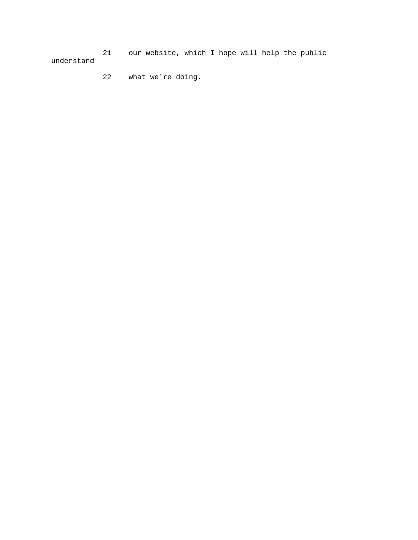21 our website, which I hope will help the public understand

22 what we're doing.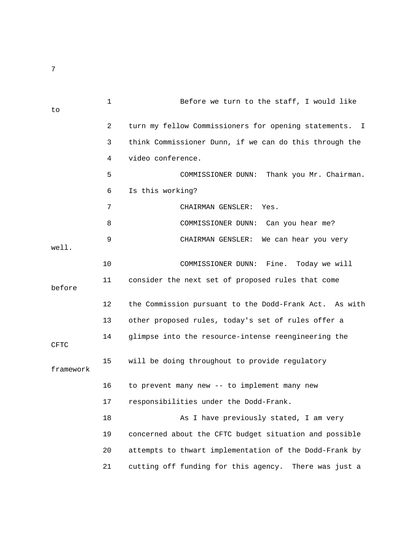1 Before we turn to the staff, I would like to 2 turn my fellow Commissioners for opening statements. I 3 think Commissioner Dunn, if we can do this through the 4 video conference. 5 COMMISSIONER DUNN: Thank you Mr. Chairman. 6 Is this working? 7 CHAIRMAN GENSLER: Yes. 8 COMMISSIONER DUNN: Can you hear me? 9 CHAIRMAN GENSLER: We can hear you very well. 10 COMMISSIONER DUNN: Fine. Today we will 11 consider the next set of proposed rules that come before 12 the Commission pursuant to the Dodd-Frank Act. As with 13 other proposed rules, today's set of rules offer a 14 glimpse into the resource-intense reengineering the CFTC 15 will be doing throughout to provide regulatory framework 16 to prevent many new -- to implement many new 17 responsibilities under the Dodd-Frank. 18 As I have previously stated, I am very 19 concerned about the CFTC budget situation and possible 20 attempts to thwart implementation of the Dodd-Frank by 21 cutting off funding for this agency. There was just a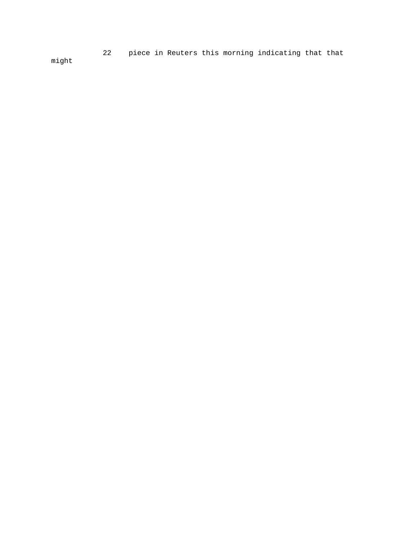22 piece in Reuters this morning indicating that that might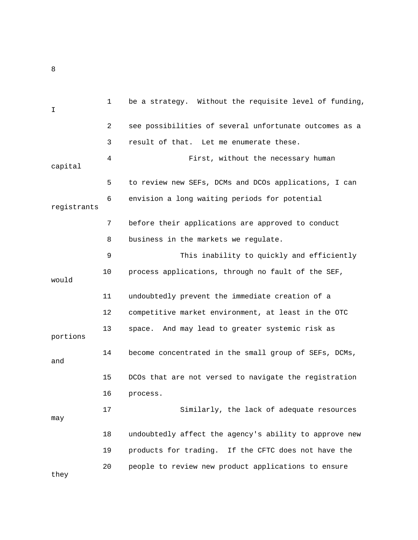| $\mathbf I$ | $\mathbf 1$ | be a strategy. Without the requisite level of funding, |
|-------------|-------------|--------------------------------------------------------|
|             | 2           | see possibilities of several unfortunate outcomes as a |
|             | 3           | result of that. Let me enumerate these.                |
| capital     | 4           | First, without the necessary human                     |
|             | 5           | to review new SEFs, DCMs and DCOs applications, I can  |
| registrants | 6           | envision a long waiting periods for potential          |
|             | 7           | before their applications are approved to conduct      |
|             | 8           | business in the markets we regulate.                   |
|             | 9           | This inability to quickly and efficiently              |
| would       | 10          | process applications, through no fault of the SEF,     |
|             | 11          | undoubtedly prevent the immediate creation of a        |
|             | 12          | competitive market environment, at least in the OTC    |
| portions    | 13          | And may lead to greater systemic risk as<br>space.     |
| and         | 14          | become concentrated in the small group of SEFs, DCMs,  |
|             | 15          | DCOs that are not versed to navigate the registration  |
|             | 16          | process.                                               |
| may         | 17          | Similarly, the lack of adequate resources              |
|             | 18          | undoubtedly affect the agency's ability to approve new |
|             | 19          | products for trading. If the CFTC does not have the    |
| they        | 20          | people to review new product applications to ensure    |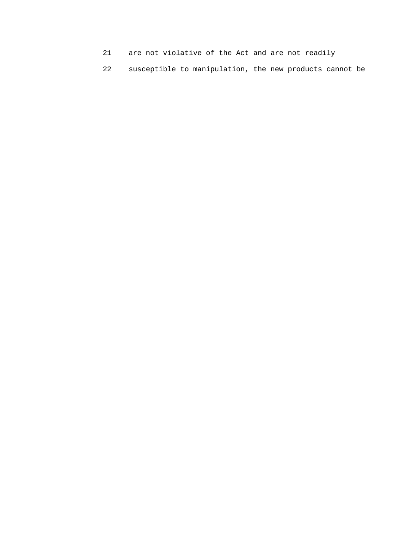- 21 are not violative of the Act and are not readily
- 22 susceptible to manipulation, the new products cannot be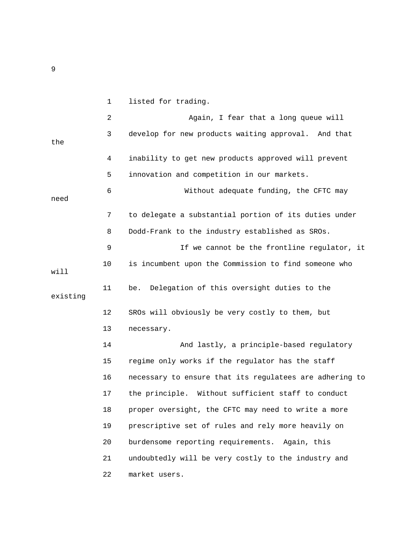1 listed for trading. 2 Again, I fear that a long queue will 3 develop for new products waiting approval. And that the 4 inability to get new products approved will prevent 5 innovation and competition in our markets. 6 Without adequate funding, the CFTC may need 7 to delegate a substantial portion of its duties under 8 Dodd-Frank to the industry established as SROs. 9 If we cannot be the frontline regulator, it 10 is incumbent upon the Commission to find someone who will 11 be. Delegation of this oversight duties to the existing 12 SROs will obviously be very costly to them, but 13 necessary. 14 And lastly, a principle-based regulatory 15 regime only works if the regulator has the staff 16 necessary to ensure that its regulatees are adhering to 17 the principle. Without sufficient staff to conduct 18 proper oversight, the CFTC may need to write a more 19 prescriptive set of rules and rely more heavily on 20 burdensome reporting requirements. Again, this 21 undoubtedly will be very costly to the industry and 22 market users.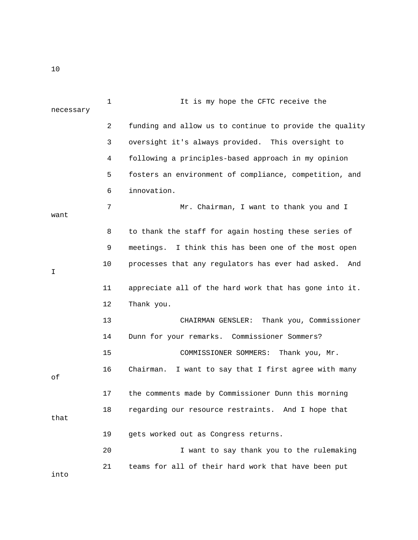| necessary | 1      | It is my hope the CFTC receive the                       |
|-----------|--------|----------------------------------------------------------|
|           | 2      | funding and allow us to continue to provide the quality  |
|           | 3      | oversight it's always provided. This oversight to        |
|           | 4      | following a principles-based approach in my opinion      |
|           | 5      | fosters an environment of compliance, competition, and   |
|           | 6      | innovation.                                              |
| want      | 7      | Mr. Chairman, I want to thank you and I                  |
|           | 8      | to thank the staff for again hosting these series of     |
|           | 9      | meetings. I think this has been one of the most open     |
| I.        | $10\,$ | processes that any regulators has ever had asked.<br>And |
|           | 11     | appreciate all of the hard work that has gone into it.   |
|           | 12     | Thank you.                                               |
|           | 13     | Thank you, Commissioner<br>CHAIRMAN GENSLER:             |
|           | 14     | Dunn for your remarks. Commissioner Sommers?             |
|           | 15     | COMMISSIONER SOMMERS: Thank you, Mr.                     |
| оf        | 16     | Chairman.<br>I want to say that I first agree with many  |
|           | 17     | the comments made by Commissioner Dunn this morning      |
| that      | 18     | regarding our resource restraints. And I hope that       |
|           | 19     | gets worked out as Congress returns.                     |
|           | 20     | I want to say thank you to the rulemaking                |
| into      | 21     | teams for all of their hard work that have been put      |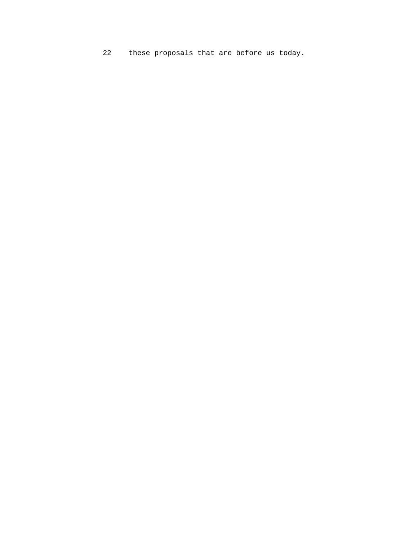22 these proposals that are before us today.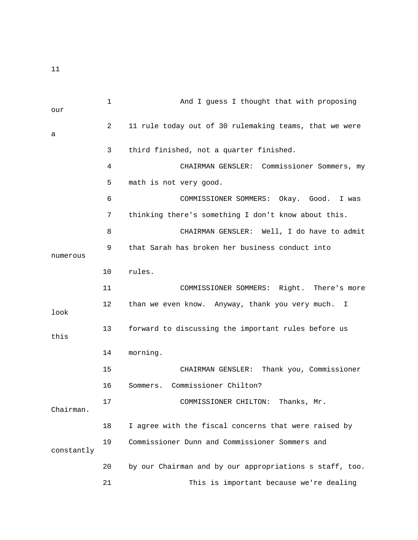1 And I guess I thought that with proposing our 2 11 rule today out of 30 rulemaking teams, that we were a 3 third finished, not a quarter finished. 4 CHAIRMAN GENSLER: Commissioner Sommers, my 5 math is not very good. 6 COMMISSIONER SOMMERS: Okay. Good. I was 7 thinking there's something I don't know about this. 8 CHAIRMAN GENSLER: Well, I do have to admit 9 that Sarah has broken her business conduct into numerous 10 rules. 11 COMMISSIONER SOMMERS: Right. There's more 12 than we even know. Anyway, thank you very much. I look 13 forward to discussing the important rules before us this 14 morning. 15 CHAIRMAN GENSLER: Thank you, Commissioner 16 Sommers. Commissioner Chilton? 17 COMMISSIONER CHILTON: Thanks, Mr. Chairman. 18 I agree with the fiscal concerns that were raised by 19 Commissioner Dunn and Commissioner Sommers and constantly 20 by our Chairman and by our appropriations s staff, too. 21 This is important because we're dealing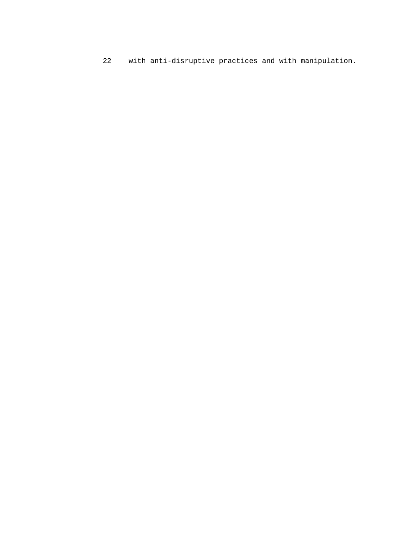22 with anti-disruptive practices and with manipulation.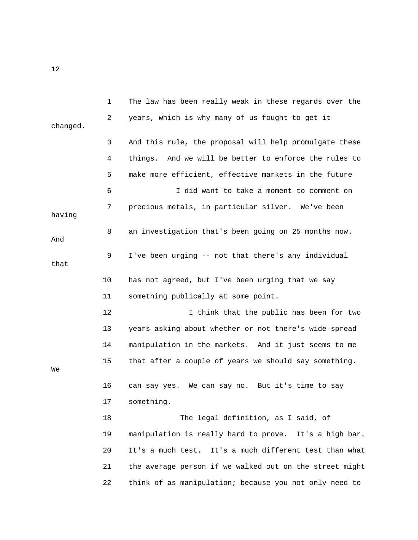1 The law has been really weak in these regards over the 2 years, which is why many of us fought to get it changed. 3 And this rule, the proposal will help promulgate these 4 things. And we will be better to enforce the rules to 5 make more efficient, effective markets in the future 6 I did want to take a moment to comment on 7 precious metals, in particular silver. We've been having 8 an investigation that's been going on 25 months now. And 9 I've been urging -- not that there's any individual that 10 has not agreed, but I've been urging that we say 11 something publically at some point. 12 I think that the public has been for two 13 years asking about whether or not there's wide-spread 14 manipulation in the markets. And it just seems to me 15 that after a couple of years we should say something. We 16 can say yes. We can say no. But it's time to say 17 something. 18 The legal definition, as I said, of 19 manipulation is really hard to prove. It's a high bar. 20 It's a much test. It's a much different test than what 21 the average person if we walked out on the street might 22 think of as manipulation; because you not only need to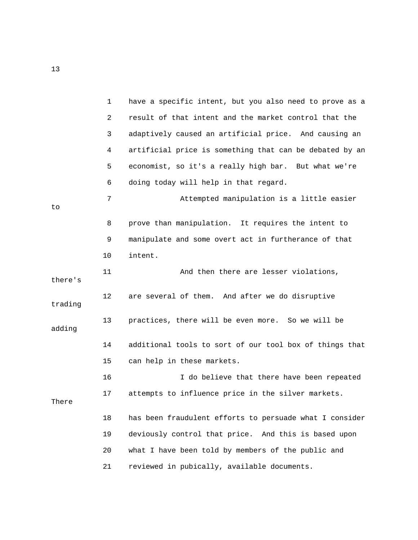|         | $\mathbf{1}$   | have a specific intent, but you also need to prove as a |
|---------|----------------|---------------------------------------------------------|
|         | $\overline{a}$ | result of that intent and the market control that the   |
|         | 3              | adaptively caused an artificial price. And causing an   |
|         | 4              | artificial price is something that can be debated by an |
|         | 5              | economist, so it's a really high bar. But what we're    |
|         | 6              | doing today will help in that regard.                   |
| to      | 7              | Attempted manipulation is a little easier               |
|         | 8              | prove than manipulation. It requires the intent to      |
|         | 9              | manipulate and some overt act in furtherance of that    |
|         | 10             | intent.                                                 |
| there's | 11             | And then there are lesser violations,                   |
| trading | 12             | are several of them. And after we do disruptive         |
| adding  | 13             | practices, there will be even more. So we will be       |
|         | 14             | additional tools to sort of our tool box of things that |
|         | 15             | can help in these markets.                              |
|         | 16             | I do believe that there have been repeated              |
| There   | 17             | attempts to influence price in the silver markets.      |
|         | 18             | has been fraudulent efforts to persuade what I consider |
|         | 19             | deviously control that price. And this is based upon    |
|         | 20             | what I have been told by members of the public and      |
|         | 21             | reviewed in pubically, available documents.             |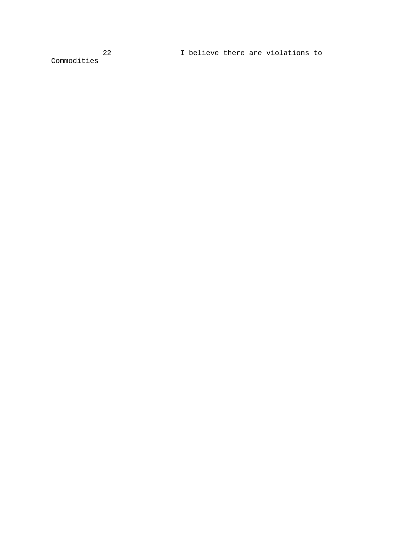Commodities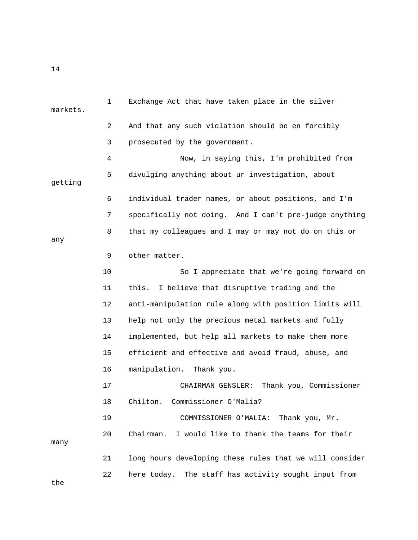| markets. | $\mathbf 1$ | Exchange Act that have taken place in the silver        |
|----------|-------------|---------------------------------------------------------|
|          | 2           | And that any such violation should be en forcibly       |
|          | 3           | prosecuted by the government.                           |
|          | 4           | Now, in saying this, I'm prohibited from                |
|          | 5           | divulging anything about ur investigation, about        |
| getting  |             |                                                         |
|          | 6           | individual trader names, or about positions, and I'm    |
|          | 7           | specifically not doing. And I can't pre-judge anything  |
| any      | 8           | that my colleagues and I may or may not do on this or   |
|          | 9           | other matter.                                           |
|          | 10          | So I appreciate that we're going forward on             |
|          | 11          | this.<br>I believe that disruptive trading and the      |
|          | 12          | anti-manipulation rule along with position limits will  |
|          | 13          | help not only the precious metal markets and fully      |
|          | 14          | implemented, but help all markets to make them more     |
|          | 15          | efficient and effective and avoid fraud, abuse, and     |
|          | 16          | manipulation.<br>Thank you.                             |
|          | 17          | Thank you, Commissioner<br>CHAIRMAN GENSLER:            |
|          | 18          | Chilton.<br>Commissioner O'Malia?                       |
|          | 19          | COMMISSIONER O'MALIA: Thank you, Mr.                    |
| many     | 20          | I would like to thank the teams for their<br>Chairman.  |
|          | 21          | long hours developing these rules that we will consider |
| the      | 22          | here today.<br>The staff has activity sought input from |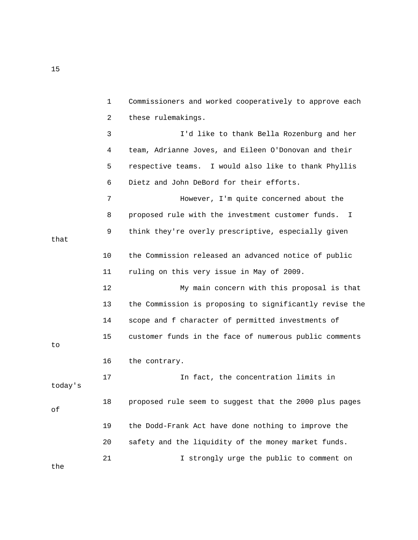1 Commissioners and worked cooperatively to approve each 2 these rulemakings. 3 I'd like to thank Bella Rozenburg and her 4 team, Adrianne Joves, and Eileen O'Donovan and their 5 respective teams. I would also like to thank Phyllis 6 Dietz and John DeBord for their efforts. 7 However, I'm quite concerned about the 8 proposed rule with the investment customer funds. I 9 think they're overly prescriptive, especially given that 10 the Commission released an advanced notice of public 11 ruling on this very issue in May of 2009. 12 My main concern with this proposal is that 13 the Commission is proposing to significantly revise the 14 scope and f character of permitted investments of 15 customer funds in the face of numerous public comments to 16 the contrary. 17 17 In fact, the concentration limits in today's 18 proposed rule seem to suggest that the 2000 plus pages of 19 the Dodd-Frank Act have done nothing to improve the 20 safety and the liquidity of the money market funds. 21 I strongly urge the public to comment on the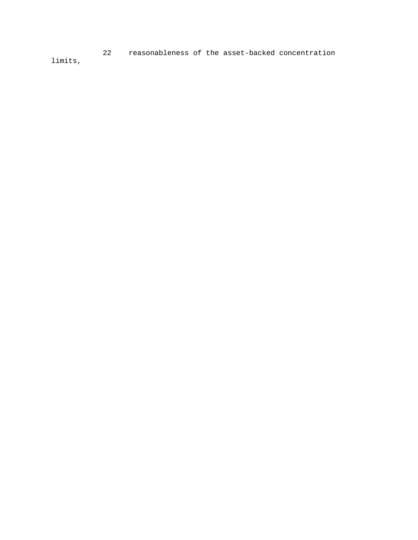22 reasonableness of the asset-backed concentration limits,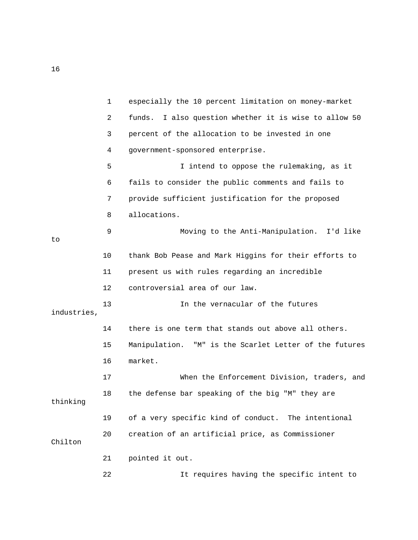|             | 1  | especially the 10 percent limitation on money-market     |
|-------------|----|----------------------------------------------------------|
|             | 2  | I also question whether it is wise to allow 50<br>funds. |
|             | 3  | percent of the allocation to be invested in one          |
|             | 4  | government-sponsored enterprise.                         |
|             | 5  | I intend to oppose the rulemaking, as it                 |
|             | 6  | fails to consider the public comments and fails to       |
|             | 7  | provide sufficient justification for the proposed        |
|             | 8  | allocations.                                             |
| to          | 9  | Moving to the Anti-Manipulation. I'd like                |
|             | 10 | thank Bob Pease and Mark Higgins for their efforts to    |
|             | 11 | present us with rules regarding an incredible            |
|             | 12 | controversial area of our law.                           |
|             | 13 | In the vernacular of the futures                         |
| industries, |    |                                                          |
|             | 14 | there is one term that stands out above all others.      |
|             | 15 | Manipulation. "M" is the Scarlet Letter of the futures   |
|             | 16 | market.                                                  |
|             | 17 | When the Enforcement Division, traders, and              |
| thinking    | 18 | the defense bar speaking of the big "M" they are         |
|             | 19 | of a very specific kind of conduct. The intentional      |
| Chilton     | 20 | creation of an artificial price, as Commissioner         |
|             | 21 | pointed it out.                                          |
|             | 22 | It requires having the specific intent to                |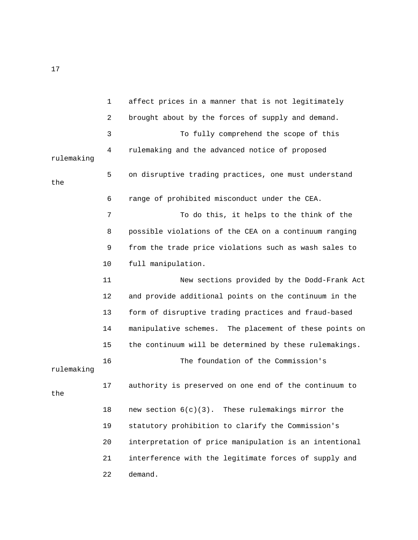1 affect prices in a manner that is not legitimately 2 brought about by the forces of supply and demand. 3 To fully comprehend the scope of this 4 rulemaking and the advanced notice of proposed rulemaking 5 on disruptive trading practices, one must understand the 6 range of prohibited misconduct under the CEA. 7 To do this, it helps to the think of the 8 possible violations of the CEA on a continuum ranging 9 from the trade price violations such as wash sales to 10 full manipulation. 11 New sections provided by the Dodd-Frank Act 12 and provide additional points on the continuum in the 13 form of disruptive trading practices and fraud-based 14 manipulative schemes. The placement of these points on 15 the continuum will be determined by these rulemakings. 16 The foundation of the Commission's rulemaking 17 authority is preserved on one end of the continuum to the 18 new section  $6(c)(3)$ . These rulemakings mirror the 19 statutory prohibition to clarify the Commission's 20 interpretation of price manipulation is an intentional 21 interference with the legitimate forces of supply and 22 demand.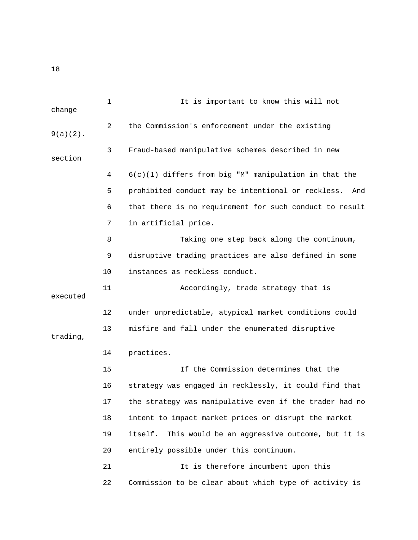1 It is important to know this will not change 2 the Commission's enforcement under the existing 9(a)(2). 3 Fraud-based manipulative schemes described in new section 4 6(c)(1) differs from big "M" manipulation in that the 5 prohibited conduct may be intentional or reckless. And 6 that there is no requirement for such conduct to result 7 in artificial price. 8 Taking one step back along the continuum, 9 disruptive trading practices are also defined in some 10 instances as reckless conduct. 11 Accordingly, trade strategy that is executed 12 under unpredictable, atypical market conditions could 13 misfire and fall under the enumerated disruptive trading, 14 practices. 15 If the Commission determines that the 16 strategy was engaged in recklessly, it could find that 17 the strategy was manipulative even if the trader had no 18 intent to impact market prices or disrupt the market 19 itself. This would be an aggressive outcome, but it is 20 entirely possible under this continuum. 21 11 It is therefore incumbent upon this 22 Commission to be clear about which type of activity is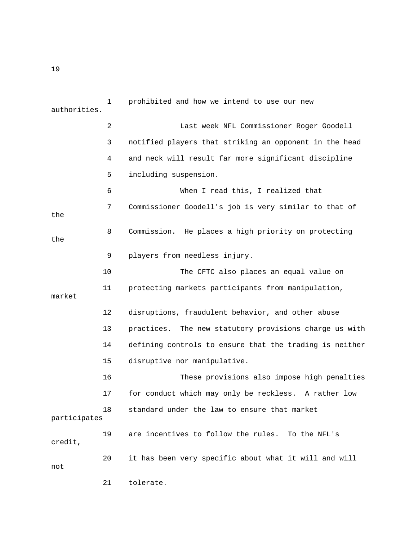1 prohibited and how we intend to use our new authorities. 2 Last week NFL Commissioner Roger Goodell 3 notified players that striking an opponent in the head 4 and neck will result far more significant discipline 5 including suspension. 6 When I read this, I realized that 7 Commissioner Goodell's job is very similar to that of the 8 Commission. He places a high priority on protecting the 9 players from needless injury. 10 The CFTC also places an equal value on 11 protecting markets participants from manipulation, market 12 disruptions, fraudulent behavior, and other abuse 13 practices. The new statutory provisions charge us with 14 defining controls to ensure that the trading is neither 15 disruptive nor manipulative. 16 These provisions also impose high penalties 17 for conduct which may only be reckless. A rather low 18 standard under the law to ensure that market participates 19 are incentives to follow the rules. To the NFL's credit, 20 it has been very specific about what it will and will not 21 tolerate.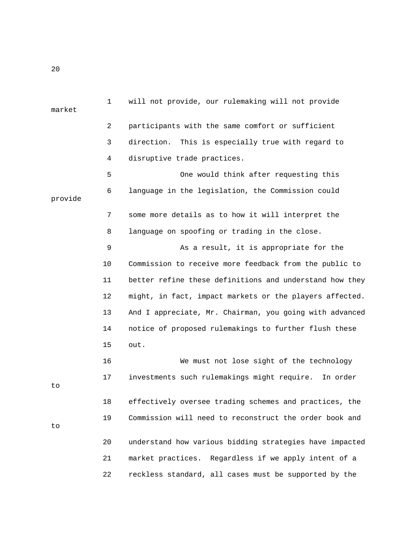1 will not provide, our rulemaking will not provide market 2 participants with the same comfort or sufficient 3 direction. This is especially true with regard to 4 disruptive trade practices. 5 One would think after requesting this 6 language in the legislation, the Commission could provide 7 some more details as to how it will interpret the 8 language on spoofing or trading in the close. 9 As a result, it is appropriate for the 10 Commission to receive more feedback from the public to 11 better refine these definitions and understand how they 12 might, in fact, impact markets or the players affected. 13 And I appreciate, Mr. Chairman, you going with advanced 14 notice of proposed rulemakings to further flush these 15 out. 16 We must not lose sight of the technology 17 investments such rulemakings might require. In order to 18 effectively oversee trading schemes and practices, the 19 Commission will need to reconstruct the order book and to 20 understand how various bidding strategies have impacted 21 market practices. Regardless if we apply intent of a 22 reckless standard, all cases must be supported by the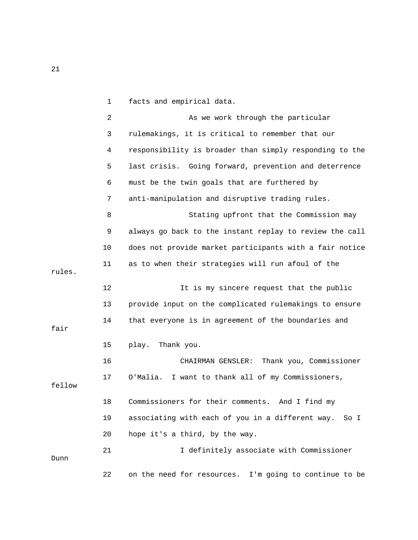|        | $\mathbf{1}$ | facts and empirical data.                                |
|--------|--------------|----------------------------------------------------------|
|        | 2            | As we work through the particular                        |
|        | 3            | rulemakings, it is critical to remember that our         |
|        | 4            | responsibility is broader than simply responding to the  |
|        | 5            | last crisis. Going forward, prevention and deterrence    |
|        | 6            | must be the twin goals that are furthered by             |
|        | 7            | anti-manipulation and disruptive trading rules.          |
|        | 8            | Stating upfront that the Commission may                  |
|        | 9            | always go back to the instant replay to review the call  |
|        | 10           | does not provide market participants with a fair notice  |
| rules. | 11           | as to when their strategies will run afoul of the        |
|        | 12           | It is my sincere request that the public                 |
|        | 13           | provide input on the complicated rulemakings to ensure   |
| fair   | 14           | that everyone is in agreement of the boundaries and      |
|        | 15           | play.<br>Thank you.                                      |
|        | 16           | Thank you, Commissioner<br>CHAIRMAN GENSLER:             |
| fellow | 17           | I want to thank all of my Commissioners,<br>O'Malia.     |
|        | 18           | Commissioners for their comments. And I find my          |
|        | 19           | associating with each of you in a different way.<br>So I |
|        | 20           | hope it's a third, by the way.                           |
| Dunn   | 21           | I definitely associate with Commissioner                 |
|        | 22           | on the need for resources. I'm going to continue to be   |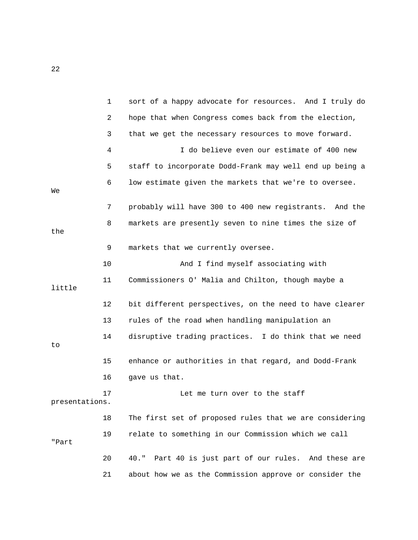|                | $\mathbf{1}$ | sort of a happy advocate for resources. And I truly do   |
|----------------|--------------|----------------------------------------------------------|
|                | 2            | hope that when Congress comes back from the election,    |
|                | 3            | that we get the necessary resources to move forward.     |
|                | 4            | I do believe even our estimate of 400 new                |
|                | 5            | staff to incorporate Dodd-Frank may well end up being a  |
| Wе             | 6            | low estimate given the markets that we're to oversee.    |
|                | 7            | probably will have 300 to 400 new registrants. And the   |
| the            | 8            | markets are presently seven to nine times the size of    |
|                | 9            | markets that we currently oversee.                       |
|                | 10           | And I find myself associating with                       |
| little         | 11           | Commissioners O' Malia and Chilton, though maybe a       |
|                | 12           | bit different perspectives, on the need to have clearer  |
|                | 13           | rules of the road when handling manipulation an          |
| to             | 14           | disruptive trading practices. I do think that we need    |
|                | 15           | enhance or authorities in that regard, and Dodd-Frank    |
|                | 16           | gave us that.                                            |
| presentations. | 17           | Let me turn over to the staff                            |
|                | 18           | The first set of proposed rules that we are considering  |
| "Part          | 19           | relate to something in our Commission which we call      |
|                | 20           | Part 40 is just part of our rules. And these are<br>40." |
|                | 21           | about how we as the Commission approve or consider the   |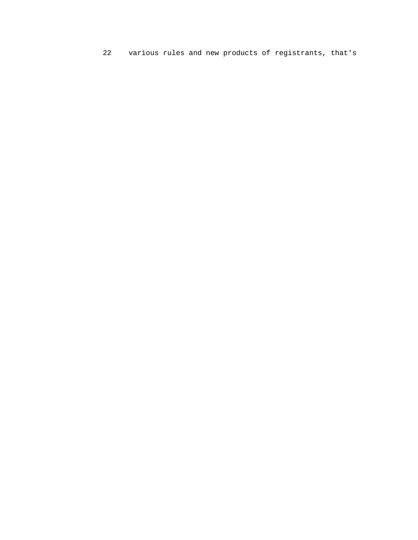22 various rules and new products of registrants, that's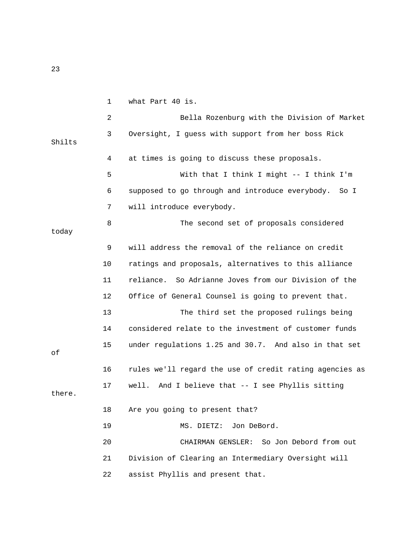1 what Part 40 is. 2 Bella Rozenburg with the Division of Market 3 Oversight, I guess with support from her boss Rick Shilts 4 at times is going to discuss these proposals. 5 With that I think I might -- I think I'm 6 supposed to go through and introduce everybody. So I 7 will introduce everybody. 8 The second set of proposals considered today 9 will address the removal of the reliance on credit 10 ratings and proposals, alternatives to this alliance 11 reliance. So Adrianne Joves from our Division of the 12 Office of General Counsel is going to prevent that. 13 The third set the proposed rulings being 14 considered relate to the investment of customer funds 15 under regulations 1.25 and 30.7. And also in that set of 16 rules we'll regard the use of credit rating agencies as 17 well. And I believe that -- I see Phyllis sitting there. 18 Are you going to present that? 19 MS. DIETZ: Jon DeBord. 20 CHAIRMAN GENSLER: So Jon Debord from out 21 Division of Clearing an Intermediary Oversight will 22 assist Phyllis and present that.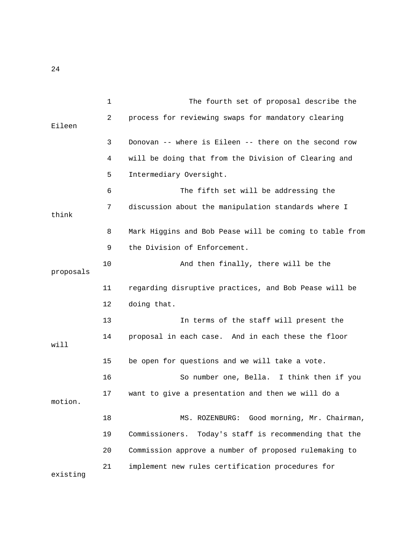1 The fourth set of proposal describe the 2 process for reviewing swaps for mandatory clearing Eileen 3 Donovan -- where is Eileen -- there on the second row 4 will be doing that from the Division of Clearing and 5 Intermediary Oversight. 6 The fifth set will be addressing the 7 discussion about the manipulation standards where I think 8 Mark Higgins and Bob Pease will be coming to table from 9 the Division of Enforcement. 10 And then finally, there will be the proposals 11 regarding disruptive practices, and Bob Pease will be 12 doing that. 13 In terms of the staff will present the 14 proposal in each case. And in each these the floor will 15 be open for questions and we will take a vote. 16 So number one, Bella. I think then if you 17 want to give a presentation and then we will do a motion. 18 MS. ROZENBURG: Good morning, Mr. Chairman, 19 Commissioners. Today's staff is recommending that the 20 Commission approve a number of proposed rulemaking to 21 implement new rules certification procedures for existing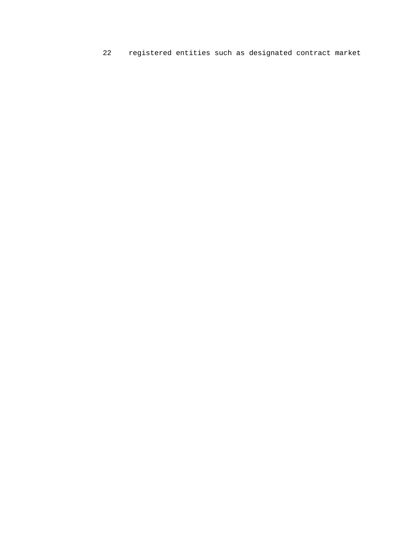22 registered entities such as designated contract market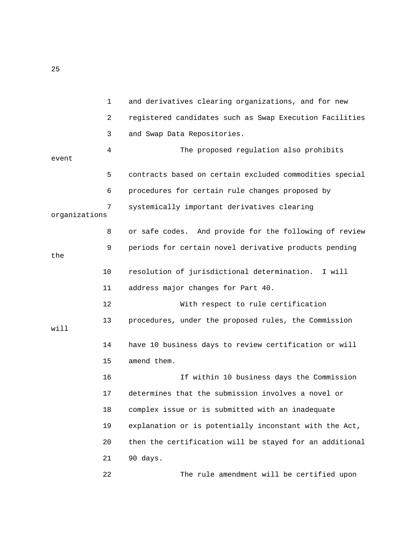1 and derivatives clearing organizations, and for new 2 registered candidates such as Swap Execution Facilities 3 and Swap Data Repositories. 4 The proposed regulation also prohibits event 5 contracts based on certain excluded commodities special 6 procedures for certain rule changes proposed by 7 systemically important derivatives clearing organizations 8 or safe codes. And provide for the following of review 9 periods for certain novel derivative products pending the 10 resolution of jurisdictional determination. I will 11 address major changes for Part 40. 12 With respect to rule certification 13 procedures, under the proposed rules, the Commission will 14 have 10 business days to review certification or will 15 amend them. 16 If within 10 business days the Commission 17 determines that the submission involves a novel or 18 complex issue or is submitted with an inadequate 19 explanation or is potentially inconstant with the Act, 20 then the certification will be stayed for an additional 21 90 days. 22 The rule amendment will be certified upon

25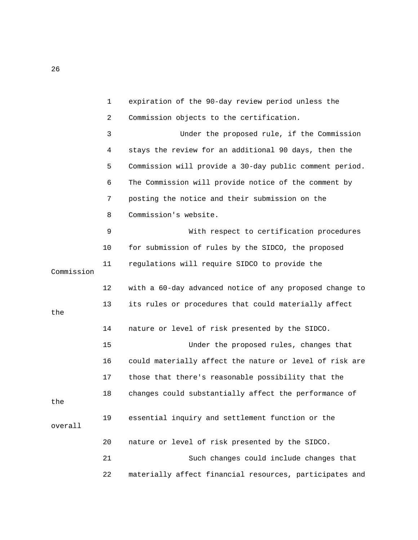|            | $\mathbf{1}$ | expiration of the 90-day review period unless the       |
|------------|--------------|---------------------------------------------------------|
|            | 2            | Commission objects to the certification.                |
|            | 3            | Under the proposed rule, if the Commission              |
|            | 4            | stays the review for an additional 90 days, then the    |
|            | 5            | Commission will provide a 30-day public comment period. |
|            | 6            | The Commission will provide notice of the comment by    |
|            | 7            | posting the notice and their submission on the          |
|            | 8            | Commission's website.                                   |
|            | 9            | With respect to certification procedures                |
|            | 10           | for submission of rules by the SIDCO, the proposed      |
| Commission | 11           | regulations will require SIDCO to provide the           |
|            | 12           | with a 60-day advanced notice of any proposed change to |
| the        | 13           | its rules or procedures that could materially affect    |
|            | 14           | nature or level of risk presented by the SIDCO.         |
|            | 15           | Under the proposed rules, changes that                  |
|            | 16           | could materially affect the nature or level of risk are |
|            | 17           | those that there's reasonable possibility that the      |
| the        | 18           | changes could substantially affect the performance of   |
| overall    | 19           | essential inquiry and settlement function or the        |
|            | 20           | nature or level of risk presented by the SIDCO.         |
|            | 21           | Such changes could include changes that                 |
|            | 22           | materially affect financial resources, participates and |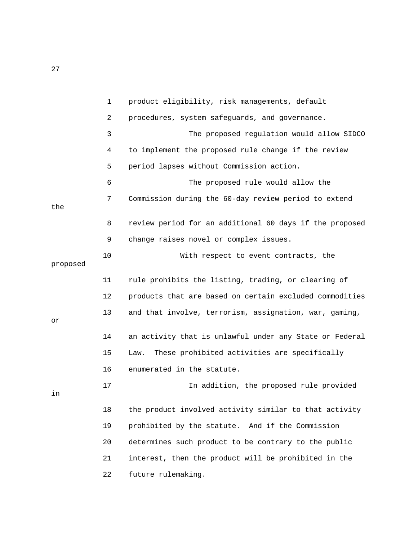|          | $\mathbf 1$ | product eligibility, risk managements, default          |
|----------|-------------|---------------------------------------------------------|
|          | 2           | procedures, system safeguards, and governance.          |
|          | 3           | The proposed regulation would allow SIDCO               |
|          | 4           | to implement the proposed rule change if the review     |
|          | 5           | period lapses without Commission action.                |
|          | 6           | The proposed rule would allow the                       |
| the      | 7           | Commission during the 60-day review period to extend    |
|          | 8           | review period for an additional 60 days if the proposed |
|          | 9           | change raises novel or complex issues.                  |
| proposed | 10          | With respect to event contracts, the                    |
|          | 11          | rule prohibits the listing, trading, or clearing of     |
|          | 12          | products that are based on certain excluded commodities |
| or       | 13          | and that involve, terrorism, assignation, war, gaming,  |
|          | 14          | an activity that is unlawful under any State or Federal |
|          | 15          | These prohibited activities are specifically<br>Law.    |
|          | 16          | enumerated in the statute.                              |
| in       | 17          | In addition, the proposed rule provided                 |
|          | 18          | the product involved activity similar to that activity  |
|          | 19          | prohibited by the statute. And if the Commission        |
|          | 20          | determines such product to be contrary to the public    |
|          | 21          | interest, then the product will be prohibited in the    |
|          | 22          | future rulemaking.                                      |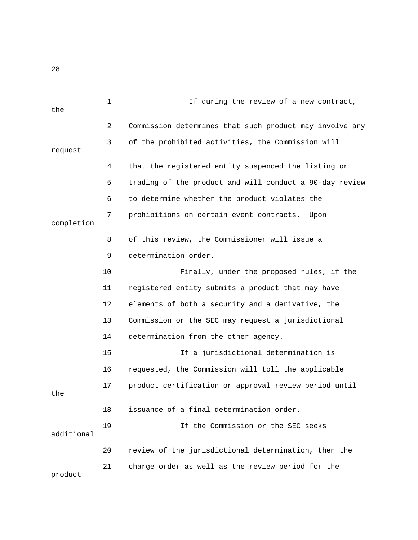| the        | 1  | If during the review of a new contract,                 |
|------------|----|---------------------------------------------------------|
|            | 2  | Commission determines that such product may involve any |
| request    | 3  | of the prohibited activities, the Commission will       |
|            | 4  | that the registered entity suspended the listing or     |
|            | 5  | trading of the product and will conduct a 90-day review |
|            | 6  | to determine whether the product violates the           |
| completion | 7  | prohibitions on certain event contracts.<br>Upon        |
|            | 8  | of this review, the Commissioner will issue a           |
|            | 9  | determination order.                                    |
|            | 10 | Finally, under the proposed rules, if the               |
|            | 11 | registered entity submits a product that may have       |
|            | 12 | elements of both a security and a derivative, the       |
|            | 13 | Commission or the SEC may request a jurisdictional      |
|            | 14 | determination from the other agency.                    |
|            | 15 | If a jurisdictional determination is                    |
|            | 16 | requested, the Commission will toll the applicable      |
| the        | 17 | product certification or approval review period until   |
|            | 18 | issuance of a final determination order.                |
| additional | 19 | If the Commission or the SEC seeks                      |
|            | 20 | review of the jurisdictional determination, then the    |
| product    | 21 | charge order as well as the review period for the       |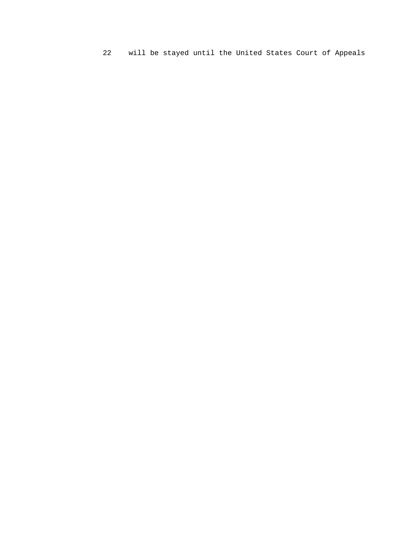22 will be stayed until the United States Court of Appeals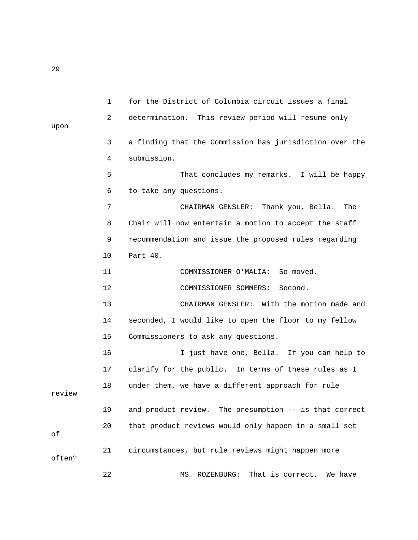1 for the District of Columbia circuit issues a final 2 determination. This review period will resume only upon 3 a finding that the Commission has jurisdiction over the 4 submission. 5 That concludes my remarks. I will be happy 6 to take any questions. 7 CHAIRMAN GENSLER: Thank you, Bella. The 8 Chair will now entertain a motion to accept the staff 9 recommendation and issue the proposed rules regarding 10 Part 40. 11 COMMISSIONER O'MALIA: So moved. 12 COMMISSIONER SOMMERS: Second. 13 CHAIRMAN GENSLER: With the motion made and 14 seconded, I would like to open the floor to my fellow 15 Commissioners to ask any questions. 16 I just have one, Bella. If you can help to 17 clarify for the public. In terms of these rules as I 18 under them, we have a different approach for rule review 19 and product review. The presumption -- is that correct 20 that product reviews would only happen in a small set of 21 circumstances, but rule reviews might happen more often? 22 MS. ROZENBURG: That is correct. We have

29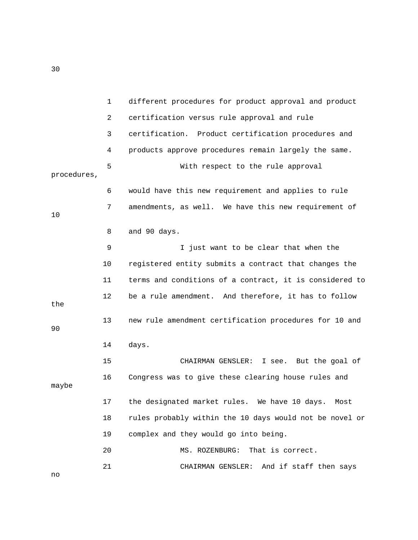|             | $\mathbf 1$ | different procedures for product approval and product   |
|-------------|-------------|---------------------------------------------------------|
|             | 2           | certification versus rule approval and rule             |
|             | 3           | certification. Product certification procedures and     |
|             | 4           | products approve procedures remain largely the same.    |
| procedures, | 5           | With respect to the rule approval                       |
|             | 6           | would have this new requirement and applies to rule     |
| 10          | 7           | amendments, as well. We have this new requirement of    |
|             | 8           | and 90 days.                                            |
|             | 9           | I just want to be clear that when the                   |
|             | 10          | registered entity submits a contract that changes the   |
|             | 11          | terms and conditions of a contract, it is considered to |
| the         | 12          | be a rule amendment. And therefore, it has to follow    |
| 90          | 13          | new rule amendment certification procedures for 10 and  |
|             | 14          | days.                                                   |
|             | 15          | I see. But the goal of<br>CHAIRMAN GENSLER:             |
| maybe       | 16          | Congress was to give these clearing house rules and     |
|             | 17          | the designated market rules. We have 10 days. Most      |
|             | 18          | rules probably within the 10 days would not be novel or |
|             | 19          | complex and they would go into being.                   |
|             | 20          | That is correct.<br>MS. ROZENBURG:                      |
|             | 21          | And if staff then says<br>CHAIRMAN GENSLER:             |

30

no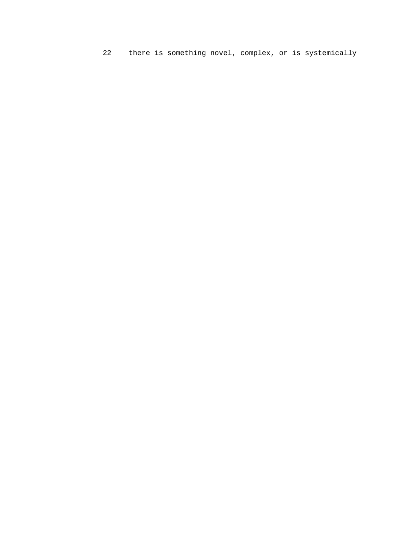22 there is something novel, complex, or is systemically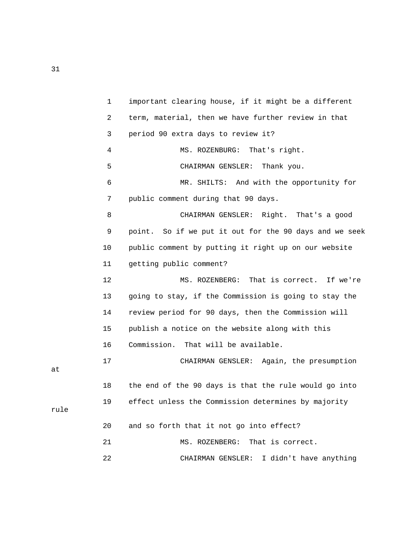1 important clearing house, if it might be a different 2 term, material, then we have further review in that 3 period 90 extra days to review it? 4 MS. ROZENBURG: That's right. 5 CHAIRMAN GENSLER: Thank you. 6 MR. SHILTS: And with the opportunity for 7 public comment during that 90 days. 8 CHAIRMAN GENSLER: Right. That's a good 9 point. So if we put it out for the 90 days and we seek 10 public comment by putting it right up on our website 11 getting public comment? 12 MS. ROZENBERG: That is correct. If we're 13 going to stay, if the Commission is going to stay the 14 review period for 90 days, then the Commission will 15 publish a notice on the website along with this 16 Commission. That will be available. 17 CHAIRMAN GENSLER: Again, the presumption 18 the end of the 90 days is that the rule would go into 19 effect unless the Commission determines by majority 20 and so forth that it not go into effect? 21 MS. ROZENBERG: That is correct. 22 CHAIRMAN GENSLER: I didn't have anything

31

at

rule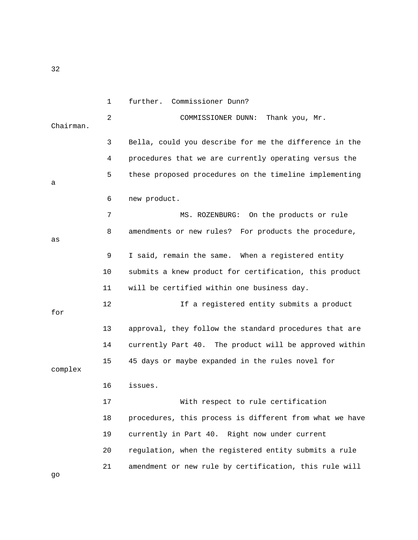1 further. Commissioner Dunn? 2 COMMISSIONER DUNN: Thank you, Mr. Chairman. 3 Bella, could you describe for me the difference in the 4 procedures that we are currently operating versus the 5 these proposed procedures on the timeline implementing a 6 new product. 7 MS. ROZENBURG: On the products or rule 8 amendments or new rules? For products the procedure, as 9 I said, remain the same. When a registered entity 10 submits a knew product for certification, this product 11 will be certified within one business day. 12 12 If a registered entity submits a product for 13 approval, they follow the standard procedures that are 14 currently Part 40. The product will be approved within 15 45 days or maybe expanded in the rules novel for complex 16 issues. 17 With respect to rule certification 18 procedures, this process is different from what we have 19 currently in Part 40. Right now under current 20 regulation, when the registered entity submits a rule 21 amendment or new rule by certification, this rule will

32

go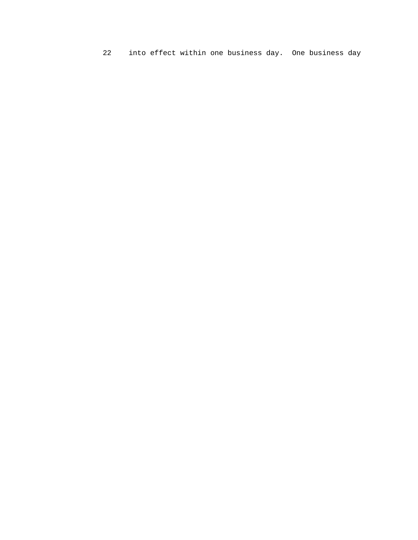22 into effect within one business day. One business day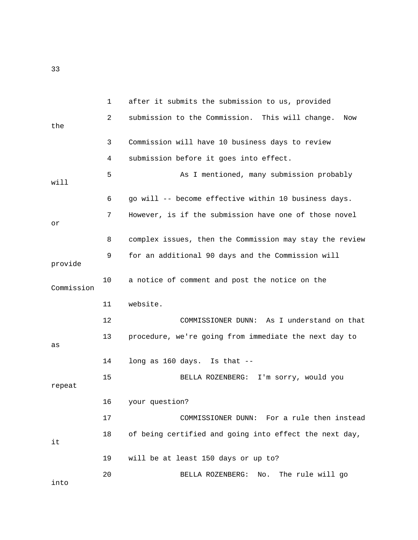|            | $\mathbf 1$ | after it submits the submission to us, provided         |
|------------|-------------|---------------------------------------------------------|
| the        | 2           | submission to the Commission. This will change.<br>Now  |
|            | 3           | Commission will have 10 business days to review         |
|            | 4           | submission before it goes into effect.                  |
| will       | 5           | As I mentioned, many submission probably                |
|            | 6           | go will -- become effective within 10 business days.    |
| Оr         | 7           | However, is if the submission have one of those novel   |
|            | 8           | complex issues, then the Commission may stay the review |
| provide    | 9           | for an additional 90 days and the Commission will       |
| Commission | 10          | a notice of comment and post the notice on the          |
|            | 11          | website.                                                |
|            | 12          | COMMISSIONER DUNN: As I understand on that              |
| as         | 13          | procedure, we're going from immediate the next day to   |
|            | 14          | long as 160 days. Is that --                            |
| repeat     | 15          | BELLA ROZENBERG: I'm sorry, would you                   |
|            | 16          | your question?                                          |
|            | 17          | COMMISSIONER DUNN: For a rule then instead              |
| it         | 18          | of being certified and going into effect the next day,  |
|            | 19          | will be at least 150 days or up to?                     |
| into       | 20          | BELLA ROZENBERG:<br>No. The rule will go                |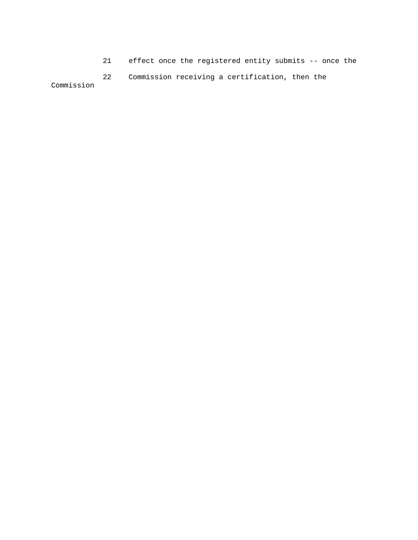21 effect once the registered entity submits -- once the

 22 Commission receiving a certification, then the Commission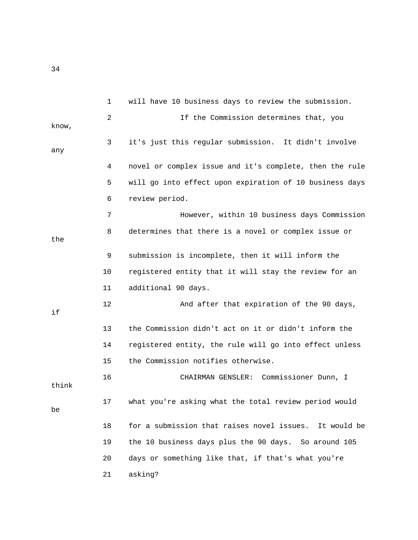1 will have 10 business days to review the submission. 2 If the Commission determines that, you know, 3 it's just this regular submission. It didn't involve any 4 novel or complex issue and it's complete, then the rule 5 will go into effect upon expiration of 10 business days 6 review period. 7 However, within 10 business days Commission

 8 determines that there is a novel or complex issue or 9 submission is incomplete, then it will inform the 10 registered entity that it will stay the review for an 11 additional 90 days.

 13 the Commission didn't act on it or didn't inform the 14 registered entity, the rule will go into effect unless 15 the Commission notifies otherwise.

12 And after that expiration of the 90 days,

think

be

the

if

17 what you're asking what the total review period would

16 CHAIRMAN GENSLER: Commissioner Dunn, I

 18 for a submission that raises novel issues. It would be 19 the 10 business days plus the 90 days. So around 105 20 days or something like that, if that's what you're 21 asking?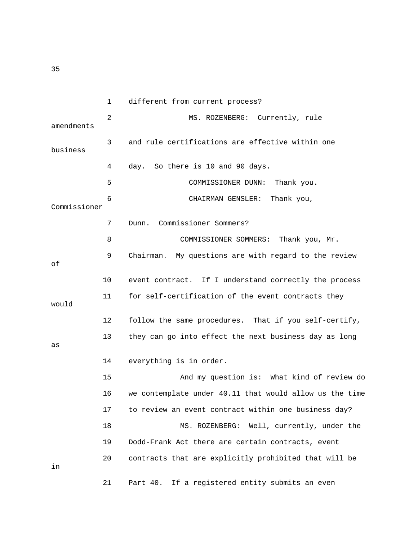1 different from current process? 2 MS. ROZENBERG: Currently, rule amendments 3 and rule certifications are effective within one business 4 day. So there is 10 and 90 days. 5 COMMISSIONER DUNN: Thank you. 6 CHAIRMAN GENSLER: Thank you, Commissioner 7 Dunn. Commissioner Sommers? 8 COMMISSIONER SOMMERS: Thank you, Mr. 9 Chairman. My questions are with regard to the review of 10 event contract. If I understand correctly the process 11 for self-certification of the event contracts they would 12 follow the same procedures. That if you self-certify, 13 they can go into effect the next business day as long as 14 everything is in order. 15 And my question is: What kind of review do 16 we contemplate under 40.11 that would allow us the time 17 to review an event contract within one business day? 18 MS. ROZENBERG: Well, currently, under the 19 Dodd-Frank Act there are certain contracts, event 20 contracts that are explicitly prohibited that will be in 21 Part 40. If a registered entity submits an even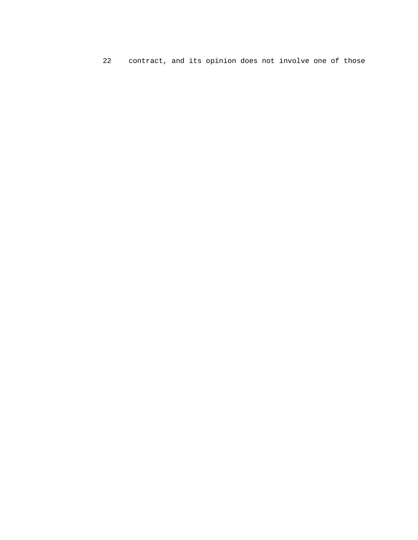22 contract, and its opinion does not involve one of those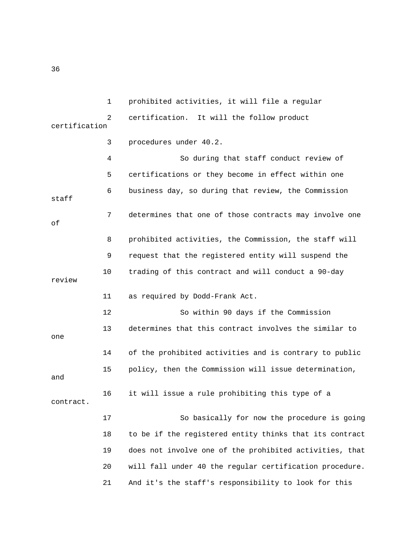1 prohibited activities, it will file a regular 2 certification. It will the follow product certification

 3 procedures under 40.2. 4 So during that staff conduct review of 5 certifications or they become in effect within one 6 business day, so during that review, the Commission staff 7 determines that one of those contracts may involve one of 8 prohibited activities, the Commission, the staff will 9 request that the registered entity will suspend the 10 trading of this contract and will conduct a 90-day review 11 as required by Dodd-Frank Act. 12 So within 90 days if the Commission 13 determines that this contract involves the similar to one 14 of the prohibited activities and is contrary to public 15 policy, then the Commission will issue determination, and 16 it will issue a rule prohibiting this type of a contract. 17 So basically for now the procedure is going 18 to be if the registered entity thinks that its contract 19 does not involve one of the prohibited activities, that 20 will fall under 40 the regular certification procedure.

21 And it's the staff's responsibility to look for this

36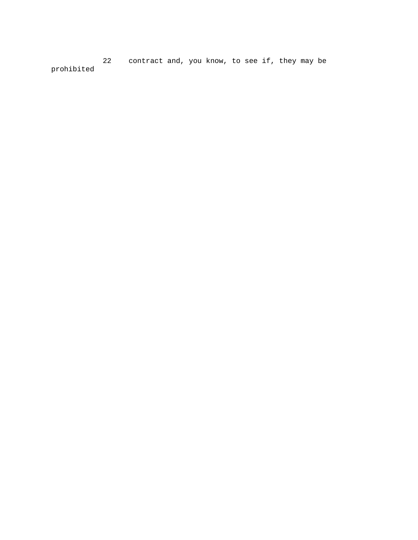22 contract and, you know, to see if, they may be prohibited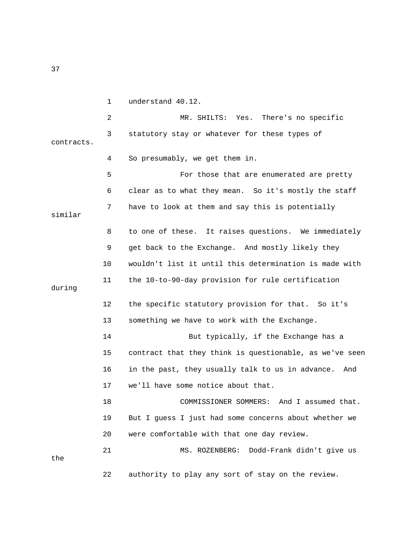1 understand 40.12.

 2 MR. SHILTS: Yes. There's no specific 3 statutory stay or whatever for these types of contracts. 4 So presumably, we get them in. 5 For those that are enumerated are pretty 6 clear as to what they mean. So it's mostly the staff 7 have to look at them and say this is potentially similar 8 to one of these. It raises questions. We immediately 9 get back to the Exchange. And mostly likely they 10 wouldn't list it until this determination is made with 11 the 10-to-90-day provision for rule certification during 12 the specific statutory provision for that. So it's 13 something we have to work with the Exchange. 14 But typically, if the Exchange has a 15 contract that they think is questionable, as we've seen 16 in the past, they usually talk to us in advance. And 17 we'll have some notice about that. 18 COMMISSIONER SOMMERS: And I assumed that. 19 But I guess I just had some concerns about whether we 20 were comfortable with that one day review. 21 MS. ROZENBERG: Dodd-Frank didn't give us the

22 authority to play any sort of stay on the review.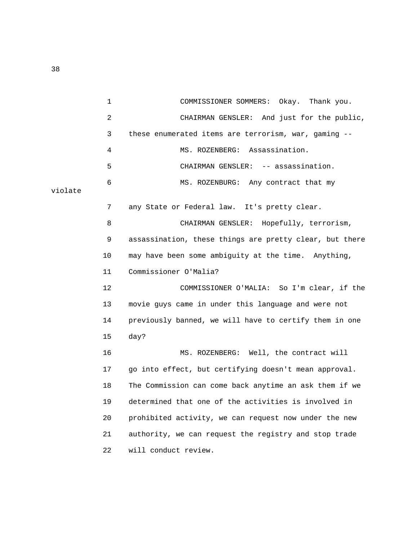1 COMMISSIONER SOMMERS: Okay. Thank you. 2 CHAIRMAN GENSLER: And just for the public, 3 these enumerated items are terrorism, war, gaming -- 4 MS. ROZENBERG: Assassination. 5 CHAIRMAN GENSLER: -- assassination. 6 MS. ROZENBURG: Any contract that my violate 7 any State or Federal law. It's pretty clear. 8 CHAIRMAN GENSLER: Hopefully, terrorism, 9 assassination, these things are pretty clear, but there 10 may have been some ambiguity at the time. Anything, 11 Commissioner O'Malia? 12 COMMISSIONER O'MALIA: So I'm clear, if the 13 movie guys came in under this language and were not 14 previously banned, we will have to certify them in one 15 day? 16 MS. ROZENBERG: Well, the contract will 17 go into effect, but certifying doesn't mean approval. 18 The Commission can come back anytime an ask them if we 19 determined that one of the activities is involved in 20 prohibited activity, we can request now under the new 21 authority, we can request the registry and stop trade 22 will conduct review.

38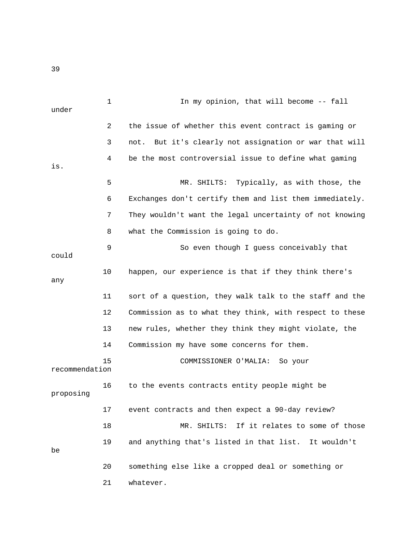1 In my opinion, that will become -- fall under 2 the issue of whether this event contract is gaming or 3 not. But it's clearly not assignation or war that will 4 be the most controversial issue to define what gaming is. 5 MR. SHILTS: Typically, as with those, the 6 Exchanges don't certify them and list them immediately. 7 They wouldn't want the legal uncertainty of not knowing 8 what the Commission is going to do. 9 So even though I guess conceivably that could 10 happen, our experience is that if they think there's any 11 sort of a question, they walk talk to the staff and the 12 Commission as to what they think, with respect to these 13 new rules, whether they think they might violate, the 14 Commission my have some concerns for them. 15 COMMISSIONER O'MALIA: So your recommendation 16 to the events contracts entity people might be proposing 17 event contracts and then expect a 90-day review? 18 MR. SHILTS: If it relates to some of those 19 and anything that's listed in that list. It wouldn't be 20 something else like a cropped deal or something or 21 whatever.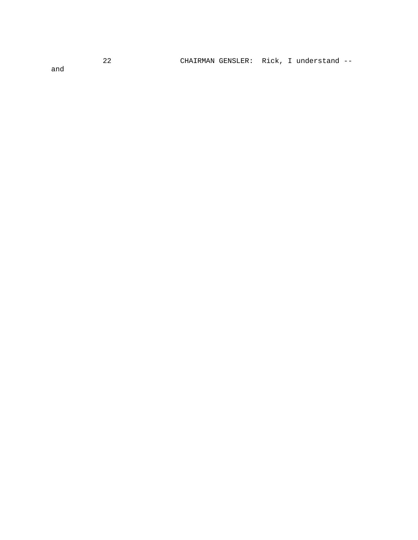CHAIRMAN GENSLER: Rick, I understand --

and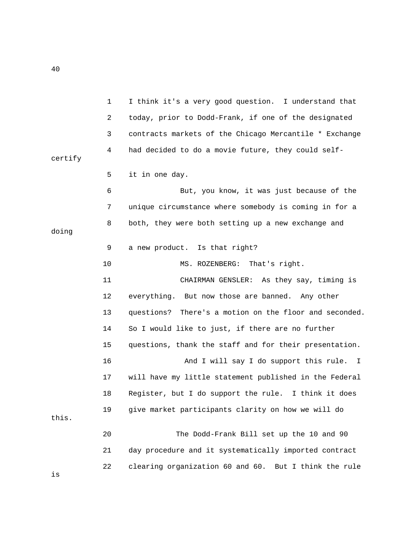1 I think it's a very good question. I understand that 2 today, prior to Dodd-Frank, if one of the designated 3 contracts markets of the Chicago Mercantile \* Exchange 4 had decided to do a movie future, they could selfcertify 5 it in one day. 6 But, you know, it was just because of the 7 unique circumstance where somebody is coming in for a 8 both, they were both setting up a new exchange and doing 9 a new product. Is that right? 10 MS. ROZENBERG: That's right. 11 CHAIRMAN GENSLER: As they say, timing is 12 everything. But now those are banned. Any other 13 questions? There's a motion on the floor and seconded. 14 So I would like to just, if there are no further 15 questions, thank the staff and for their presentation. 16 **And I will say I do support this rule.** I 17 will have my little statement published in the Federal 18 Register, but I do support the rule. I think it does 19 give market participants clarity on how we will do this. 20 The Dodd-Frank Bill set up the 10 and 90 21 day procedure and it systematically imported contract 22 clearing organization 60 and 60. But I think the rule

40

is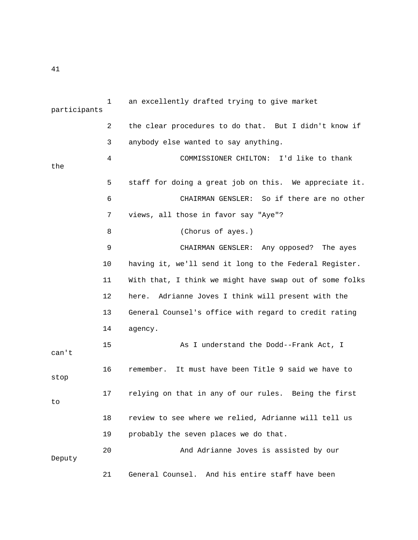|              | $\mathbf{1}$ | an excellently drafted trying to give market            |
|--------------|--------------|---------------------------------------------------------|
| participants |              |                                                         |
|              | 2            | the clear procedures to do that. But I didn't know if   |
|              | 3            | anybody else wanted to say anything.                    |
|              | 4            | COMMISSIONER CHILTON: I'd like to thank                 |
| the          |              |                                                         |
|              | 5            | staff for doing a great job on this. We appreciate it.  |
|              | 6            | CHAIRMAN GENSLER: So if there are no other              |
|              | 7            | views, all those in favor say "Aye"?                    |
|              | 8            | (Chorus of ayes.)                                       |
|              | 9            | CHAIRMAN GENSLER: Any opposed? The ayes                 |
|              | 10           | having it, we'll send it long to the Federal Register.  |
|              | 11           | With that, I think we might have swap out of some folks |
|              | 12           | Adrianne Joves I think will present with the<br>here.   |
|              | 13           | General Counsel's office with regard to credit rating   |
|              | 14           | agency.                                                 |
| can't        | 15           | As I understand the Dodd--Frank Act, I                  |
| stop         | 16           | It must have been Title 9 said we have to<br>remember.  |
| to           | 17           | relying on that in any of our rules. Being the first    |
|              | 18           | review to see where we relied, Adrianne will tell us    |
|              | 19           | probably the seven places we do that.                   |
| Deputy       | 20           | And Adrianne Joves is assisted by our                   |
|              | 21           | General Counsel. And his entire staff have been         |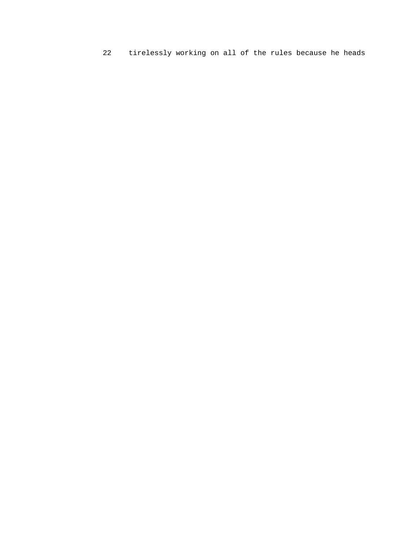22 tirelessly working on all of the rules because he heads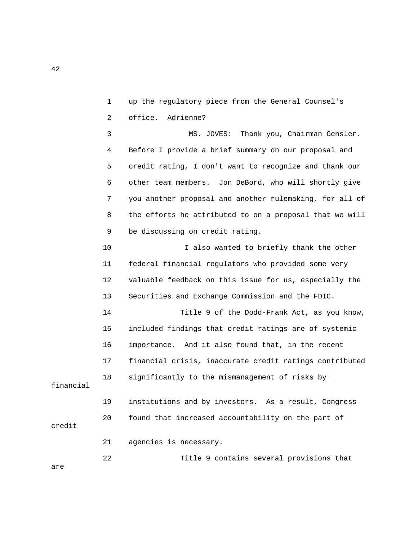1 up the regulatory piece from the General Counsel's 2 office. Adrienne?

 3 MS. JOVES: Thank you, Chairman Gensler. 4 Before I provide a brief summary on our proposal and 5 credit rating, I don't want to recognize and thank our 6 other team members. Jon DeBord, who will shortly give 7 you another proposal and another rulemaking, for all of 8 the efforts he attributed to on a proposal that we will 9 be discussing on credit rating.

10 I also wanted to briefly thank the other 11 federal financial regulators who provided some very 12 valuable feedback on this issue for us, especially the 13 Securities and Exchange Commission and the FDIC.

 14 Title 9 of the Dodd-Frank Act, as you know, 15 included findings that credit ratings are of systemic 16 importance. And it also found that, in the recent 17 financial crisis, inaccurate credit ratings contributed 18 significantly to the mismanagement of risks by

financial

credit

 19 institutions and by investors. As a result, Congress 20 found that increased accountability on the part of

21 agencies is necessary.

22 Title 9 contains several provisions that

are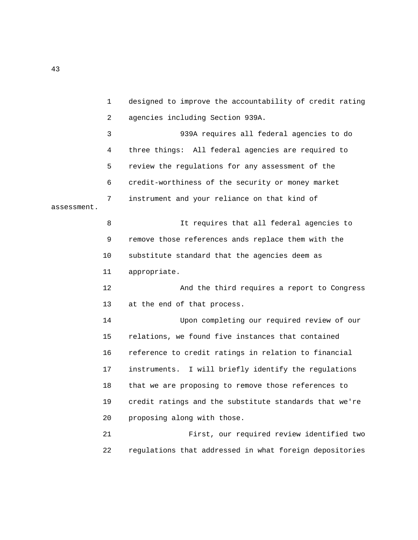1 designed to improve the accountability of credit rating 2 agencies including Section 939A. 3 939A requires all federal agencies to do 4 three things: All federal agencies are required to 5 review the regulations for any assessment of the 6 credit-worthiness of the security or money market 7 instrument and your reliance on that kind of assessment. 8 It requires that all federal agencies to 9 remove those references ands replace them with the 10 substitute standard that the agencies deem as 11 appropriate. 12 And the third requires a report to Congress 13 at the end of that process. 14 Upon completing our required review of our 15 relations, we found five instances that contained 16 reference to credit ratings in relation to financial 17 instruments. I will briefly identify the regulations 18 that we are proposing to remove those references to 19 credit ratings and the substitute standards that we're 20 proposing along with those. 21 First, our required review identified two 22 regulations that addressed in what foreign depositories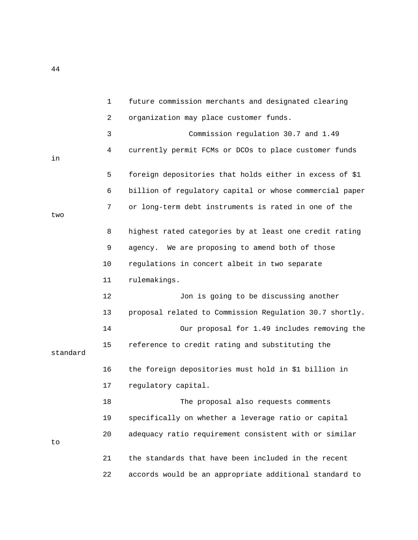1 future commission merchants and designated clearing 2 organization may place customer funds. 3 Commission regulation 30.7 and 1.49 4 currently permit FCMs or DCOs to place customer funds in 5 foreign depositories that holds either in excess of \$1 6 billion of regulatory capital or whose commercial paper 7 or long-term debt instruments is rated in one of the two 8 highest rated categories by at least one credit rating 9 agency. We are proposing to amend both of those 10 regulations in concert albeit in two separate 11 rulemakings. 12 Jon is going to be discussing another 13 proposal related to Commission Regulation 30.7 shortly. 14 Our proposal for 1.49 includes removing the 15 reference to credit rating and substituting the standard 16 the foreign depositories must hold in \$1 billion in 17 regulatory capital. 18 The proposal also requests comments 19 specifically on whether a leverage ratio or capital 20 adequacy ratio requirement consistent with or similar to 21 the standards that have been included in the recent 22 accords would be an appropriate additional standard to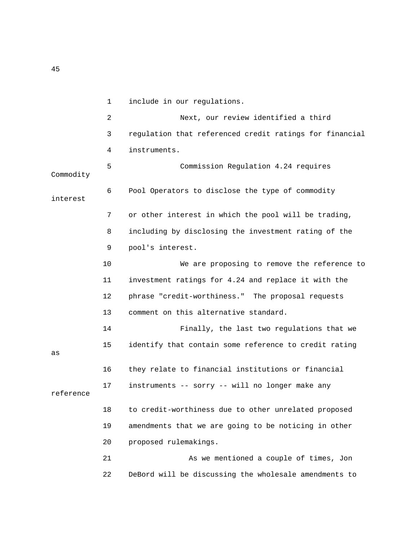|           | $\mathbf{1}$   | include in our regulations.                             |
|-----------|----------------|---------------------------------------------------------|
|           | $\overline{2}$ | Next, our review identified a third                     |
|           | 3              | regulation that referenced credit ratings for financial |
|           | 4              | instruments.                                            |
| Commodity | 5              | Commission Regulation 4.24 requires                     |
| interest  | 6              | Pool Operators to disclose the type of commodity        |
|           | 7              | or other interest in which the pool will be trading,    |
|           | 8              | including by disclosing the investment rating of the    |
|           | 9              | pool's interest.                                        |
|           | 10             | We are proposing to remove the reference to             |
|           | 11             | investment ratings for 4.24 and replace it with the     |
|           | 12             | phrase "credit-worthiness." The proposal requests       |
|           | 13             | comment on this alternative standard.                   |
|           | 14             | Finally, the last two regulations that we               |
| as        | 15             | identify that contain some reference to credit rating   |
|           | 16             | they relate to financial institutions or financial      |
| reference | 17             | instruments -- sorry -- will no longer make any         |
|           | 18             | to credit-worthiness due to other unrelated proposed    |
|           | 19             | amendments that we are going to be noticing in other    |
|           | 20             | proposed rulemakings.                                   |
|           | 21             | As we mentioned a couple of times, Jon                  |
|           | 22             | DeBord will be discussing the wholesale amendments to   |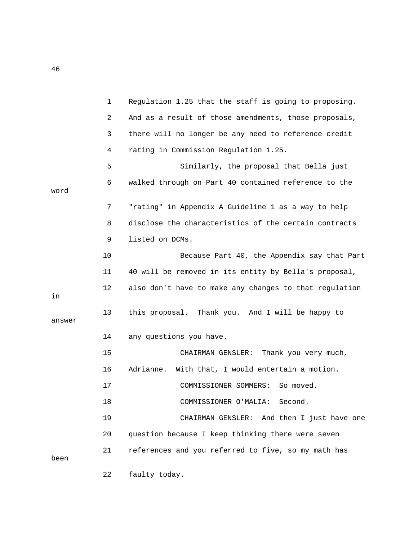|        | $\mathbf{1}$ | Regulation 1.25 that the staff is going to proposing.  |
|--------|--------------|--------------------------------------------------------|
|        | 2            | And as a result of those amendments, those proposals,  |
|        | 3            | there will no longer be any need to reference credit   |
|        | 4            | rating in Commission Regulation 1.25.                  |
|        | 5            | Similarly, the proposal that Bella just                |
| word   | 6            | walked through on Part 40 contained reference to the   |
|        | 7            | "rating" in Appendix A Guideline 1 as a way to help    |
|        | 8            | disclose the characteristics of the certain contracts  |
|        | 9            | listed on DCMs.                                        |
|        | 10           | Because Part 40, the Appendix say that Part            |
|        | 11           | 40 will be removed in its entity by Bella's proposal,  |
| in     | 12           | also don't have to make any changes to that regulation |
| answer | 13           | this proposal. Thank you. And I will be happy to       |
|        | 14           | any questions you have.                                |
|        | 15           | CHAIRMAN GENSLER: Thank you very much,                 |
|        | 16           | With that, I would entertain a motion.<br>Adrianne.    |
|        | 17           | COMMISSIONER SOMMERS:<br>So moved.                     |
|        | 18           | COMMISSIONER O'MALIA:<br>Second.                       |
|        | 19           | And then I just have one<br>CHAIRMAN GENSLER:          |
|        | 20           | question because I keep thinking there were seven      |
| been   | 21           | references and you referred to five, so my math has    |
|        | 22           | faulty today.                                          |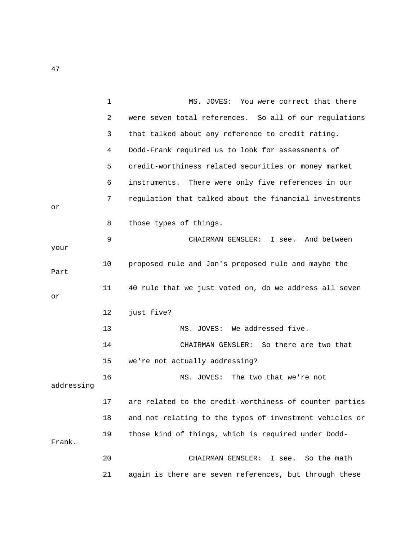|            | $\mathbf 1$ | MS. JOVES: You were correct that there                  |
|------------|-------------|---------------------------------------------------------|
|            | 2           | were seven total references. So all of our regulations  |
|            | 3           | that talked about any reference to credit rating.       |
|            | 4           | Dodd-Frank required us to look for assessments of       |
|            | 5           | credit-worthiness related securities or money market    |
|            | 6           | instruments. There were only five references in our     |
| Оr         | 7           | regulation that talked about the financial investments  |
|            | 8           | those types of things.                                  |
| your       | 9           | CHAIRMAN GENSLER: I see. And between                    |
| Part       | 10          | proposed rule and Jon's proposed rule and maybe the     |
| Оr         | 11          | 40 rule that we just voted on, do we address all seven  |
|            | 12          | just five?                                              |
|            | 13          | MS. JOVES: We addressed five.                           |
|            | 14          | CHAIRMAN GENSLER: So there are two that                 |
|            | 15          | we're not actually addressing?                          |
| addressing | 16          | MS. JOVES:<br>The two that we're not                    |
|            | 17          | are related to the credit-worthiness of counter parties |
|            | 18          | and not relating to the types of investment vehicles or |
| Frank.     | 19          | those kind of things, which is required under Dodd-     |
|            | 20          | CHAIRMAN GENSLER: I see. So the math                    |
|            | 21          | again is there are seven references, but through these  |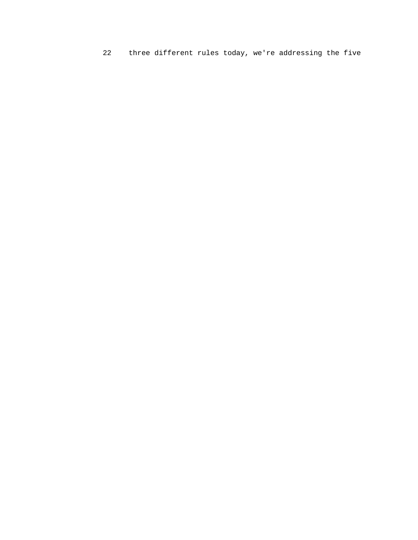22 three different rules today, we're addressing the five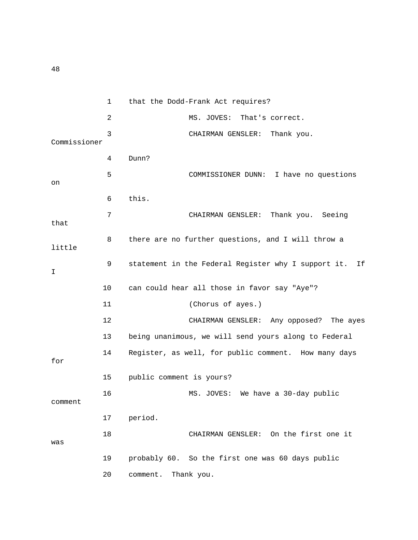1 that the Dodd-Frank Act requires? 2 MS. JOVES: That's correct. 3 CHAIRMAN GENSLER: Thank you. Commissioner 4 Dunn? 5 COMMISSIONER DUNN: I have no questions on 6 this. 7 CHAIRMAN GENSLER: Thank you. Seeing that 8 there are no further questions, and I will throw a little 9 statement in the Federal Register why I support it. If I 10 can could hear all those in favor say "Aye"? 11 (Chorus of ayes.) 12 CHAIRMAN GENSLER: Any opposed? The ayes 13 being unanimous, we will send yours along to Federal 14 Register, as well, for public comment. How many days for 15 public comment is yours? 16 MS. JOVES: We have a 30-day public comment 17 period. 18 CHAIRMAN GENSLER: On the first one it was 19 probably 60. So the first one was 60 days public 20 comment. Thank you.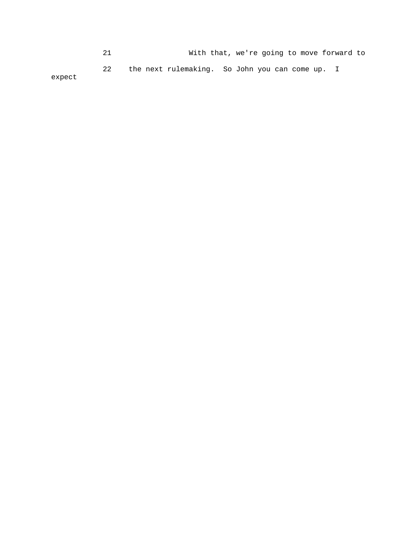21 With that, we're going to move forward to 22 the next rulemaking. So John you can come up. I

expect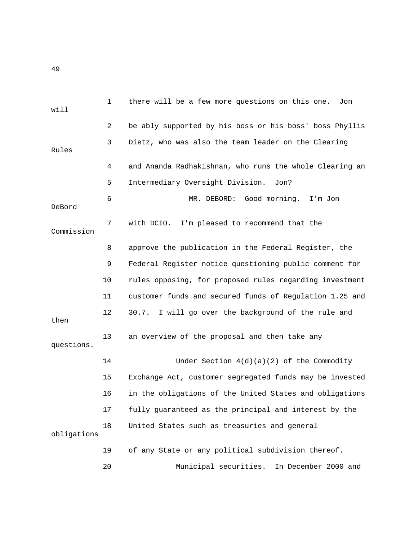1 there will be a few more questions on this one. Jon will 2 be ably supported by his boss or his boss' boss Phyllis 3 Dietz, who was also the team leader on the Clearing Rules 4 and Ananda Radhakishnan, who runs the whole Clearing an 5 Intermediary Oversight Division. Jon? 6 MR. DEBORD: Good morning. I'm Jon DeBord 7 with DCIO. I'm pleased to recommend that the Commission 8 approve the publication in the Federal Register, the 9 Federal Register notice questioning public comment for 10 rules opposing, for proposed rules regarding investment 11 customer funds and secured funds of Regulation 1.25 and 12 30.7. I will go over the background of the rule and then 13 an overview of the proposal and then take any questions. 14 Under Section  $4(d)(a)(2)$  of the Commodity 15 Exchange Act, customer segregated funds may be invested 16 in the obligations of the United States and obligations 17 fully guaranteed as the principal and interest by the 18 United States such as treasuries and general obligations 19 of any State or any political subdivision thereof. 20 Municipal securities. In December 2000 and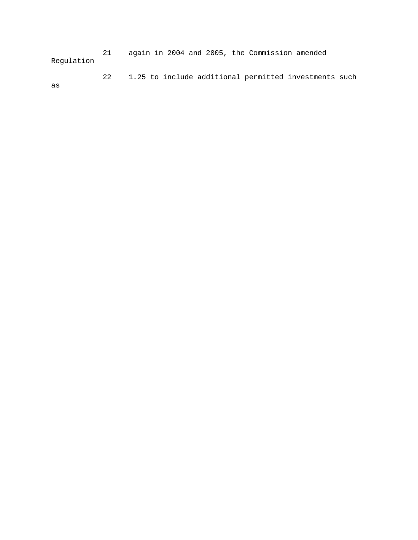21 again in 2004 and 2005, the Commission amended Regulation

22 1.25 to include additional permitted investments such

as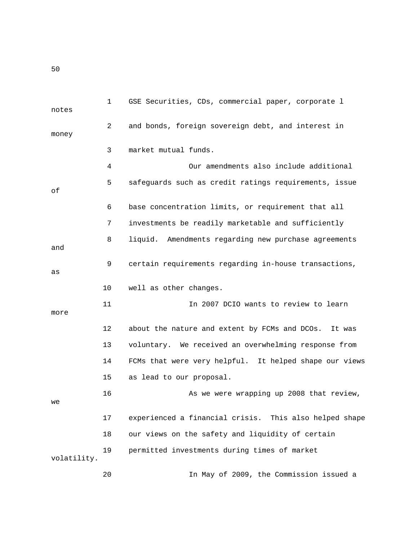1 GSE Securities, CDs, commercial paper, corporate l notes 2 and bonds, foreign sovereign debt, and interest in money 3 market mutual funds. 4 Our amendments also include additional 5 safeguards such as credit ratings requirements, issue of 6 base concentration limits, or requirement that all 7 investments be readily marketable and sufficiently 8 liquid. Amendments regarding new purchase agreements and 9 certain requirements regarding in-house transactions, as 10 well as other changes. 11 In 2007 DCIO wants to review to learn more 12 about the nature and extent by FCMs and DCOs. It was 13 voluntary. We received an overwhelming response from 14 FCMs that were very helpful. It helped shape our views 15 as lead to our proposal. 16 As we were wrapping up 2008 that review, we 17 experienced a financial crisis. This also helped shape 18 our views on the safety and liquidity of certain 19 permitted investments during times of market volatility.

20 In May of 2009, the Commission issued a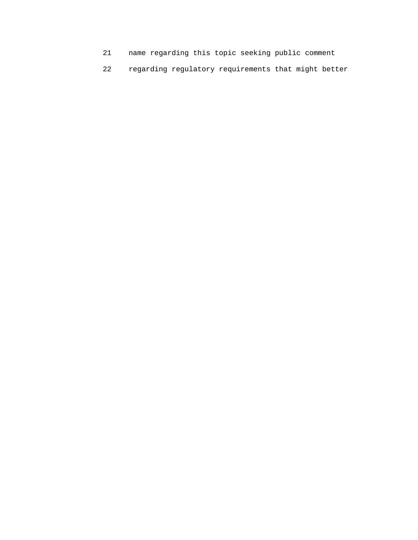- 21 name regarding this topic seeking public comment
- 22 regarding regulatory requirements that might better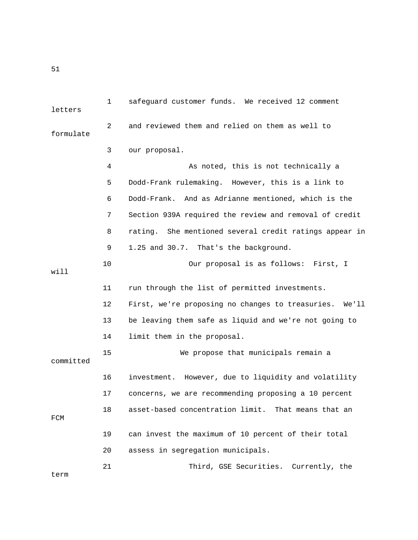1 safeguard customer funds. We received 12 comment letters 2 and reviewed them and relied on them as well to formulate 3 our proposal. 4 As noted, this is not technically a 5 Dodd-Frank rulemaking. However, this is a link to 6 Dodd-Frank. And as Adrianne mentioned, which is the 7 Section 939A required the review and removal of credit 8 rating. She mentioned several credit ratings appear in 9 1.25 and 30.7. That's the background. 10 Our proposal is as follows: First, I will 11 run through the list of permitted investments. 12 First, we're proposing no changes to treasuries. We'll 13 be leaving them safe as liquid and we're not going to 14 limit them in the proposal. 15 We propose that municipals remain a committed 16 investment. However, due to liquidity and volatility 17 concerns, we are recommending proposing a 10 percent 18 asset-based concentration limit. That means that an FCM 19 can invest the maximum of 10 percent of their total 20 assess in segregation municipals. 21 Third, GSE Securities. Currently, the term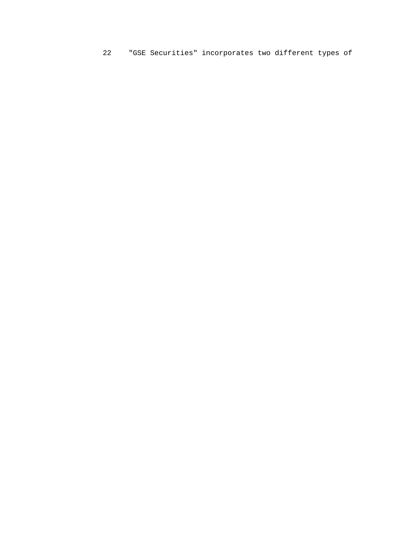22 "GSE Securities" incorporates two different types of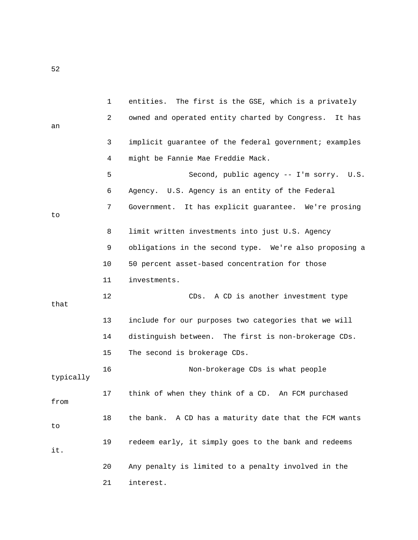1 entities. The first is the GSE, which is a privately 2 owned and operated entity charted by Congress. It has an 3 implicit guarantee of the federal government; examples 4 might be Fannie Mae Freddie Mack. 5 Second, public agency -- I'm sorry. U.S. 6 Agency. U.S. Agency is an entity of the Federal 7 Government. It has explicit guarantee. We're prosing to 8 limit written investments into just U.S. Agency 9 obligations in the second type. We're also proposing a 10 50 percent asset-based concentration for those 11 investments. 12 CDs. A CD is another investment type that 13 include for our purposes two categories that we will 14 distinguish between. The first is non-brokerage CDs. 15 The second is brokerage CDs. 16 Non-brokerage CDs is what people typically 17 think of when they think of a CD. An FCM purchased from 18 the bank. A CD has a maturity date that the FCM wants to 19 redeem early, it simply goes to the bank and redeems it. 20 Any penalty is limited to a penalty involved in the 21 interest.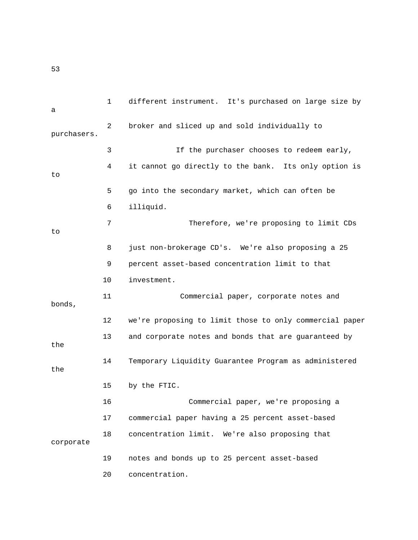1 different instrument. It's purchased on large size by a 2 broker and sliced up and sold individually to purchasers. 3 If the purchaser chooses to redeem early, 4 it cannot go directly to the bank. Its only option is to 5 go into the secondary market, which can often be 6 illiquid. 7 Therefore, we're proposing to limit CDs to 8 just non-brokerage CD's. We're also proposing a 25 9 percent asset-based concentration limit to that 10 investment. 11 Commercial paper, corporate notes and bonds, 12 we're proposing to limit those to only commercial paper 13 and corporate notes and bonds that are guaranteed by the 14 Temporary Liquidity Guarantee Program as administered the 15 by the FTIC. 16 Commercial paper, we're proposing a 17 commercial paper having a 25 percent asset-based 18 concentration limit. We're also proposing that corporate 19 notes and bonds up to 25 percent asset-based 20 concentration.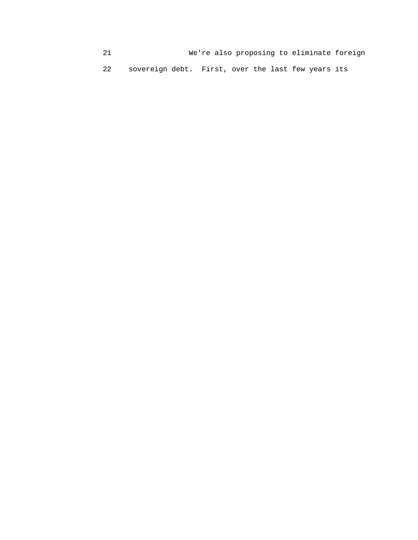21 We're also proposing to eliminate foreign 22 sovereign debt. First, over the last few years its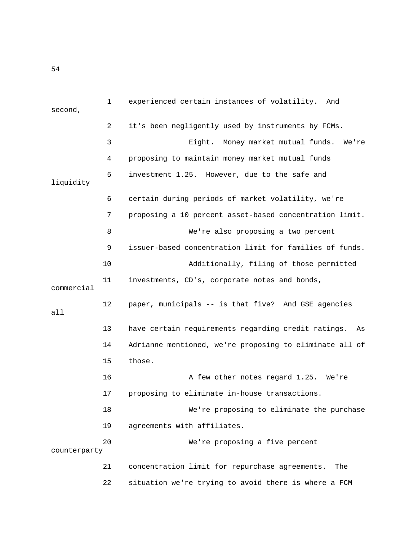| second,      | 1  | experienced certain instances of volatility.<br>And       |
|--------------|----|-----------------------------------------------------------|
|              | 2  | it's been negligently used by instruments by FCMs.        |
|              | 3  | Eight.<br>Money market mutual funds.<br>We're             |
|              | 4  | proposing to maintain money market mutual funds           |
| liquidity    | 5  | investment 1.25. However, due to the safe and             |
|              | 6  | certain during periods of market volatility, we're        |
|              | 7  | proposing a 10 percent asset-based concentration limit.   |
|              | 8  | We're also proposing a two percent                        |
|              | 9  | issuer-based concentration limit for families of funds.   |
|              | 10 | Additionally, filing of those permitted                   |
| commercial   | 11 | investments, CD's, corporate notes and bonds,             |
| all          | 12 | paper, municipals -- is that five? And GSE agencies       |
|              | 13 | have certain requirements regarding credit ratings.<br>As |
|              | 14 | Adrianne mentioned, we're proposing to eliminate all of   |
|              | 15 | those.                                                    |
|              | 16 | A few other notes regard 1.25. We're                      |
|              | 17 | proposing to eliminate in-house transactions.             |
|              | 18 | We're proposing to eliminate the purchase                 |
|              | 19 | agreements with affiliates.                               |
| counterparty | 20 | We're proposing a five percent                            |
|              | 21 | concentration limit for repurchase agreements.<br>The     |
|              | 22 | situation we're trying to avoid there is where a FCM      |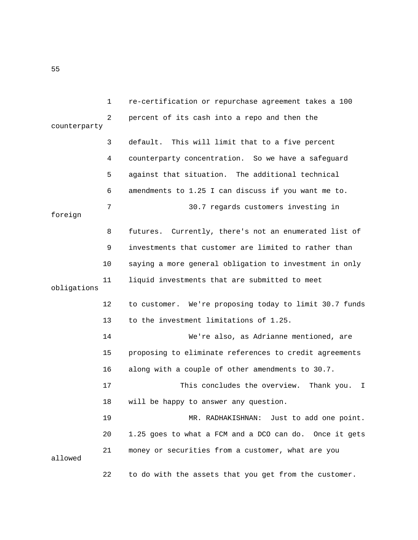1 re-certification or repurchase agreement takes a 100 2 percent of its cash into a repo and then the counterparty 3 default. This will limit that to a five percent 4 counterparty concentration. So we have a safeguard 5 against that situation. The additional technical 6 amendments to 1.25 I can discuss if you want me to. 7 30.7 regards customers investing in foreign 8 futures. Currently, there's not an enumerated list of 9 investments that customer are limited to rather than 10 saying a more general obligation to investment in only 11 liquid investments that are submitted to meet obligations 12 to customer. We're proposing today to limit 30.7 funds 13 to the investment limitations of 1.25. 14 We're also, as Adrianne mentioned, are 15 proposing to eliminate references to credit agreements 16 along with a couple of other amendments to 30.7. 17 This concludes the overview. Thank you. I 18 will be happy to answer any question. 19 MR. RADHAKISHNAN: Just to add one point. 20 1.25 goes to what a FCM and a DCO can do. Once it gets 21 money or securities from a customer, what are you allowed 22 to do with the assets that you get from the customer.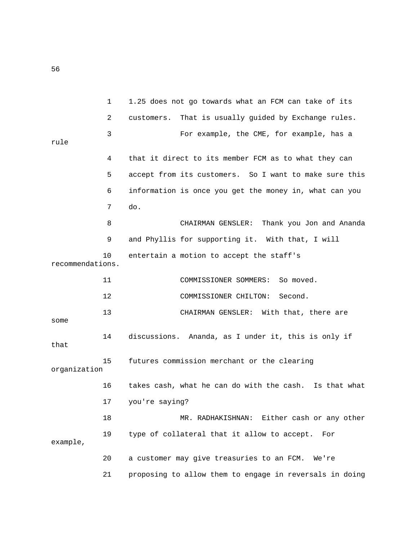1 1.25 does not go towards what an FCM can take of its 2 customers. That is usually guided by Exchange rules. 3 For example, the CME, for example, has a rule 4 that it direct to its member FCM as to what they can 5 accept from its customers. So I want to make sure this 6 information is once you get the money in, what can you 7 do. 8 CHAIRMAN GENSLER: Thank you Jon and Ananda 9 and Phyllis for supporting it. With that, I will 10 entertain a motion to accept the staff's recommendations. 11 COMMISSIONER SOMMERS: So moved. 12 COMMISSIONER CHILTON: Second. 13 CHAIRMAN GENSLER: With that, there are some 14 discussions. Ananda, as I under it, this is only if that 15 futures commission merchant or the clearing organization 16 takes cash, what he can do with the cash. Is that what 17 you're saying? 18 MR. RADHAKISHNAN: Either cash or any other 19 type of collateral that it allow to accept. For example, 20 a customer may give treasuries to an FCM. We're 21 proposing to allow them to engage in reversals in doing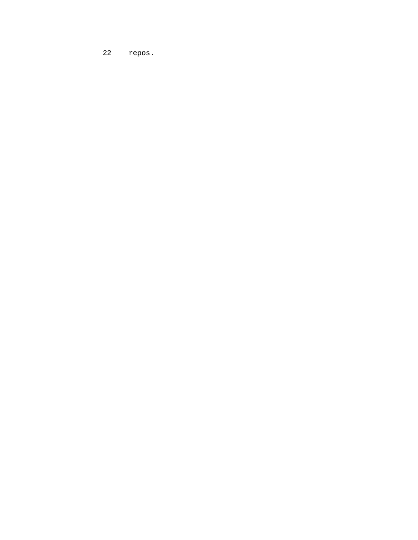22 repos.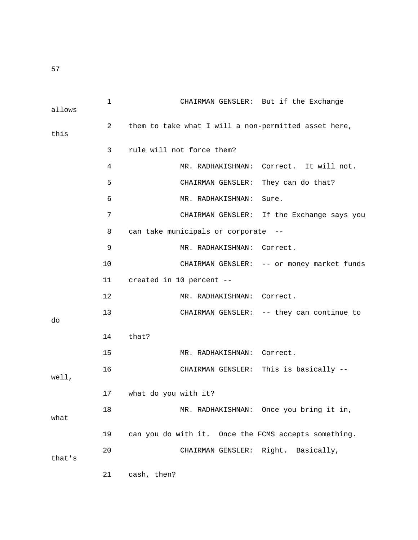| allows | $\mathbf 1$ | CHAIRMAN GENSLER: But if the Exchange                |
|--------|-------------|------------------------------------------------------|
| this   | 2           | them to take what I will a non-permitted asset here, |
|        | 3           | rule will not force them?                            |
|        | 4           | MR. RADHAKISHNAN: Correct. It will not.              |
|        | 5           | They can do that?<br>CHAIRMAN GENSLER:               |
|        | 6           | MR. RADHAKISHNAN:<br>Sure.                           |
|        | 7           | CHAIRMAN GENSLER: If the Exchange says you           |
|        | 8           | can take municipals or corporate                     |
|        | 9           | MR. RADHAKISHNAN: Correct.                           |
|        | 10          | CHAIRMAN GENSLER: -- or money market funds           |
|        | 11          | created in 10 percent --                             |
|        | 12          | MR. RADHAKISHNAN: Correct.                           |
| do     | 13          | CHAIRMAN GENSLER: -- they can continue to            |
|        | 14          | that?                                                |
|        | 15          | MR. RADHAKISHNAN: Correct.                           |
| well,  | 16          | CHAIRMAN GENSLER: This is basically --               |
|        | 17          | what do you with it?                                 |
| what   | 18          | MR. RADHAKISHNAN: Once you bring it in,              |
|        | 19          | can you do with it. Once the FCMS accepts something. |
| that's | 20          | CHAIRMAN GENSLER:<br>Right. Basically,               |
|        | 21          | cash, then?                                          |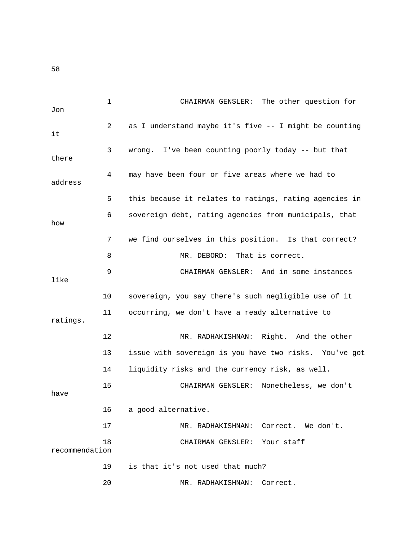1 CHAIRMAN GENSLER: The other question for Jon 2 as I understand maybe it's five -- I might be counting it 3 wrong. I've been counting poorly today -- but that there 4 may have been four or five areas where we had to address 5 this because it relates to ratings, rating agencies in 6 sovereign debt, rating agencies from municipals, that how 7 we find ourselves in this position. Is that correct? 8 MR. DEBORD: That is correct. 9 CHAIRMAN GENSLER: And in some instances like 10 sovereign, you say there's such negligible use of it 11 occurring, we don't have a ready alternative to ratings. 12 MR. RADHAKISHNAN: Right. And the other 13 issue with sovereign is you have two risks. You've got 14 liquidity risks and the currency risk, as well. 15 CHAIRMAN GENSLER: Nonetheless, we don't have 16 a good alternative. 17 MR. RADHAKISHNAN: Correct. We don't. 18 CHAIRMAN GENSLER: Your staff recommendation 19 is that it's not used that much?

20 MR. RADHAKISHNAN: Correct.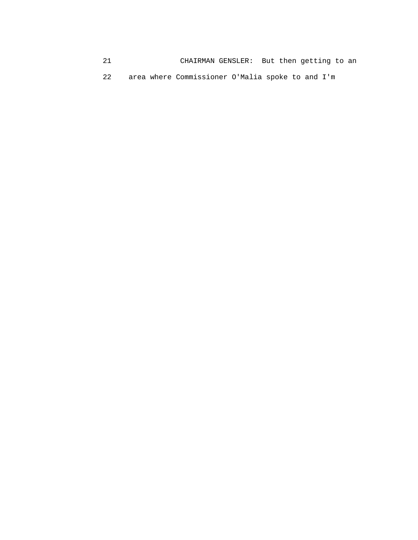| 21 | CHAIRMAN GENSLER: But then getting to an         |
|----|--------------------------------------------------|
| 22 | area where Commissioner O'Malia spoke to and I'm |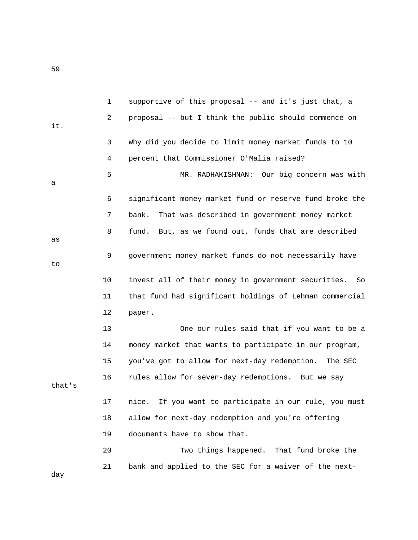|        | $\mathbf{1}$ | supportive of this proposal -- and it's just that, a      |
|--------|--------------|-----------------------------------------------------------|
| it.    | 2            | proposal -- but I think the public should commence on     |
|        | 3            | Why did you decide to limit money market funds to 10      |
|        | 4            | percent that Commissioner O'Malia raised?                 |
| а      | 5            | Our big concern was with<br>MR. RADHAKISHNAN:             |
|        | 6            | significant money market fund or reserve fund broke the   |
|        | 7            | bank.<br>That was described in government money market    |
| as     | 8            | fund.<br>But, as we found out, funds that are described   |
| to     | 9            | government money market funds do not necessarily have     |
|        | 10           | invest all of their money in government securities.<br>So |
|        | 11           | that fund had significant holdings of Lehman commercial   |
|        | 12           | paper.                                                    |
|        | 13           | One our rules said that if you want to be a               |
|        | 14           | money market that wants to participate in our program,    |
|        | 15           | you've got to allow for next-day redemption. The SEC      |
| that's | 16           | rules allow for seven-day redemptions. But we say         |
|        | 17           | nice. If you want to participate in our rule, you must    |
|        | 18           | allow for next-day redemption and you're offering         |
|        | 19           | documents have to show that.                              |
|        | 20           | Two things happened. That fund broke the                  |
| day    | 21           | bank and applied to the SEC for a waiver of the next-     |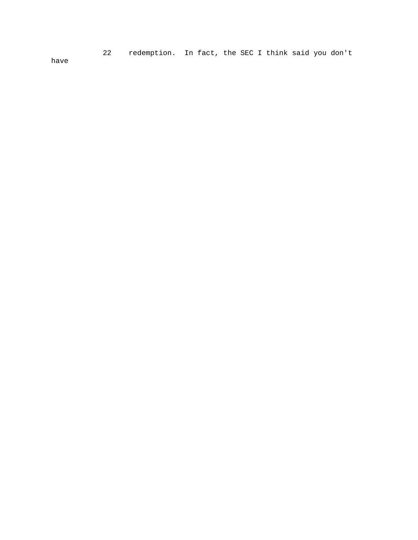22 redemption. In fact, the SEC I think said you don't

have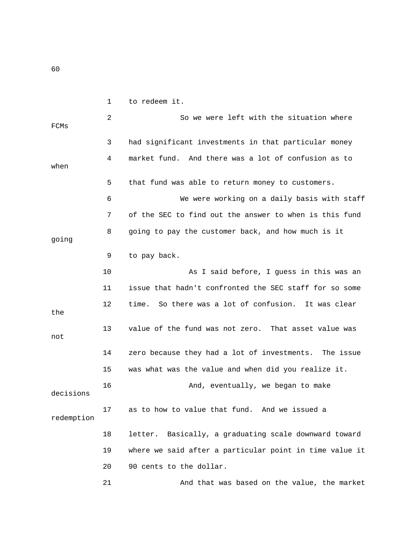1 to redeem it. 2 So we were left with the situation where FCMs 3 had significant investments in that particular money 4 market fund. And there was a lot of confusion as to when 5 that fund was able to return money to customers. 6 We were working on a daily basis with staff 7 of the SEC to find out the answer to when is this fund 8 going to pay the customer back, and how much is it going 9 to pay back. 10 As I said before, I guess in this was an 11 issue that hadn't confronted the SEC staff for so some 12 time. So there was a lot of confusion. It was clear the 13 value of the fund was not zero. That asset value was not 14 zero because they had a lot of investments. The issue 15 was what was the value and when did you realize it. 16 And, eventually, we began to make decisions 17 as to how to value that fund. And we issued a redemption 18 letter. Basically, a graduating scale downward toward 19 where we said after a particular point in time value it 20 90 cents to the dollar. 21 And that was based on the value, the market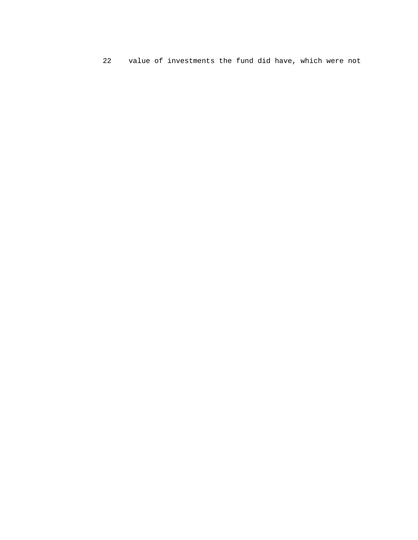22 value of investments the fund did have, which were not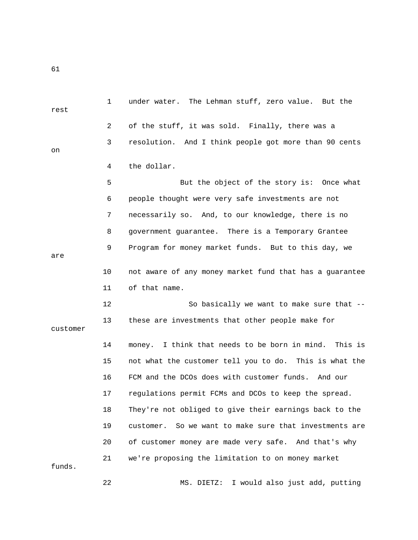| rest     | $\mathbf{1}$ | under water. The Lehman stuff, zero value. But the        |
|----------|--------------|-----------------------------------------------------------|
|          | 2            | of the stuff, it was sold. Finally, there was a           |
| on       | 3            | resolution. And I think people got more than 90 cents     |
|          | 4            | the dollar.                                               |
|          | 5            | But the object of the story is: Once what                 |
|          | 6            | people thought were very safe investments are not         |
|          | 7            | necessarily so. And, to our knowledge, there is no        |
|          | 8            | government guarantee. There is a Temporary Grantee        |
| are      | 9            | Program for money market funds. But to this day, we       |
|          | 10           | not aware of any money market fund that has a guarantee   |
|          | 11           | of that name.                                             |
|          | 12           | So basically we want to make sure that --                 |
| customer | 13           | these are investments that other people make for          |
|          | 14           | money. I think that needs to be born in mind. This is     |
|          | 15           | not what the customer tell you to do. This is what the    |
|          | 16           | FCM and the DCOs does with customer funds. And our        |
|          | 17           | regulations permit FCMs and DCOs to keep the spread.      |
|          | 18           | They're not obliged to give their earnings back to the    |
|          | 19           | So we want to make sure that investments are<br>customer. |
|          | 20           | of customer money are made very safe. And that's why      |
| funds.   | 21           | we're proposing the limitation to on money market         |
|          | 22           | I would also just add, putting<br>MS. DIETZ:              |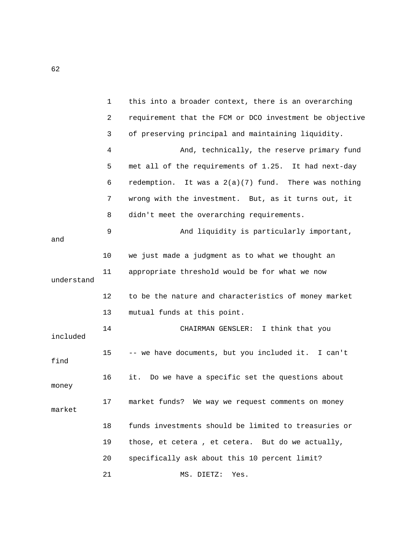|            | $\mathbf 1$ | this into a broader context, there is an overarching    |
|------------|-------------|---------------------------------------------------------|
|            | 2           | requirement that the FCM or DCO investment be objective |
|            | 3           | of preserving principal and maintaining liquidity.      |
|            | 4           | And, technically, the reserve primary fund              |
|            | 5           | met all of the requirements of 1.25. It had next-day    |
|            | 6           | redemption. It was a $2(a)(7)$ fund. There was nothing  |
|            | 7           | wrong with the investment. But, as it turns out, it     |
|            | 8           | didn't meet the overarching requirements.               |
| and        | 9           | And liquidity is particularly important,                |
|            | 10          | we just made a judgment as to what we thought an        |
| understand | 11          | appropriate threshold would be for what we now          |
|            | 12          | to be the nature and characteristics of money market    |
|            | 13          | mutual funds at this point.                             |
| included   | 14          | CHAIRMAN GENSLER: I think that you                      |
| find       | 15          | -- we have documents, but you included it. I can't      |
| money      | 16          | Do we have a specific set the questions about<br>it.    |
| market     | 17          | market funds? We way we request comments on money       |
|            | 18          | funds investments should be limited to treasuries or    |
|            | 19          | those, et cetera, et cetera. But do we actually,        |
|            | 20          | specifically ask about this 10 percent limit?           |
|            | 21          | MS. DIETZ:<br>Yes.                                      |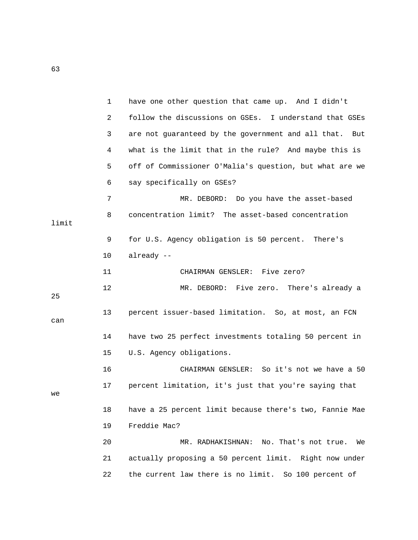|       | 1  | have one other question that came up. And I didn't        |
|-------|----|-----------------------------------------------------------|
|       | 2  | follow the discussions on GSEs. I understand that GSEs    |
|       | 3  | are not guaranteed by the government and all that.<br>But |
|       | 4  | what is the limit that in the rule? And maybe this is     |
|       | 5  | off of Commissioner O'Malia's question, but what are we   |
|       | 6  | say specifically on GSEs?                                 |
|       | 7  | MR. DEBORD: Do you have the asset-based                   |
| limit | 8  | concentration limit? The asset-based concentration        |
|       | 9  | for U.S. Agency obligation is 50 percent. There's         |
|       | 10 | already --                                                |
|       | 11 | CHAIRMAN GENSLER: Five zero?                              |
| 25    | 12 | MR. DEBORD: Five zero. There's already a                  |
| can   | 13 | percent issuer-based limitation. So, at most, an FCN      |
|       | 14 | have two 25 perfect investments totaling 50 percent in    |
|       | 15 | U.S. Agency obligations.                                  |
|       | 16 | CHAIRMAN GENSLER: So it's not we have a 50                |
| we    | 17 | percent limitation, it's just that you're saying that     |
|       | 18 | have a 25 percent limit because there's two, Fannie Mae   |
|       | 19 | Freddie Mac?                                              |
|       | 20 | MR. RADHAKISHNAN: No. That's not true. We                 |
|       | 21 | actually proposing a 50 percent limit. Right now under    |
|       | 22 | the current law there is no limit. So 100 percent of      |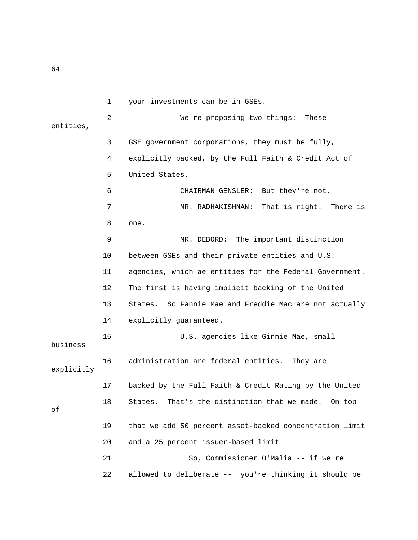1 your investments can be in GSEs. 2 We're proposing two things: These entities, 3 GSE government corporations, they must be fully, 4 explicitly backed, by the Full Faith & Credit Act of 5 United States. 6 CHAIRMAN GENSLER: But they're not. 7 MR. RADHAKISHNAN: That is right. There is 8 one. 9 MR. DEBORD: The important distinction 10 between GSEs and their private entities and U.S. 11 agencies, which ae entities for the Federal Government. 12 The first is having implicit backing of the United 13 States. So Fannie Mae and Freddie Mac are not actually 14 explicitly guaranteed. 15 U.S. agencies like Ginnie Mae, small business 16 administration are federal entities. They are explicitly 17 backed by the Full Faith & Credit Rating by the United 18 States. That's the distinction that we made. On top of 19 that we add 50 percent asset-backed concentration limit 20 and a 25 percent issuer-based limit 21 So, Commissioner O'Malia -- if we're 22 allowed to deliberate -- you're thinking it should be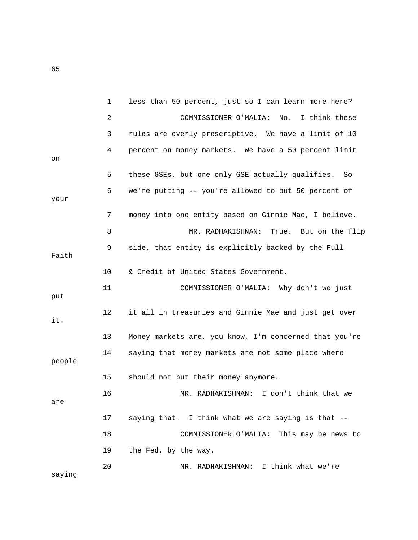|        | $\mathbf{1}$ | less than 50 percent, just so I can learn more here?   |
|--------|--------------|--------------------------------------------------------|
|        | 2            | No. I think these<br>COMMISSIONER O'MALIA:             |
|        | 3            | rules are overly prescriptive. We have a limit of 10   |
| on     | 4            | percent on money markets. We have a 50 percent limit   |
|        | 5            | these GSEs, but one only GSE actually qualifies.<br>So |
| your   | 6            | we're putting -- you're allowed to put 50 percent of   |
|        | 7            | money into one entity based on Ginnie Mae, I believe.  |
|        | 8            | MR. RADHAKISHNAN: True. But on the flip                |
| Faith  | 9            | side, that entity is explicitly backed by the Full     |
|        | 10           | & Credit of United States Government.                  |
| put    | 11           | COMMISSIONER O'MALIA: Why don't we just                |
| it.    | 12           | it all in treasuries and Ginnie Mae and just get over  |
|        | 13           | Money markets are, you know, I'm concerned that you're |
| people | 14           | saying that money markets are not some place where     |
|        | 15           | should not put their money anymore.                    |
| are    | 16           | I don't think that we<br>MR. RADHAKISHNAN:             |
|        | 17           | saying that. I think what we are saying is that --     |
|        | 18           | COMMISSIONER O'MALIA: This may be news to              |
|        | 19           | the Fed, by the way.                                   |
| saying | 20           | MR. RADHAKISHNAN: I think what we're                   |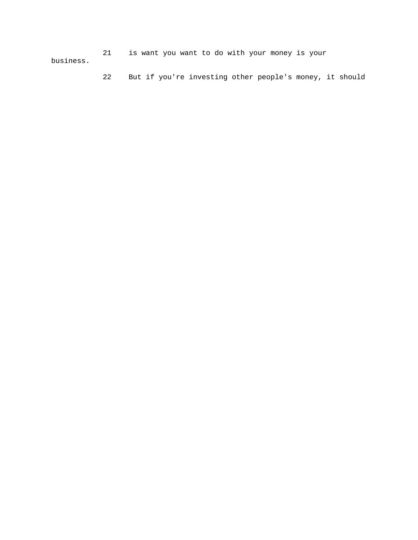21 is want you want to do with your money is your business.

22 But if you're investing other people's money, it should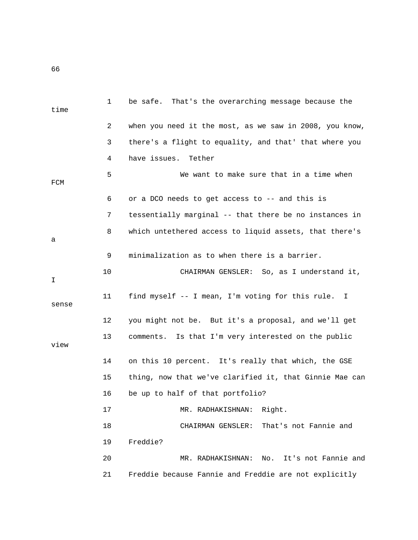1 be safe. That's the overarching message because the time 2 when you need it the most, as we saw in 2008, you know, 3 there's a flight to equality, and that' that where you 4 have issues. Tether 5 We want to make sure that in a time when FCM 6 or a DCO needs to get access to -- and this is 7 tessentially marginal -- that there be no instances in 8 which untethered access to liquid assets, that there's a 9 minimalization as to when there is a barrier. 10 CHAIRMAN GENSLER: So, as I understand it, I 11 find myself -- I mean, I'm voting for this rule. I sense 12 you might not be. But it's a proposal, and we'll get 13 comments. Is that I'm very interested on the public view 14 on this 10 percent. It's really that which, the GSE 15 thing, now that we've clarified it, that Ginnie Mae can 16 be up to half of that portfolio? 17 MR. RADHAKISHNAN: Right. 18 CHAIRMAN GENSLER: That's not Fannie and 19 Freddie? 20 MR. RADHAKISHNAN: No. It's not Fannie and 21 Freddie because Fannie and Freddie are not explicitly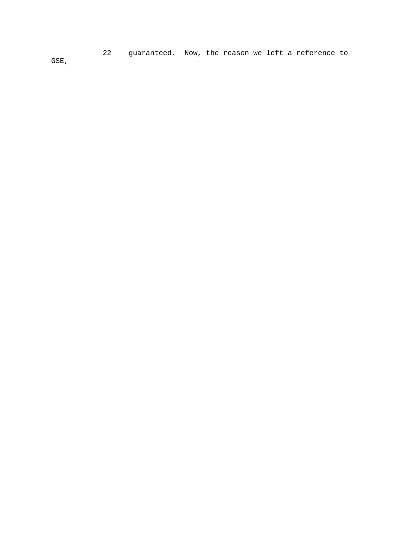22 guaranteed. Now, the reason we left a reference to GSE,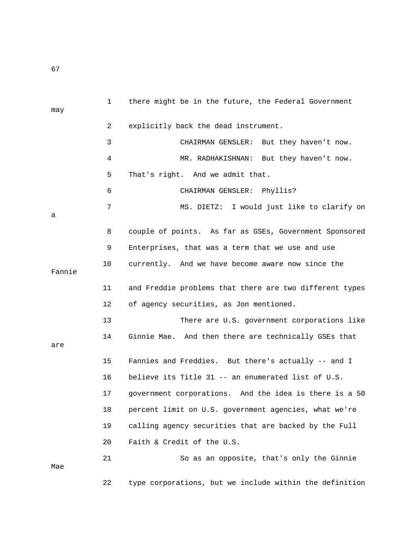1 there might be in the future, the Federal Government may 2 explicitly back the dead instrument. 3 CHAIRMAN GENSLER: But they haven't now. 4 MR. RADHAKISHNAN: But they haven't now. 5 That's right. And we admit that. 6 CHAIRMAN GENSLER: Phyllis? 7 MS. DIETZ: I would just like to clarify on a 8 couple of points. As far as GSEs, Government Sponsored 9 Enterprises, that was a term that we use and use 10 currently. And we have become aware now since the Fannie 11 and Freddie problems that there are two different types 12 of agency securities, as Jon mentioned. 13 There are U.S. government corporations like 14 Ginnie Mae. And then there are technically GSEs that are 15 Fannies and Freddies. But there's actually -- and I 16 believe its Title 31 -- an enumerated list of U.S. 17 government corporations. And the idea is there is a 50 18 percent limit on U.S. government agencies, what we're 19 calling agency securities that are backed by the Full 20 Faith & Credit of the U.S. 21 So as an opposite, that's only the Ginnie Mae 22 type corporations, but we include within the definition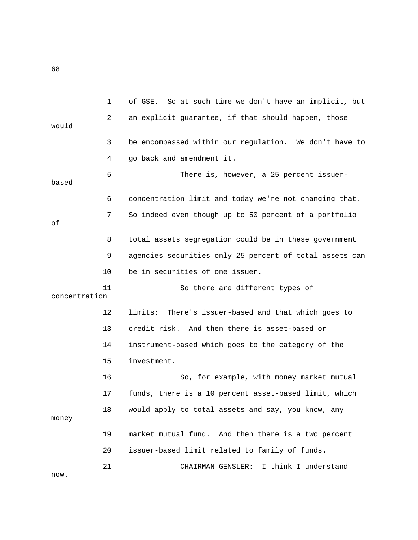1 of GSE. So at such time we don't have an implicit, but 2 an explicit guarantee, if that should happen, those would 3 be encompassed within our regulation. We don't have to 4 go back and amendment it. 5 There is, however, a 25 percent issuerbased 6 concentration limit and today we're not changing that. 7 So indeed even though up to 50 percent of a portfolio of 8 total assets segregation could be in these government 9 agencies securities only 25 percent of total assets can 10 be in securities of one issuer. 11 So there are different types of concentration 12 limits: There's issuer-based and that which goes to 13 credit risk. And then there is asset-based or 14 instrument-based which goes to the category of the 15 investment. 16 So, for example, with money market mutual 17 funds, there is a 10 percent asset-based limit, which 18 would apply to total assets and say, you know, any money 19 market mutual fund. And then there is a two percent 20 issuer-based limit related to family of funds. 21 CHAIRMAN GENSLER: I think I understand now.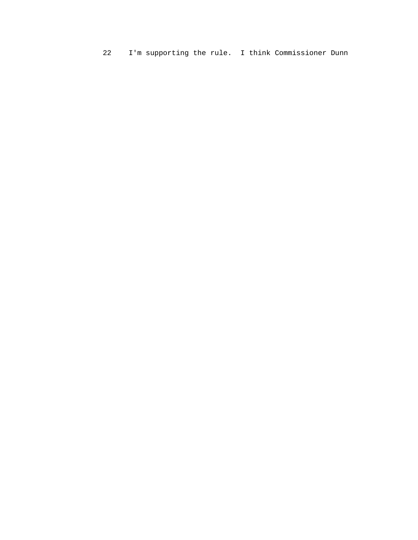22 I'm supporting the rule. I think Commissioner Dunn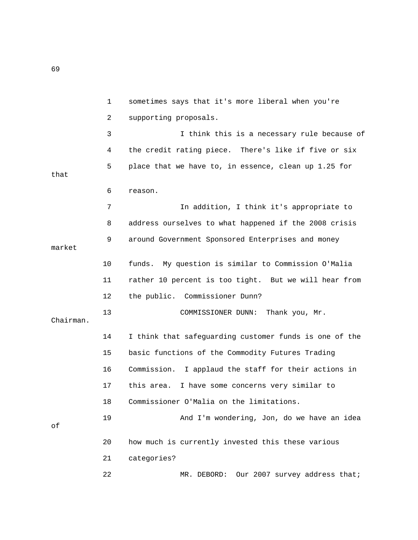|           | $\mathbf 1$ | sometimes says that it's more liberal when you're      |
|-----------|-------------|--------------------------------------------------------|
|           | 2           | supporting proposals.                                  |
|           | 3           | I think this is a necessary rule because of            |
|           | 4           | the credit rating piece. There's like if five or six   |
| that      | 5           | place that we have to, in essence, clean up 1.25 for   |
|           | 6           | reason.                                                |
|           | 7           | In addition, I think it's appropriate to               |
|           | 8           | address ourselves to what happened if the 2008 crisis  |
| market    | 9           | around Government Sponsored Enterprises and money      |
|           | 10          | My question is similar to Commission O'Malia<br>funds. |
|           | 11          | rather 10 percent is too tight. But we will hear from  |
|           | 12          | the public. Commissioner Dunn?                         |
| Chairman. | 13          | COMMISSIONER DUNN:<br>Thank you, Mr.                   |
|           | 14          | I think that safeguarding customer funds is one of the |
|           | 15          | basic functions of the Commodity Futures Trading       |
|           | 16          | Commission. I applaud the staff for their actions in   |
|           | 17          | this area. I have some concerns very similar to        |
|           | 18          | Commissioner O'Malia on the limitations.               |
| оf        | 19          | And I'm wondering, Jon, do we have an idea             |
|           | 20          | how much is currently invested this these various      |
|           | 21          | categories?                                            |
|           | 22          | Our 2007 survey address that;<br>MR. DEBORD:           |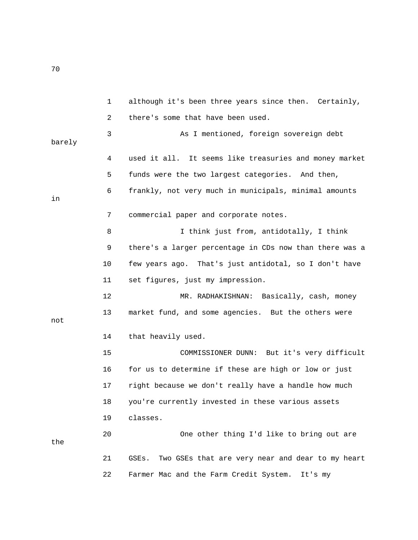1 although it's been three years since then. Certainly, 2 there's some that have been used. 3 As I mentioned, foreign sovereign debt barely 4 used it all. It seems like treasuries and money market 5 funds were the two largest categories. And then, 6 frankly, not very much in municipals, minimal amounts in 7 commercial paper and corporate notes. 8 I think just from, antidotally, I think 9 there's a larger percentage in CDs now than there was a 10 few years ago. That's just antidotal, so I don't have 11 set figures, just my impression. 12 MR. RADHAKISHNAN: Basically, cash, money 13 market fund, and some agencies. But the others were not 14 that heavily used. 15 COMMISSIONER DUNN: But it's very difficult 16 for us to determine if these are high or low or just 17 right because we don't really have a handle how much 18 you're currently invested in these various assets 19 classes. 20 One other thing I'd like to bring out are the 21 GSEs. Two GSEs that are very near and dear to my heart 22 Farmer Mac and the Farm Credit System. It's my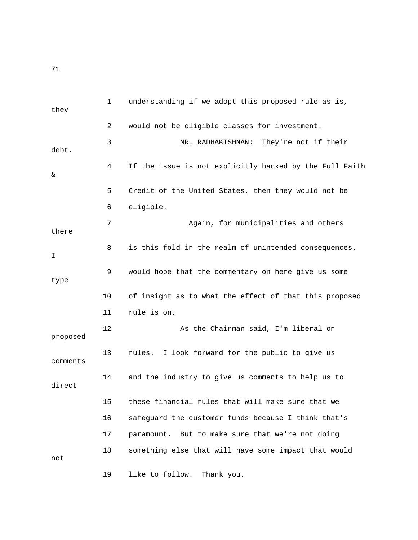1 understanding if we adopt this proposed rule as is, they 2 would not be eligible classes for investment. 3 MR. RADHAKISHNAN: They're not if their debt. 4 If the issue is not explicitly backed by the Full Faith & 5 Credit of the United States, then they would not be 6 eligible. 7 Again, for municipalities and others there 8 is this fold in the realm of unintended consequences.  $\mathbf I$  9 would hope that the commentary on here give us some type 10 of insight as to what the effect of that this proposed 11 rule is on. 12 As the Chairman said, I'm liberal on proposed 13 rules. I look forward for the public to give us comments 14 and the industry to give us comments to help us to direct 15 these financial rules that will make sure that we 16 safeguard the customer funds because I think that's 17 paramount. But to make sure that we're not doing 18 something else that will have some impact that would not 19 like to follow. Thank you.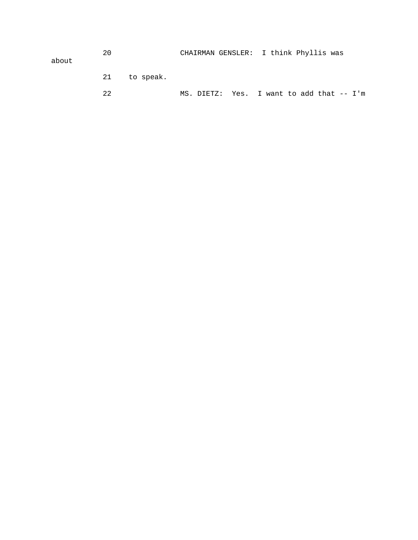|       | 20 |              | CHAIRMAN GENSLER: I think Phyllis was |
|-------|----|--------------|---------------------------------------|
| about |    |              |                                       |
|       |    |              |                                       |
|       |    | 21 to speak. |                                       |

22 MS. DIETZ: Yes. I want to add that -- I'm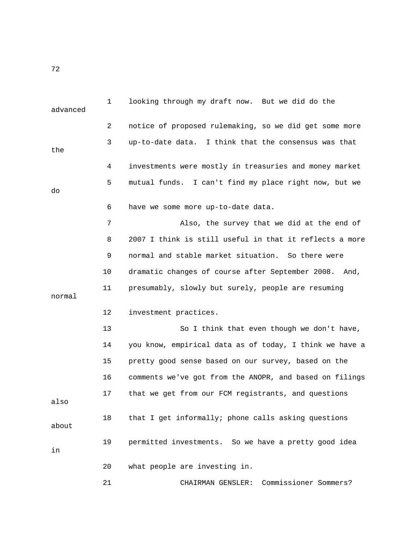1 looking through my draft now. But we did do the advanced 2 notice of proposed rulemaking, so we did get some more 3 up-to-date data. I think that the consensus was that the 4 investments were mostly in treasuries and money market 5 mutual funds. I can't find my place right now, but we do 6 have we some more up-to-date data. 7 Also, the survey that we did at the end of 8 2007 I think is still useful in that it reflects a more 9 normal and stable market situation. So there were 10 dramatic changes of course after September 2008. And, 11 presumably, slowly but surely, people are resuming normal 12 investment practices. 13 So I think that even though we don't have, 14 you know, empirical data as of today, I think we have a 15 pretty good sense based on our survey, based on the 16 comments we've got from the ANOPR, and based on filings 17 that we get from our FCM registrants, and questions also 18 that I get informally; phone calls asking questions about 19 permitted investments. So we have a pretty good idea in 20 what people are investing in. 21 CHAIRMAN GENSLER: Commissioner Sommers?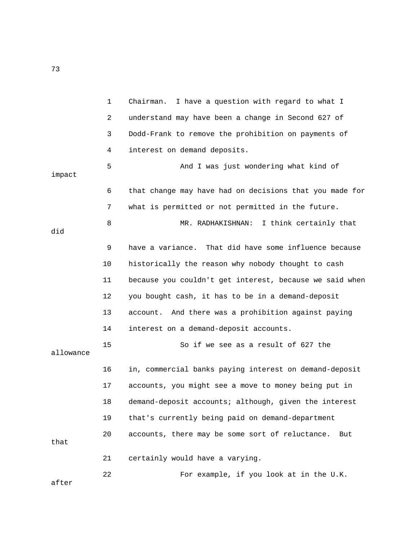|           | $\mathbf 1$ | I have a question with regard to what I<br>Chairman.    |
|-----------|-------------|---------------------------------------------------------|
|           | 2           | understand may have been a change in Second 627 of      |
|           | 3           | Dodd-Frank to remove the prohibition on payments of     |
|           | 4           | interest on demand deposits.                            |
| impact    | 5           | And I was just wondering what kind of                   |
|           | 6           | that change may have had on decisions that you made for |
|           | 7           | what is permitted or not permitted in the future.       |
| did       | 8           | MR. RADHAKISHNAN: I think certainly that                |
|           | 9           | have a variance. That did have some influence because   |
|           | 10          | historically the reason why nobody thought to cash      |
|           | 11          | because you couldn't get interest, because we said when |
|           | 12          | you bought cash, it has to be in a demand-deposit       |
|           | 13          | account. And there was a prohibition against paying     |
|           | 14          | interest on a demand-deposit accounts.                  |
| allowance | 15          | So if we see as a result of 627 the                     |
|           | 16          | in, commercial banks paying interest on demand-deposit  |
|           | 17          | accounts, you might see a move to money being put in    |
|           | 18          | demand-deposit accounts; although, given the interest   |
|           | 19          | that's currently being paid on demand-department        |
| that      | 20          | accounts, there may be some sort of reluctance.<br>But  |
|           | 21          | certainly would have a varying.                         |
|           | 22          | For example, if you look at in the U.K.                 |

after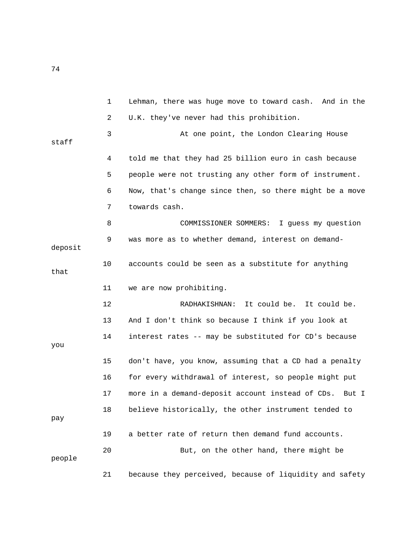1 Lehman, there was huge move to toward cash. And in the 2 U.K. they've never had this prohibition. 3 At one point, the London Clearing House staff 4 told me that they had 25 billion euro in cash because 5 people were not trusting any other form of instrument. 6 Now, that's change since then, so there might be a move 7 towards cash. 8 COMMISSIONER SOMMERS: I guess my question 9 was more as to whether demand, interest on demanddeposit 10 accounts could be seen as a substitute for anything that 11 we are now prohibiting. 12 RADHAKISHNAN: It could be. It could be. 13 And I don't think so because I think if you look at 14 interest rates -- may be substituted for CD's because you 15 don't have, you know, assuming that a CD had a penalty 16 for every withdrawal of interest, so people might put 17 more in a demand-deposit account instead of CDs. But I 18 believe historically, the other instrument tended to pay 19 a better rate of return then demand fund accounts. 20 But, on the other hand, there might be people 21 because they perceived, because of liquidity and safety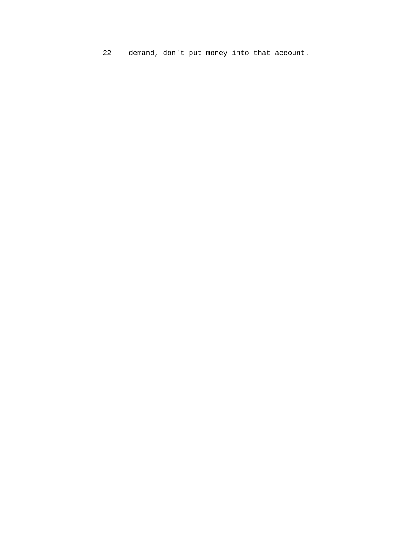22 demand, don't put money into that account.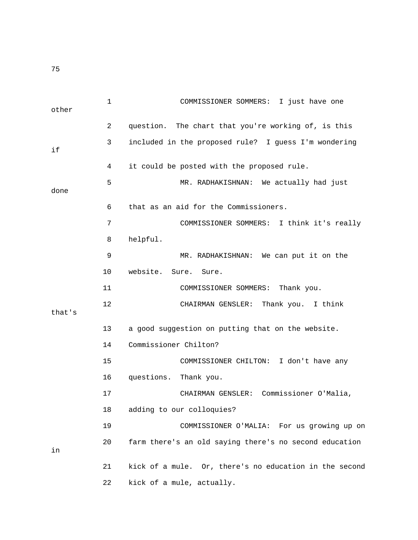1 COMMISSIONER SOMMERS: I just have one other 2 question. The chart that you're working of, is this 3 included in the proposed rule? I guess I'm wondering if 4 it could be posted with the proposed rule. 5 MR. RADHAKISHNAN: We actually had just done 6 that as an aid for the Commissioners. 7 COMMISSIONER SOMMERS: I think it's really 8 helpful. 9 MR. RADHAKISHNAN: We can put it on the 10 website. Sure. Sure. 11 COMMISSIONER SOMMERS: Thank you. 12 CHAIRMAN GENSLER: Thank you. I think that's 13 a good suggestion on putting that on the website. 14 Commissioner Chilton? 15 COMMISSIONER CHILTON: I don't have any 16 questions. Thank you. 17 CHAIRMAN GENSLER: Commissioner O'Malia, 18 adding to our colloquies? 19 COMMISSIONER O'MALIA: For us growing up on 20 farm there's an old saying there's no second education in 21 kick of a mule. Or, there's no education in the second 22 kick of a mule, actually.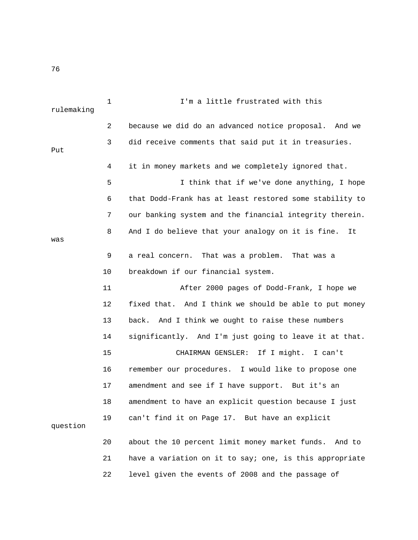| rulemaking | $\mathbf{1}$ | I'm a little frustrated with this                       |
|------------|--------------|---------------------------------------------------------|
|            | 2            | because we did do an advanced notice proposal. And we   |
| Put        | 3            | did receive comments that said put it in treasuries.    |
|            | 4            | it in money markets and we completely ignored that.     |
|            | 5            | I think that if we've done anything, I hope             |
|            | 6            | that Dodd-Frank has at least restored some stability to |
|            | 7            | our banking system and the financial integrity therein. |
| was        | 8            | And I do believe that your analogy on it is fine.<br>It |
|            | 9            | That was a problem. That was a<br>a real concern.       |
|            | 10           | breakdown if our financial system.                      |
|            | 11           | After 2000 pages of Dodd-Frank, I hope we               |
|            | 12           | fixed that. And I think we should be able to put money  |
|            | 13           | back. And I think we ought to raise these numbers       |
|            | 14           | significantly. And I'm just going to leave it at that.  |
|            | 15           | CHAIRMAN GENSLER: If I might. I can't                   |
|            | 16           | remember our procedures. I would like to propose one    |
|            | 17           | amendment and see if I have support. But it's an        |
|            | 18           | amendment to have an explicit question because I just   |
| question   | 19           | can't find it on Page 17. But have an explicit          |
|            | 20           | about the 10 percent limit money market funds. And to   |
|            | 21           | have a variation on it to say; one, is this appropriate |
|            | 22           | level given the events of 2008 and the passage of       |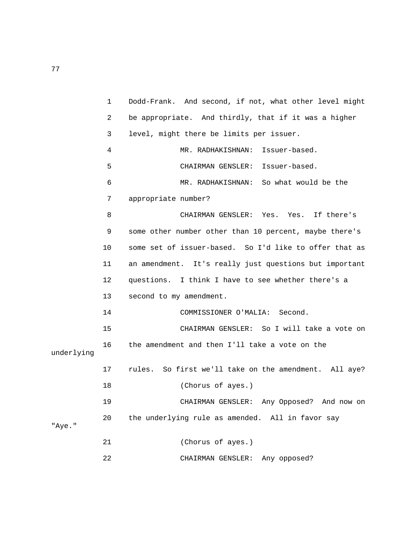|            | $\mathbf 1$ | Dodd-Frank. And second, if not, what other level might |
|------------|-------------|--------------------------------------------------------|
|            | 2           | be appropriate. And thirdly, that if it was a higher   |
|            | 3           | level, might there be limits per issuer.               |
|            | 4           | Issuer-based.<br>MR. RADHAKISHNAN:                     |
|            | 5           | CHAIRMAN GENSLER: Issuer-based.                        |
|            | 6           | MR. RADHAKISHNAN: So what would be the                 |
|            | 7           | appropriate number?                                    |
|            | 8           | CHAIRMAN GENSLER: Yes. Yes. If there's                 |
|            | 9           | some other number other than 10 percent, maybe there's |
|            | 10          | some set of issuer-based. So I'd like to offer that as |
|            | 11          | an amendment. It's really just questions but important |
|            | 12          | questions. I think I have to see whether there's a     |
|            | 13          | second to my amendment.                                |
|            | 14          | COMMISSIONER O'MALIA: Second.                          |
|            | 15          | CHAIRMAN GENSLER: So I will take a vote on             |
| underlying | 16          | the amendment and then I'll take a vote on the         |
|            | $17 \,$     | rules. So first we'll take on the amendment. All aye?  |
|            | 18          | (Chorus of ayes.)                                      |
|            | 19          | CHAIRMAN GENSLER: Any Opposed? And now on              |
| "Aye."     | 20          | the underlying rule as amended. All in favor say       |
|            | 21          | (Chorus of ayes.)                                      |
|            | 22          | Any opposed?<br>CHAIRMAN GENSLER:                      |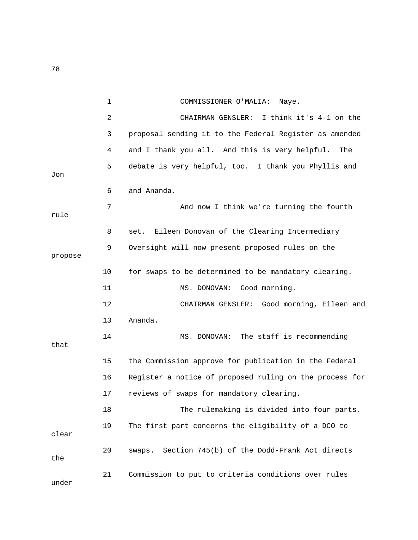|         | $\mathbf 1$ | COMMISSIONER O'MALIA:<br>Naye.                          |
|---------|-------------|---------------------------------------------------------|
|         | 2           | I think it's 4-1 on the<br>CHAIRMAN GENSLER:            |
|         | 3           | proposal sending it to the Federal Register as amended  |
|         | 4           | and I thank you all. And this is very helpful.<br>The   |
| Jon     | 5           | debate is very helpful, too. I thank you Phyllis and    |
|         | 6           | and Ananda.                                             |
| rule    | 7           | And now I think we're turning the fourth                |
|         | 8           | Eileen Donovan of the Clearing Intermediary<br>set.     |
| propose | 9           | Oversight will now present proposed rules on the        |
|         | 10          | for swaps to be determined to be mandatory clearing.    |
|         | 11          | MS. DONOVAN:<br>Good morning.                           |
|         | 12          | CHAIRMAN GENSLER: Good morning, Eileen and              |
|         | 13          | Ananda.                                                 |
| that    | 14          | MS. DONOVAN: The staff is recommending                  |
|         | 15          | the Commission approve for publication in the Federal   |
|         | 16          | Register a notice of proposed ruling on the process for |
|         | 17          | reviews of swaps for mandatory clearing.                |
|         | 18          | The rulemaking is divided into four parts.              |
| clear   | 19          | The first part concerns the eligibility of a DCO to     |
| the     | 20          | Section 745(b) of the Dodd-Frank Act directs<br>swaps.  |
| under   | 21          | Commission to put to criteria conditions over rules     |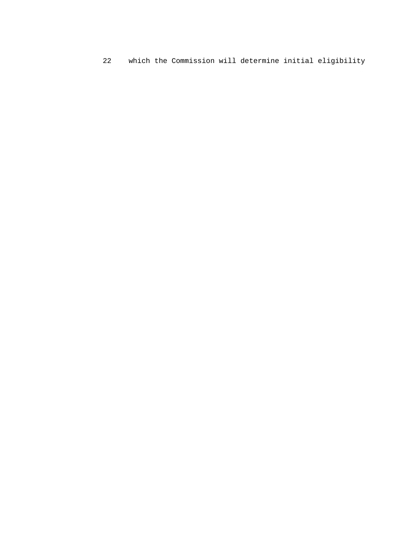$22$ which the Commission will determine initial eligibility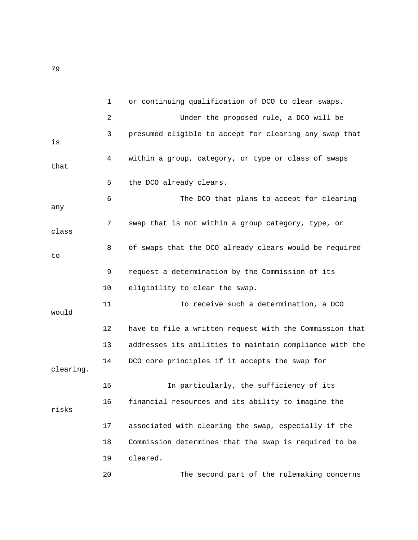1 or continuing qualification of DCO to clear swaps. 2 Under the proposed rule, a DCO will be 3 presumed eligible to accept for clearing any swap that is 4 within a group, category, or type or class of swaps that 5 the DCO already clears. 6 The DCO that plans to accept for clearing any 7 swap that is not within a group category, type, or class 8 of swaps that the DCO already clears would be required to 9 request a determination by the Commission of its 10 eligibility to clear the swap. 11 To receive such a determination, a DCO would 12 have to file a written request with the Commission that 13 addresses its abilities to maintain compliance with the 14 DCO core principles if it accepts the swap for clearing. 15 In particularly, the sufficiency of its 16 financial resources and its ability to imagine the risks 17 associated with clearing the swap, especially if the 18 Commission determines that the swap is required to be 19 cleared. 20 The second part of the rulemaking concerns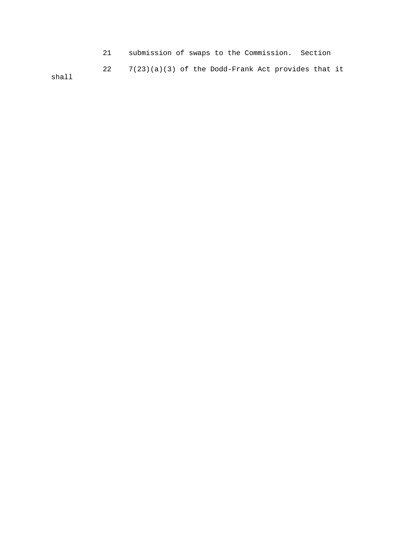21 submission of swaps to the Commission. Section 22 7(23)(a)(3) of the Dodd-Frank Act provides that it shall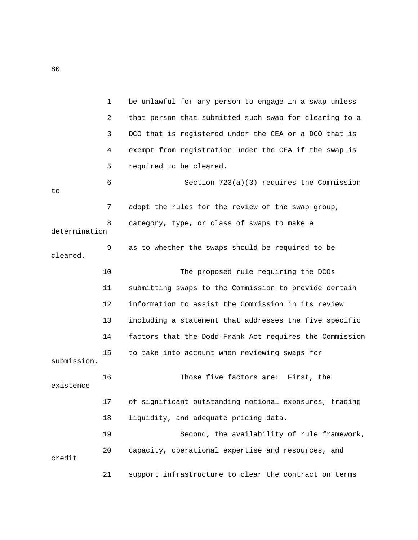|               | 1  | be unlawful for any person to engage in a swap unless   |
|---------------|----|---------------------------------------------------------|
|               | 2  | that person that submitted such swap for clearing to a  |
|               | 3  | DCO that is registered under the CEA or a DCO that is   |
|               | 4  | exempt from registration under the CEA if the swap is   |
|               | 5  | required to be cleared.                                 |
| to            | 6  | Section 723(a)(3) requires the Commission               |
|               | 7  | adopt the rules for the review of the swap group,       |
| determination | 8  | category, type, or class of swaps to make a             |
| cleared.      | 9  | as to whether the swaps should be required to be        |
|               | 10 | The proposed rule requiring the DCOs                    |
|               | 11 | submitting swaps to the Commission to provide certain   |
|               | 12 | information to assist the Commission in its review      |
|               | 13 | including a statement that addresses the five specific  |
|               | 14 | factors that the Dodd-Frank Act requires the Commission |
| submission.   | 15 | to take into account when reviewing swaps for           |
| existence     | 16 | Those five factors are: First, the                      |
|               | 17 | of significant outstanding notional exposures, trading  |
|               | 18 | liquidity, and adequate pricing data.                   |
|               | 19 | Second, the availability of rule framework,             |
| credit        | 20 | capacity, operational expertise and resources, and      |
|               | 21 | support infrastructure to clear the contract on terms   |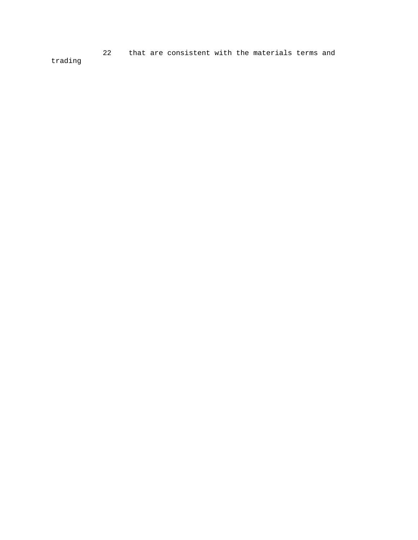22 that are consistent with the materials terms and trading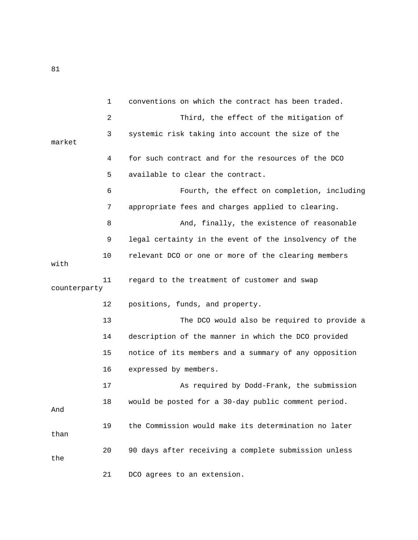1 conventions on which the contract has been traded. 2 Third, the effect of the mitigation of 3 systemic risk taking into account the size of the market 4 for such contract and for the resources of the DCO 5 available to clear the contract. 6 Fourth, the effect on completion, including 7 appropriate fees and charges applied to clearing. 8 And, finally, the existence of reasonable 9 legal certainty in the event of the insolvency of the 10 relevant DCO or one or more of the clearing members with 11 regard to the treatment of customer and swap counterparty 12 positions, funds, and property. 13 The DCO would also be required to provide a 14 description of the manner in which the DCO provided 15 notice of its members and a summary of any opposition 16 expressed by members. 17 As required by Dodd-Frank, the submission 18 would be posted for a 30-day public comment period. And 19 the Commission would make its determination no later than 20 90 days after receiving a complete submission unless the 21 DCO agrees to an extension.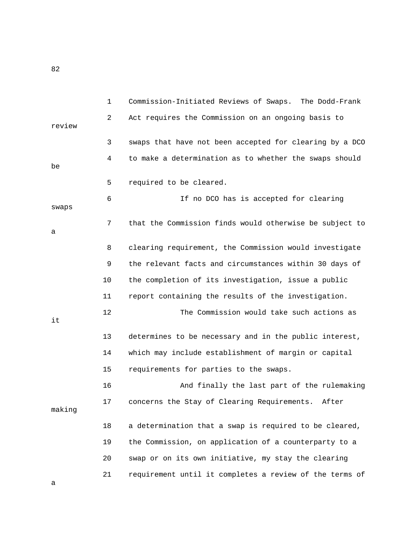1 Commission-Initiated Reviews of Swaps. The Dodd-Frank 2 Act requires the Commission on an ongoing basis to review 3 swaps that have not been accepted for clearing by a DCO 4 to make a determination as to whether the swaps should be 5 required to be cleared. 6 If no DCO has is accepted for clearing swaps 7 that the Commission finds would otherwise be subject to a 8 clearing requirement, the Commission would investigate 9 the relevant facts and circumstances within 30 days of 10 the completion of its investigation, issue a public 11 report containing the results of the investigation. 12 The Commission would take such actions as it 13 determines to be necessary and in the public interest, 14 which may include establishment of margin or capital 15 requirements for parties to the swaps. 16 And finally the last part of the rulemaking 17 concerns the Stay of Clearing Requirements. After making 18 a determination that a swap is required to be cleared, 19 the Commission, on application of a counterparty to a 20 swap or on its own initiative, my stay the clearing 21 requirement until it completes a review of the terms of a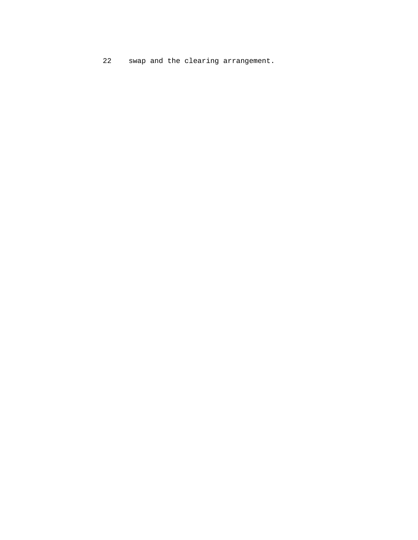22 swap and the clearing arrangement.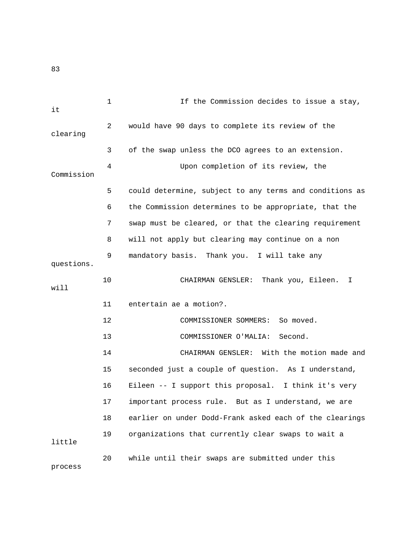1 If the Commission decides to issue a stay, it 2 would have 90 days to complete its review of the clearing 3 of the swap unless the DCO agrees to an extension. 4 Upon completion of its review, the Commission 5 could determine, subject to any terms and conditions as 6 the Commission determines to be appropriate, that the 7 swap must be cleared, or that the clearing requirement 8 will not apply but clearing may continue on a non 9 mandatory basis. Thank you. I will take any questions. 10 CHAIRMAN GENSLER: Thank you, Eileen. I will 11 entertain ae a motion?. 12 COMMISSIONER SOMMERS: So moved. 13 COMMISSIONER O'MALIA: Second. 14 CHAIRMAN GENSLER: With the motion made and 15 seconded just a couple of question. As I understand, 16 Eileen -- I support this proposal. I think it's very 17 important process rule. But as I understand, we are 18 earlier on under Dodd-Frank asked each of the clearings 19 organizations that currently clear swaps to wait a little 20 while until their swaps are submitted under this process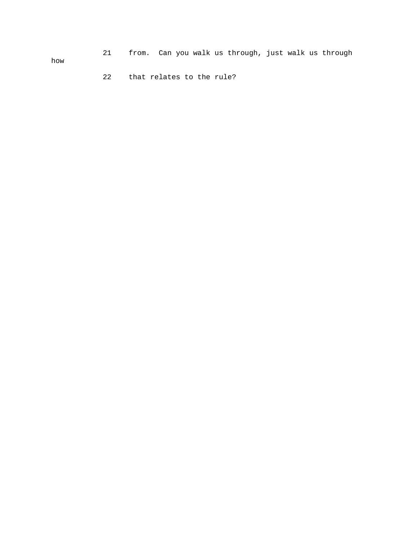21 from. Can you walk us through, just walk us through

how

22 that relates to the rule?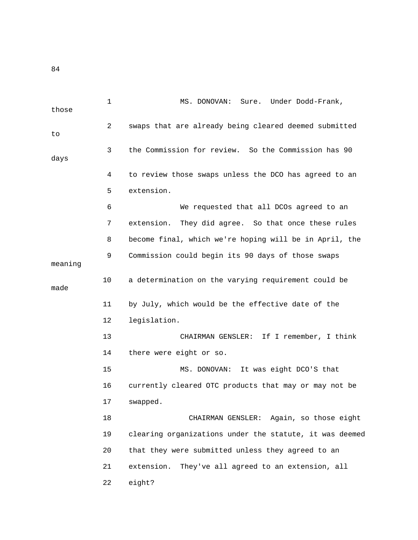1 MS. DONOVAN: Sure. Under Dodd-Frank, those 2 swaps that are already being cleared deemed submitted to 3 the Commission for review. So the Commission has 90 days 4 to review those swaps unless the DCO has agreed to an 5 extension. 6 We requested that all DCOs agreed to an 7 extension. They did agree. So that once these rules 8 become final, which we're hoping will be in April, the 9 Commission could begin its 90 days of those swaps meaning 10 a determination on the varying requirement could be made 11 by July, which would be the effective date of the 12 legislation. 13 CHAIRMAN GENSLER: If I remember, I think 14 there were eight or so. 15 MS. DONOVAN: It was eight DCO'S that 16 currently cleared OTC products that may or may not be 17 swapped. 18 CHAIRMAN GENSLER: Again, so those eight 19 clearing organizations under the statute, it was deemed 20 that they were submitted unless they agreed to an 21 extension. They've all agreed to an extension, all 22 eight?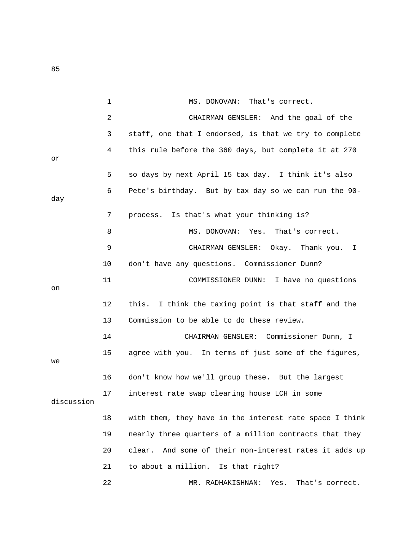|            | 1  | MS. DONOVAN:<br>That's correct.                           |
|------------|----|-----------------------------------------------------------|
|            | 2  | CHAIRMAN GENSLER: And the goal of the                     |
|            | 3  | staff, one that I endorsed, is that we try to complete    |
| оr         | 4  | this rule before the 360 days, but complete it at 270     |
|            | 5  | so days by next April 15 tax day. I think it's also       |
| day        | 6  | Pete's birthday. But by tax day so we can run the 90-     |
|            | 7  | process. Is that's what your thinking is?                 |
|            | 8  | MS. DONOVAN: Yes. That's correct.                         |
|            | 9  | CHAIRMAN GENSLER: Okay. Thank you.<br>I                   |
|            | 10 | don't have any questions. Commissioner Dunn?              |
| on         | 11 | COMMISSIONER DUNN: I have no questions                    |
|            | 12 | this. I think the taxing point is that staff and the      |
|            | 13 | Commission to be able to do these review.                 |
|            | 14 | CHAIRMAN GENSLER: Commissioner Dunn, I                    |
| we         | 15 | agree with you. In terms of just some of the figures,     |
|            | 16 | don't know how we'll group these. But the largest         |
| discussion | 17 | interest rate swap clearing house LCH in some             |
|            | 18 | with them, they have in the interest rate space I think   |
|            | 19 | nearly three quarters of a million contracts that they    |
|            | 20 | And some of their non-interest rates it adds up<br>clear. |
|            | 21 | to about a million. Is that right?                        |
|            | 22 | MR. RADHAKISHNAN:<br>Yes.<br>That's correct.              |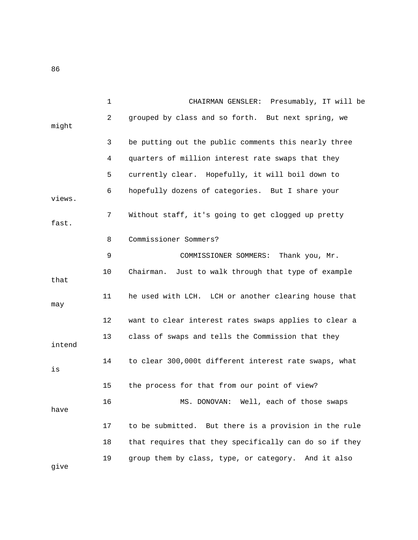|        | $\mathbf{1}$ | CHAIRMAN GENSLER: Presumably, IT will be               |
|--------|--------------|--------------------------------------------------------|
| might  | 2            | grouped by class and so forth. But next spring, we     |
|        | 3            | be putting out the public comments this nearly three   |
|        | 4            | quarters of million interest rate swaps that they      |
|        | 5            | currently clear. Hopefully, it will boil down to       |
| views. | 6            | hopefully dozens of categories. But I share your       |
| fast.  | 7            | Without staff, it's going to get clogged up pretty     |
|        | 8            | Commissioner Sommers?                                  |
|        | 9            | COMMISSIONER SOMMERS: Thank you, Mr.                   |
| that   | 10           | Just to walk through that type of example<br>Chairman. |
| may    | 11           | he used with LCH. LCH or another clearing house that   |
|        | 12           | want to clear interest rates swaps applies to clear a  |
| intend | 13           | class of swaps and tells the Commission that they      |
| is     | 14           | to clear 300,000t different interest rate swaps, what  |
|        | 15           | the process for that from our point of view?           |
| have   | 16           | MS. DONOVAN: Well, each of those swaps                 |
|        | 17           | to be submitted. But there is a provision in the rule  |
|        | 18           | that requires that they specifically can do so if they |
| give   | 19           | group them by class, type, or category. And it also    |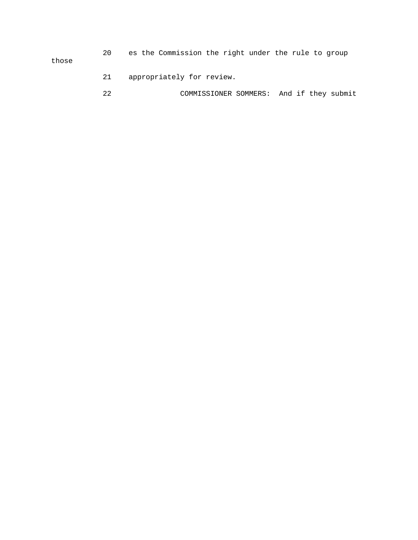20 es the Commission the right under the rule to group those

- 21 appropriately for review.
- 22 COMMISSIONER SOMMERS: And if they submit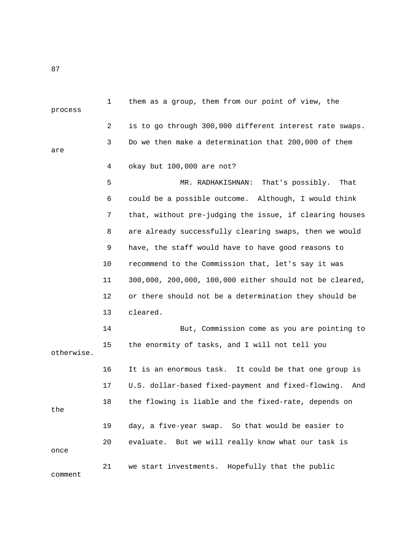| process    | $\mathbf{1}$ | them as a group, them from our point of view, the         |
|------------|--------------|-----------------------------------------------------------|
|            | 2            | is to go through 300,000 different interest rate swaps.   |
| are        | 3            | Do we then make a determination that 200,000 of them      |
|            | 4            | okay but 100,000 are not?                                 |
|            | 5            | That's possibly.<br>MR. RADHAKISHNAN:<br>That             |
|            | 6            | could be a possible outcome. Although, I would think      |
|            | 7            | that, without pre-judging the issue, if clearing houses   |
|            | 8            | are already successfully clearing swaps, then we would    |
|            | 9            | have, the staff would have to have good reasons to        |
|            | 10           | recommend to the Commission that, let's say it was        |
|            | 11           | 300,000, 200,000, 100,000 either should not be cleared,   |
|            | 12           | or there should not be a determination they should be     |
|            | 13           | cleared.                                                  |
|            | 14           | But, Commission come as you are pointing to               |
| otherwise. | 15           | the enormity of tasks, and I will not tell you            |
|            | 16           | It is an enormous task. It could be that one group is     |
|            | 17           | U.S. dollar-based fixed-payment and fixed-flowing.<br>And |
| the        | 18           | the flowing is liable and the fixed-rate, depends on      |
|            | 19           | day, a five-year swap. So that would be easier to         |
| once       | 20           | evaluate. But we will really know what our task is        |
| comment    | 21           | we start investments. Hopefully that the public           |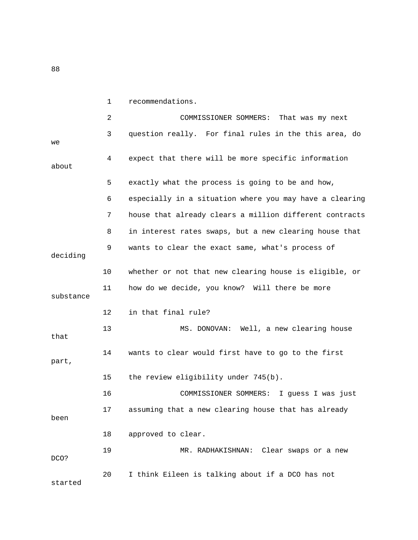1 recommendations. 2 COMMISSIONER SOMMERS: That was my next 3 question really. For final rules in the this area, do we 4 expect that there will be more specific information about 5 exactly what the process is going to be and how, 6 especially in a situation where you may have a clearing 7 house that already clears a million different contracts 8 in interest rates swaps, but a new clearing house that 9 wants to clear the exact same, what's process of deciding 10 whether or not that new clearing house is eligible, or 11 how do we decide, you know? Will there be more substance 12 in that final rule? 13 MS. DONOVAN: Well, a new clearing house that 14 wants to clear would first have to go to the first part, 15 the review eligibility under 745(b). 16 COMMISSIONER SOMMERS: I guess I was just 17 assuming that a new clearing house that has already been 18 approved to clear. 19 MR. RADHAKISHNAN: Clear swaps or a new DCO? 20 I think Eileen is talking about if a DCO has not started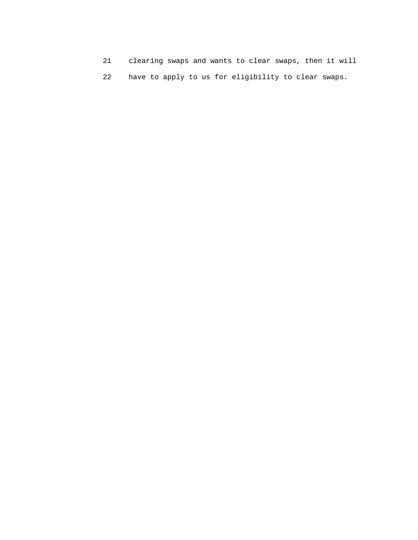- 21 clearing swaps and wants to clear swaps, then it will
- 22 have to apply to us for eligibility to clear swaps.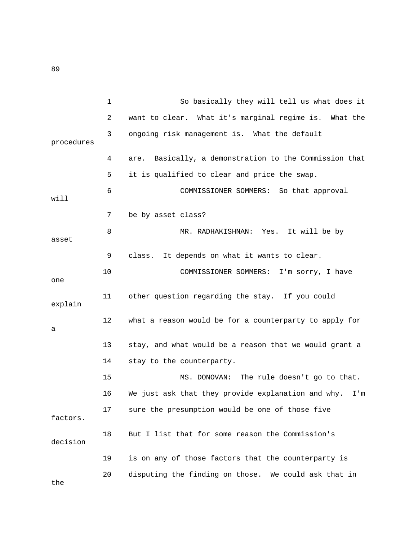|            | $\mathbf{1}$ | So basically they will tell us what does it               |
|------------|--------------|-----------------------------------------------------------|
|            | 2            | want to clear. What it's marginal regime is. What the     |
| procedures | 3            | ongoing risk management is. What the default              |
|            | 4            | Basically, a demonstration to the Commission that<br>are. |
|            | 5            | it is qualified to clear and price the swap.              |
| will       | 6            | COMMISSIONER SOMMERS: So that approval                    |
|            | 7            | be by asset class?                                        |
| asset      | 8            | MR. RADHAKISHNAN: Yes. It will be by                      |
|            | 9            | It depends on what it wants to clear.<br>class.           |
| one        | 10           | COMMISSIONER SOMMERS: I'm sorry, I have                   |
| explain    | 11           | other question regarding the stay. If you could           |
| a          | 12           | what a reason would be for a counterparty to apply for    |
|            | 13           | stay, and what would be a reason that we would grant a    |
|            | 14           | stay to the counterparty.                                 |
|            | 15           | MS. DONOVAN: The rule doesn't go to that.                 |
|            | 16           | We just ask that they provide explanation and why.<br>I'm |
| factors.   | 17           | sure the presumption would be one of those five           |
| decision   | 18           | But I list that for some reason the Commission's          |
|            | 19           | is on any of those factors that the counterparty is       |
| the        | 20           | disputing the finding on those. We could ask that in      |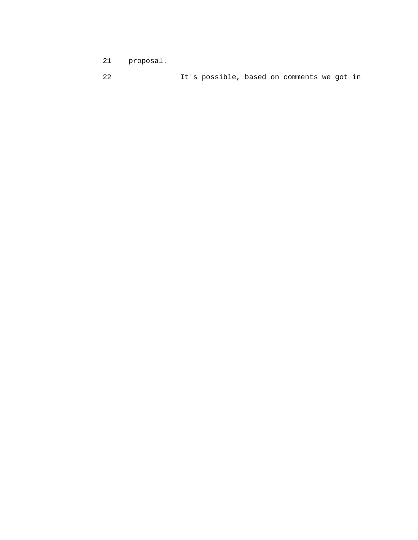- 21 proposal.
- 22 It's possible, based on comments we got in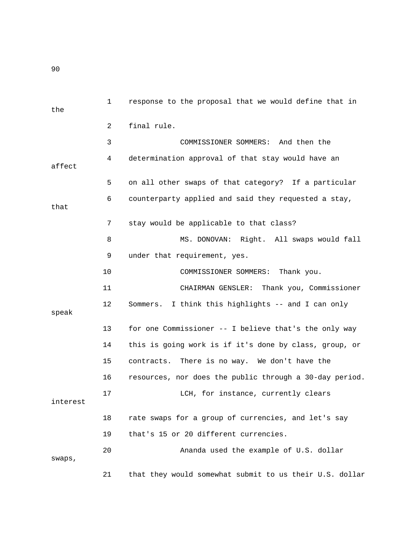| the      | 1  | response to the proposal that we would define that in   |
|----------|----|---------------------------------------------------------|
|          | 2  | final rule.                                             |
|          | 3  | COMMISSIONER SOMMERS: And then the                      |
| affect   | 4  | determination approval of that stay would have an       |
|          | 5  | on all other swaps of that category? If a particular    |
| that     | 6  | counterparty applied and said they requested a stay,    |
|          | 7  | stay would be applicable to that class?                 |
|          | 8  | MS. DONOVAN: Right. All swaps would fall                |
|          | 9  | under that requirement, yes.                            |
|          | 10 | COMMISSIONER SOMMERS:<br>Thank you.                     |
|          | 11 | Thank you, Commissioner<br>CHAIRMAN GENSLER:            |
| speak    | 12 | Sommers. I think this highlights -- and I can only      |
|          | 13 | for one Commissioner -- I believe that's the only way   |
|          | 14 | this is going work is if it's done by class, group, or  |
|          | 15 | contracts. There is no way. We don't have the           |
|          | 16 | resources, nor does the public through a 30-day period. |
| interest | 17 | LCH, for instance, currently clears                     |
|          | 18 | rate swaps for a group of currencies, and let's say     |
|          | 19 | that's 15 or 20 different currencies.                   |
| swaps,   | 20 | Ananda used the example of U.S. dollar                  |
|          | 21 | that they would somewhat submit to us their U.S. dollar |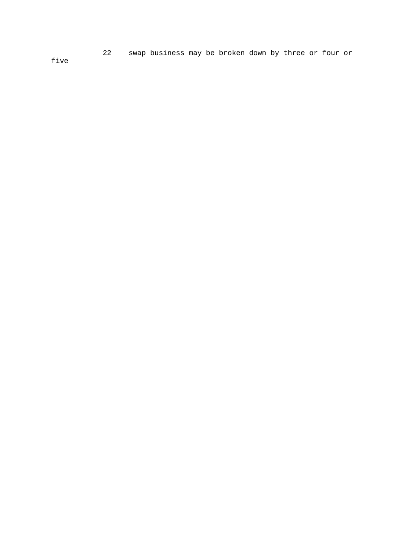22 swap business may be broken down by three or four or

five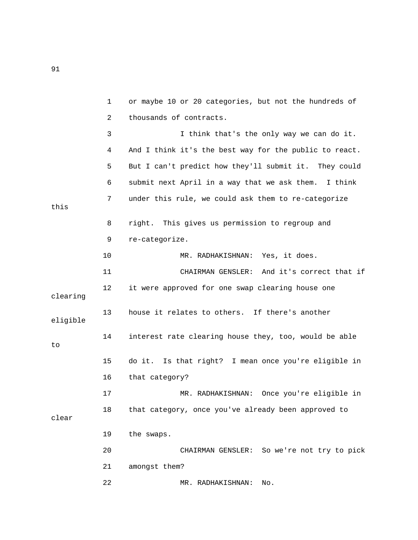|          | $\mathbf{1}$ | or maybe 10 or 20 categories, but not the hundreds of   |
|----------|--------------|---------------------------------------------------------|
|          | 2            | thousands of contracts.                                 |
|          | 3            | I think that's the only way we can do it.               |
|          | 4            | And I think it's the best way for the public to react.  |
|          | 5            | But I can't predict how they'll submit it. They could   |
|          | 6            | submit next April in a way that we ask them.<br>I think |
| this     | 7            | under this rule, we could ask them to re-categorize     |
|          | 8            | right. This gives us permission to regroup and          |
|          | 9            | re-categorize.                                          |
|          | 10           | MR. RADHAKISHNAN: Yes, it does.                         |
|          | 11           | CHAIRMAN GENSLER: And it's correct that if              |
| clearing | 12           | it were approved for one swap clearing house one        |
| eligible | 13           | house it relates to others. If there's another          |
| to       | 14           | interest rate clearing house they, too, would be able   |
|          | 15           | do it. Is that right? I mean once you're eligible in    |
|          | 16           | that category?                                          |
|          | 17           | MR. RADHAKISHNAN: Once you're eligible in               |
| clear    | 18           | that category, once you've already been approved to     |
|          | 19           | the swaps.                                              |
|          | 20           | CHAIRMAN GENSLER: So we're not try to pick              |
|          | 21           | amongst them?                                           |
|          | 22           | MR. RADHAKISHNAN:<br>No.                                |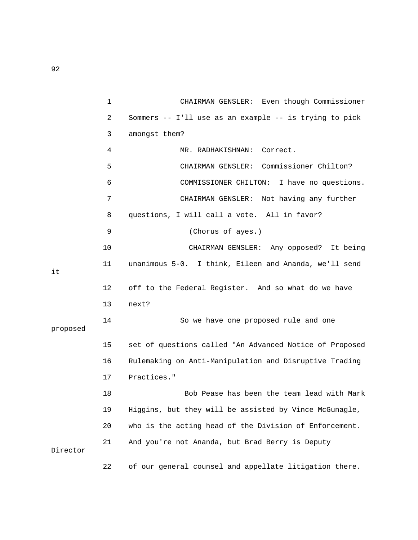|          | 1  | CHAIRMAN GENSLER: Even though Commissioner              |
|----------|----|---------------------------------------------------------|
|          | 2  | Sommers -- I'll use as an example -- is trying to pick  |
|          | 3  | amongst them?                                           |
|          | 4  | MR. RADHAKISHNAN: Correct.                              |
|          | 5  | CHAIRMAN GENSLER: Commissioner Chilton?                 |
|          | 6  | COMMISSIONER CHILTON: I have no questions.              |
|          | 7  | CHAIRMAN GENSLER: Not having any further                |
|          | 8  | questions, I will call a vote. All in favor?            |
|          | 9  | (Chorus of ayes.)                                       |
|          | 10 | CHAIRMAN GENSLER: Any opposed? It being                 |
| it       | 11 | unanimous 5-0. I think, Eileen and Ananda, we'll send   |
|          | 12 | off to the Federal Register. And so what do we have     |
|          | 13 | next?                                                   |
| proposed | 14 | So we have one proposed rule and one                    |
|          | 15 | set of questions called "An Advanced Notice of Proposed |
|          | 16 | Rulemaking on Anti-Manipulation and Disruptive Trading  |
|          | 17 | Practices."                                             |
|          | 18 | Bob Pease has been the team lead with Mark              |
|          | 19 | Higgins, but they will be assisted by Vince McGunagle,  |
|          | 20 | who is the acting head of the Division of Enforcement.  |
| Director | 21 | And you're not Ananda, but Brad Berry is Deputy         |
|          | 22 | of our general counsel and appellate litigation there.  |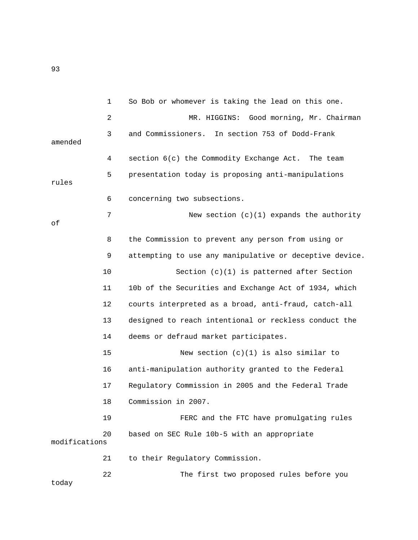|               | 1  | So Bob or whomever is taking the lead on this one.      |
|---------------|----|---------------------------------------------------------|
|               | 2  | MR. HIGGINS: Good morning, Mr. Chairman                 |
| amended       | 3  | and Commissioners. In section 753 of Dodd-Frank         |
|               | 4  | section 6(c) the Commodity Exchange Act. The team       |
| rules         | 5  | presentation today is proposing anti-manipulations      |
|               | 6  | concerning two subsections.                             |
| οf            | 7  | New section $(c)(1)$ expands the authority              |
|               | 8  | the Commission to prevent any person from using or      |
|               | 9  | attempting to use any manipulative or deceptive device. |
|               | 10 | Section $(c)(1)$ is patterned after Section             |
|               | 11 | 10b of the Securities and Exchange Act of 1934, which   |
|               | 12 | courts interpreted as a broad, anti-fraud, catch-all    |
|               | 13 | designed to reach intentional or reckless conduct the   |
|               | 14 | deems or defraud market participates.                   |
|               | 15 | New section $(c)(1)$ is also similar to                 |
|               | 16 | anti-manipulation authority granted to the Federal      |
|               | 17 | Regulatory Commission in 2005 and the Federal Trade     |
|               | 18 | Commission in 2007.                                     |
|               | 19 | FERC and the FTC have promulgating rules                |
| modifications | 20 | based on SEC Rule 10b-5 with an appropriate             |
|               | 21 | to their Regulatory Commission.                         |
| today         | 22 | The first two proposed rules before you                 |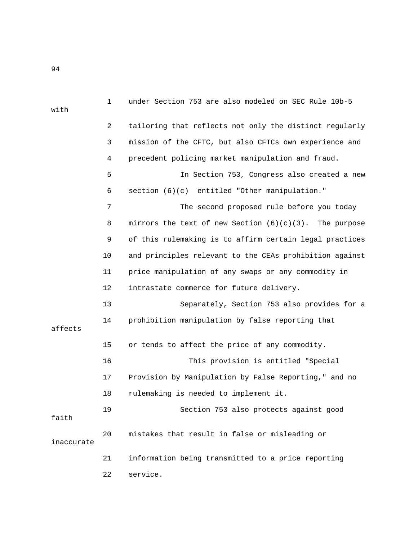| with       | $\mathbf 1$ | under Section 753 are also modeled on SEC Rule 10b-5      |
|------------|-------------|-----------------------------------------------------------|
|            | 2           | tailoring that reflects not only the distinct regularly   |
|            |             |                                                           |
|            | 3           | mission of the CFTC, but also CFTCs own experience and    |
|            | 4           | precedent policing market manipulation and fraud.         |
|            | 5           | In Section 753, Congress also created a new               |
|            | 6           | section (6)(c) entitled "Other manipulation."             |
|            | 7           | The second proposed rule before you today                 |
|            | 8           | mirrors the text of new Section $(6)(c)(3)$ . The purpose |
|            | 9           | of this rulemaking is to affirm certain legal practices   |
|            | 10          | and principles relevant to the CEAs prohibition against   |
|            | 11          | price manipulation of any swaps or any commodity in       |
|            | 12          | intrastate commerce for future delivery.                  |
|            | 13          | Separately, Section 753 also provides for a               |
| affects    | 14          | prohibition manipulation by false reporting that          |
|            | 15          | or tends to affect the price of any commodity.            |
|            | 16          | This provision is entitled "Special                       |
|            | 17          | Provision by Manipulation by False Reporting," and no     |
|            | 18          | rulemaking is needed to implement it.                     |
| faith      | 19          | Section 753 also protects against good                    |
| inaccurate | 20          | mistakes that result in false or misleading or            |
|            | 21          | information being transmitted to a price reporting        |
|            | 22          | service.                                                  |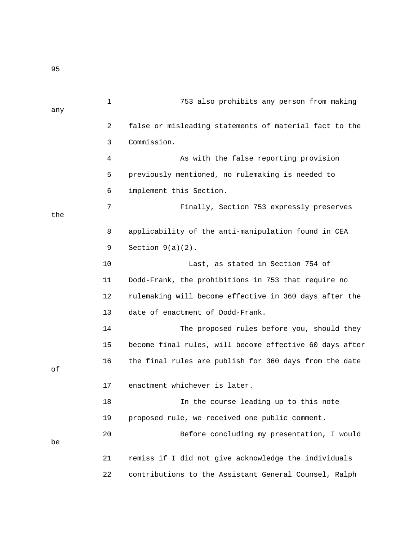1 753 also prohibits any person from making any 2 false or misleading statements of material fact to the 3 Commission. 4 As with the false reporting provision 5 previously mentioned, no rulemaking is needed to 6 implement this Section. 7 Finally, Section 753 expressly preserves the 8 applicability of the anti-manipulation found in CEA 9 Section 9(a)(2). 10 Last, as stated in Section 754 of 11 Dodd-Frank, the prohibitions in 753 that require no 12 rulemaking will become effective in 360 days after the 13 date of enactment of Dodd-Frank. 14 The proposed rules before you, should they 15 become final rules, will become effective 60 days after 16 the final rules are publish for 360 days from the date of 17 enactment whichever is later. 18 In the course leading up to this note 19 proposed rule, we received one public comment. 20 Before concluding my presentation, I would be 21 remiss if I did not give acknowledge the individuals 22 contributions to the Assistant General Counsel, Ralph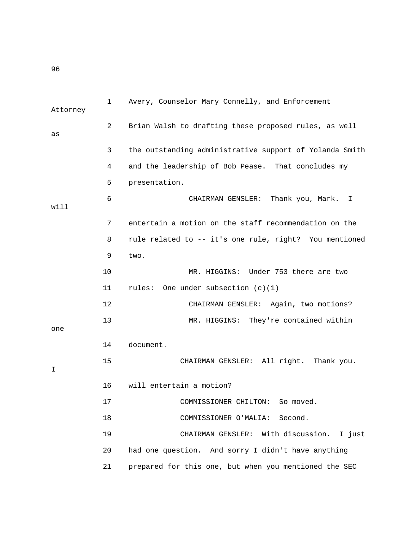1 Avery, Counselor Mary Connelly, and Enforcement Attorney 2 Brian Walsh to drafting these proposed rules, as well as 3 the outstanding administrative support of Yolanda Smith 4 and the leadership of Bob Pease. That concludes my 5 presentation. 6 CHAIRMAN GENSLER: Thank you, Mark. I will 7 entertain a motion on the staff recommendation on the 8 rule related to -- it's one rule, right? You mentioned 9 two. 10 MR. HIGGINS: Under 753 there are two 11 rules: One under subsection (c)(1) 12 CHAIRMAN GENSLER: Again, two motions? 13 MR. HIGGINS: They're contained within one 14 document. 15 CHAIRMAN GENSLER: All right. Thank you. I 16 will entertain a motion? 17 COMMISSIONER CHILTON: So moved. 18 COMMISSIONER O'MALIA: Second. 19 CHAIRMAN GENSLER: With discussion. I just 20 had one question. And sorry I didn't have anything 21 prepared for this one, but when you mentioned the SEC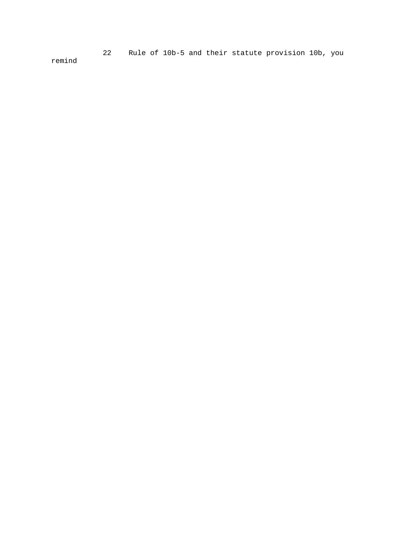22 Rule of 10b-5 and their statute provision 10b, you

remind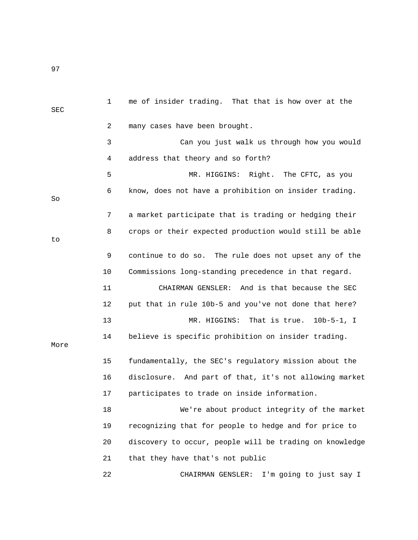1 me of insider trading. That that is how over at the SEC 2 many cases have been brought. 3 Can you just walk us through how you would 4 address that theory and so forth? 5 MR. HIGGINS: Right. The CFTC, as you 6 know, does not have a prohibition on insider trading. So 7 a market participate that is trading or hedging their 8 crops or their expected production would still be able to 9 continue to do so. The rule does not upset any of the 10 Commissions long-standing precedence in that regard. 11 CHAIRMAN GENSLER: And is that because the SEC 12 put that in rule 10b-5 and you've not done that here? 13 MR. HIGGINS: That is true. 10b-5-1, I 14 believe is specific prohibition on insider trading. More 15 fundamentally, the SEC's regulatory mission about the 16 disclosure. And part of that, it's not allowing market 17 participates to trade on inside information. 18 We're about product integrity of the market 19 recognizing that for people to hedge and for price to 20 discovery to occur, people will be trading on knowledge 21 that they have that's not public 22 CHAIRMAN GENSLER: I'm going to just say I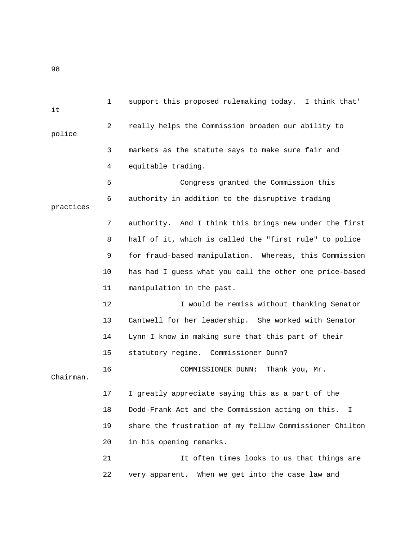1 support this proposed rulemaking today. I think that' it 2 really helps the Commission broaden our ability to police 3 markets as the statute says to make sure fair and 4 equitable trading. 5 Congress granted the Commission this 6 authority in addition to the disruptive trading practices 7 authority. And I think this brings new under the first 8 half of it, which is called the "first rule" to police 9 for fraud-based manipulation. Whereas, this Commission 10 has had I guess what you call the other one price-based 11 manipulation in the past. 12 I would be remiss without thanking Senator 13 Cantwell for her leadership. She worked with Senator 14 Lynn I know in making sure that this part of their 15 statutory regime. Commissioner Dunn? 16 COMMISSIONER DUNN: Thank you, Mr. Chairman. 17 I greatly appreciate saying this as a part of the 18 Dodd-Frank Act and the Commission acting on this. I 19 share the frustration of my fellow Commissioner Chilton 20 in his opening remarks. 21 It often times looks to us that things are 22 very apparent. When we get into the case law and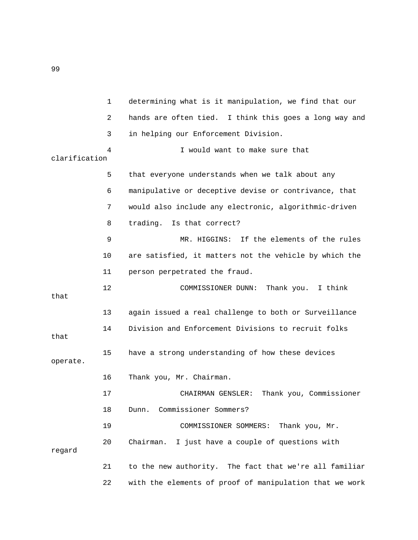1 determining what is it manipulation, we find that our 2 hands are often tied. I think this goes a long way and 3 in helping our Enforcement Division. 4 I would want to make sure that clarification 5 that everyone understands when we talk about any 6 manipulative or deceptive devise or contrivance, that 7 would also include any electronic, algorithmic-driven 8 trading. Is that correct? 9 MR. HIGGINS: If the elements of the rules 10 are satisfied, it matters not the vehicle by which the 11 person perpetrated the fraud. 12 COMMISSIONER DUNN: Thank you. I think that 13 again issued a real challenge to both or Surveillance 14 Division and Enforcement Divisions to recruit folks that 15 have a strong understanding of how these devices operate. 16 Thank you, Mr. Chairman. 17 CHAIRMAN GENSLER: Thank you, Commissioner 18 Dunn. Commissioner Sommers? 19 COMMISSIONER SOMMERS: Thank you, Mr. 20 Chairman. I just have a couple of questions with regard 21 to the new authority. The fact that we're all familiar 22 with the elements of proof of manipulation that we work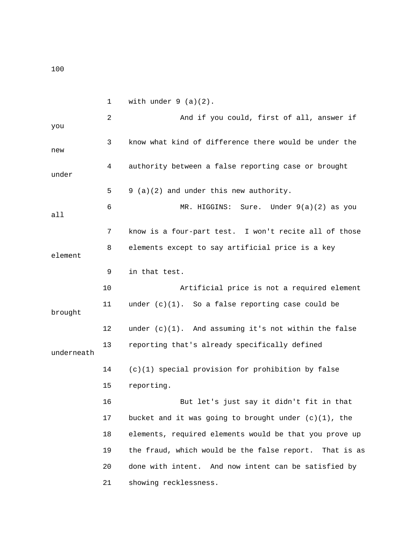100

1 with under  $9$  (a)(2). 2 And if you could, first of all, answer if you 3 know what kind of difference there would be under the new 4 authority between a false reporting case or brought under 5 9 (a)(2) and under this new authority. 6 MR. HIGGINS: Sure. Under 9(a)(2) as you all 7 know is a four-part test. I won't recite all of those 8 elements except to say artificial price is a key element 9 in that test. 10 Artificial price is not a required element 11 under (c)(1). So a false reporting case could be brought 12 under (c)(1). And assuming it's not within the false 13 reporting that's already specifically defined underneath 14 (c)(1) special provision for prohibition by false 15 reporting. 16 But let's just say it didn't fit in that 17 bucket and it was going to brought under (c)(1), the 18 elements, required elements would be that you prove up 19 the fraud, which would be the false report. That is as 20 done with intent. And now intent can be satisfied by 21 showing recklessness.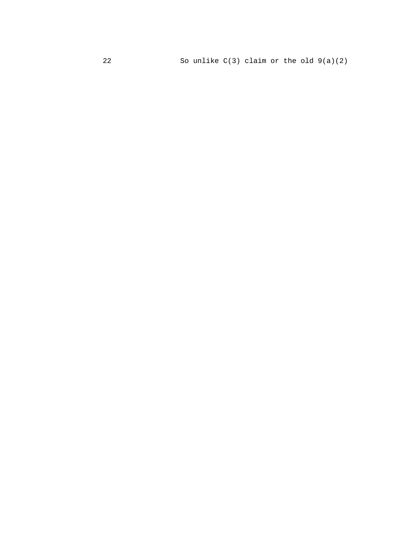So unlike  $C(3)$  claim or the old  $9(a)(2)$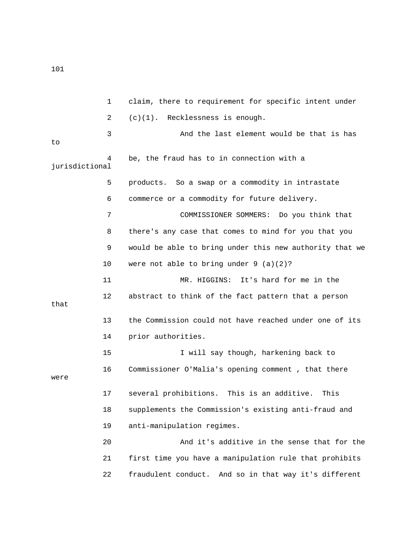1 claim, there to requirement for specific intent under 2 (c)(1). Recklessness is enough. 3 And the last element would be that is has to 4 be, the fraud has to in connection with a jurisdictional 5 products. So a swap or a commodity in intrastate 6 commerce or a commodity for future delivery. 7 COMMISSIONER SOMMERS: Do you think that 8 there's any case that comes to mind for you that you 9 would be able to bring under this new authority that we 10 were not able to bring under 9 (a)(2)? 11 MR. HIGGINS: It's hard for me in the 12 abstract to think of the fact pattern that a person that 13 the Commission could not have reached under one of its 14 prior authorities. 15 I will say though, harkening back to 16 Commissioner O'Malia's opening comment , that there were 17 several prohibitions. This is an additive. This 18 supplements the Commission's existing anti-fraud and 19 anti-manipulation regimes. 20 And it's additive in the sense that for the 21 first time you have a manipulation rule that prohibits 22 fraudulent conduct. And so in that way it's different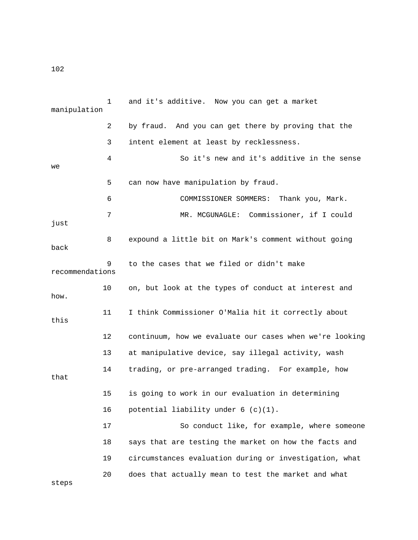1 and it's additive. Now you can get a market manipulation 2 by fraud. And you can get there by proving that the 3 intent element at least by recklessness. 4 So it's new and it's additive in the sense we 5 can now have manipulation by fraud. 6 COMMISSIONER SOMMERS: Thank you, Mark. 7 MR. MCGUNAGLE: Commissioner, if I could just 8 expound a little bit on Mark's comment without going back 9 to the cases that we filed or didn't make recommendations 10 on, but look at the types of conduct at interest and how. 11 I think Commissioner O'Malia hit it correctly about this 12 continuum, how we evaluate our cases when we're looking 13 at manipulative device, say illegal activity, wash 14 trading, or pre-arranged trading. For example, how that 15 is going to work in our evaluation in determining 16 potential liability under 6 (c)(1). 17 So conduct like, for example, where someone 18 says that are testing the market on how the facts and 19 circumstances evaluation during or investigation, what 20 does that actually mean to test the market and what steps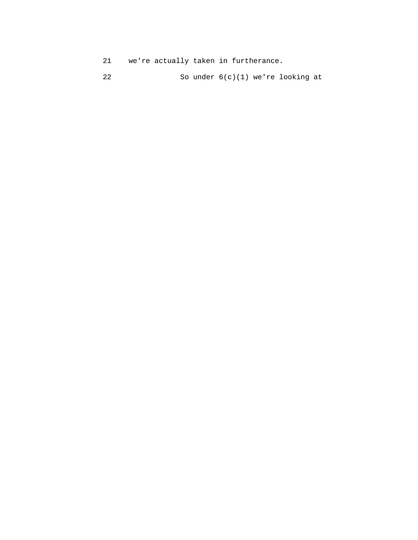- 21 we're actually taken in furtherance.
- 22 So under 6(c)(1) we're looking at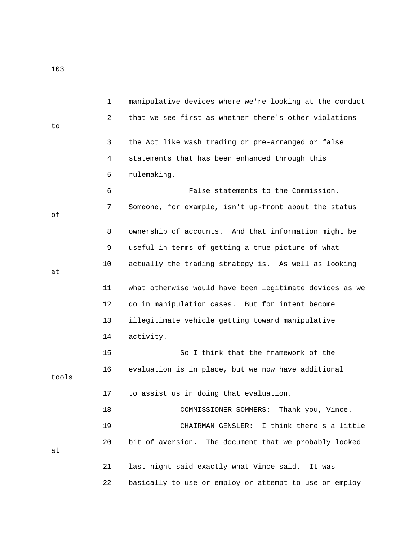1 manipulative devices where we're looking at the conduct 2 that we see first as whether there's other violations to 3 the Act like wash trading or pre-arranged or false 4 statements that has been enhanced through this 5 rulemaking. 6 False statements to the Commission. 7 Someone, for example, isn't up-front about the status of 8 ownership of accounts. And that information might be 9 useful in terms of getting a true picture of what 10 actually the trading strategy is. As well as looking at 11 what otherwise would have been legitimate devices as we 12 do in manipulation cases. But for intent become 13 illegitimate vehicle getting toward manipulative 14 activity. 15 So I think that the framework of the 16 evaluation is in place, but we now have additional tools 17 to assist us in doing that evaluation. 18 COMMISSIONER SOMMERS: Thank you, Vince. 19 CHAIRMAN GENSLER: I think there's a little 20 bit of aversion. The document that we probably looked at 21 last night said exactly what Vince said. It was

22 basically to use or employ or attempt to use or employ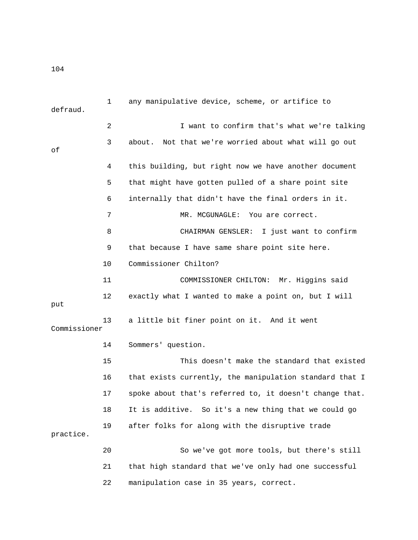1 any manipulative device, scheme, or artifice to defraud. 2 I want to confirm that's what we're talking 3 about. Not that we're worried about what will go out of 4 this building, but right now we have another document 5 that might have gotten pulled of a share point site 6 internally that didn't have the final orders in it. 7 MR. MCGUNAGLE: You are correct. 8 CHAIRMAN GENSLER: I just want to confirm 9 that because I have same share point site here. 10 Commissioner Chilton? 11 COMMISSIONER CHILTON: Mr. Higgins said 12 exactly what I wanted to make a point on, but I will put 13 a little bit finer point on it. And it went Commissioner 14 Sommers' question. 15 This doesn't make the standard that existed 16 that exists currently, the manipulation standard that I 17 spoke about that's referred to, it doesn't change that. 18 It is additive. So it's a new thing that we could go 19 after folks for along with the disruptive trade practice. 20 So we've got more tools, but there's still 21 that high standard that we've only had one successful

22 manipulation case in 35 years, correct.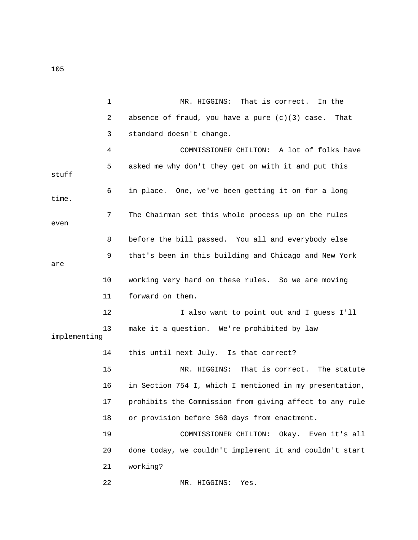1 MR. HIGGINS: That is correct. In the 2 absence of fraud, you have a pure (c)(3) case. That 3 standard doesn't change. 4 COMMISSIONER CHILTON: A lot of folks have 5 asked me why don't they get on with it and put this stuff 6 in place. One, we've been getting it on for a long time. 7 The Chairman set this whole process up on the rules even 8 before the bill passed. You all and everybody else 9 that's been in this building and Chicago and New York are 10 working very hard on these rules. So we are moving 11 forward on them. 12 I also want to point out and I guess I'll 13 make it a question. We're prohibited by law implementing 14 this until next July. Is that correct? 15 MR. HIGGINS: That is correct. The statute 16 in Section 754 I, which I mentioned in my presentation, 17 prohibits the Commission from giving affect to any rule 18 or provision before 360 days from enactment. 19 COMMISSIONER CHILTON: Okay. Even it's all 20 done today, we couldn't implement it and couldn't start 21 working? 22 MR. HIGGINS: Yes.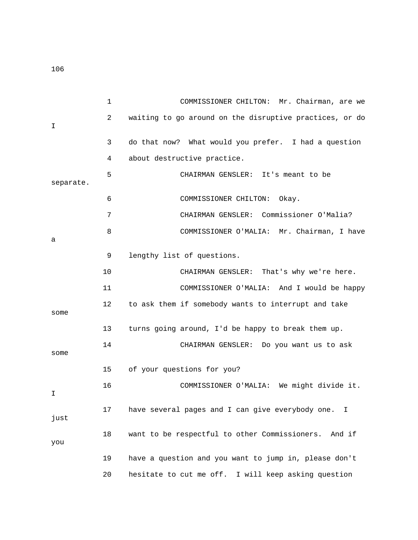1 COMMISSIONER CHILTON: Mr. Chairman, are we 2 waiting to go around on the disruptive practices, or do I 3 do that now? What would you prefer. I had a question 4 about destructive practice. 5 CHAIRMAN GENSLER: It's meant to be separate. 6 COMMISSIONER CHILTON: Okay. 7 CHAIRMAN GENSLER: Commissioner O'Malia? 8 COMMISSIONER O'MALIA: Mr. Chairman, I have a 9 lengthy list of questions. 10 CHAIRMAN GENSLER: That's why we're here. 11 COMMISSIONER O'MALIA: And I would be happy 12 to ask them if somebody wants to interrupt and take some 13 turns going around, I'd be happy to break them up. 14 CHAIRMAN GENSLER: Do you want us to ask some 15 of your questions for you? 16 COMMISSIONER O'MALIA: We might divide it. I 17 have several pages and I can give everybody one. I just 18 want to be respectful to other Commissioners. And if you 19 have a question and you want to jump in, please don't

20 hesitate to cut me off. I will keep asking question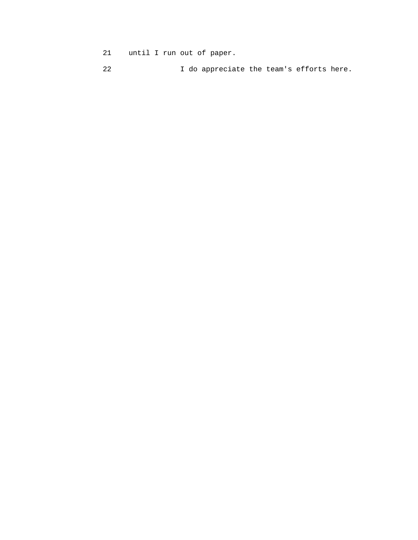- 21 until I run out of paper.
- 22 I do appreciate the team's efforts here.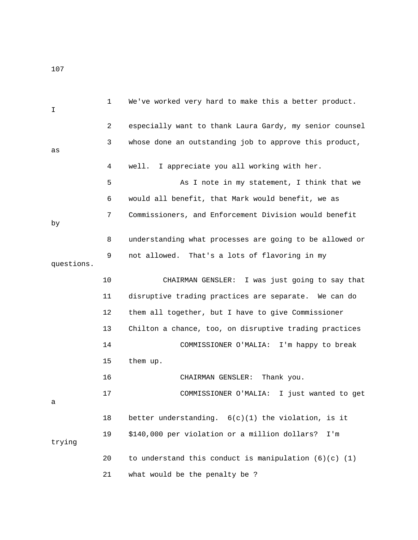| I.         | 1  | We've worked very hard to make this a better product.     |
|------------|----|-----------------------------------------------------------|
|            | 2  | especially want to thank Laura Gardy, my senior counsel   |
| as         | 3  | whose done an outstanding job to approve this product,    |
|            | 4  | well. I appreciate you all working with her.              |
|            | 5  | As I note in my statement, I think that we                |
|            | 6  | would all benefit, that Mark would benefit, we as         |
| by         | 7  | Commissioners, and Enforcement Division would benefit     |
|            | 8  | understanding what processes are going to be allowed or   |
| questions. | 9  | not allowed. That's a lots of flavoring in my             |
|            | 10 | CHAIRMAN GENSLER: I was just going to say that            |
|            | 11 | disruptive trading practices are separate. We can do      |
|            | 12 | them all together, but I have to give Commissioner        |
|            | 13 | Chilton a chance, too, on disruptive trading practices    |
|            | 14 | COMMISSIONER O'MALIA:<br>I'm happy to break               |
|            | 15 | them up.                                                  |
|            | 16 | Thank you.<br>CHAIRMAN GENSLER:                           |
| а          | 17 | COMMISSIONER O'MALIA:<br>I just wanted to get             |
|            | 18 | better understanding. $6(c)(1)$ the violation, is it      |
| trying     | 19 | \$140,000 per violation or a million dollars?<br>I'm      |
|            | 20 | to understand this conduct is manipulation $(6)(c)$ $(1)$ |
|            | 21 | what would be the penalty be ?                            |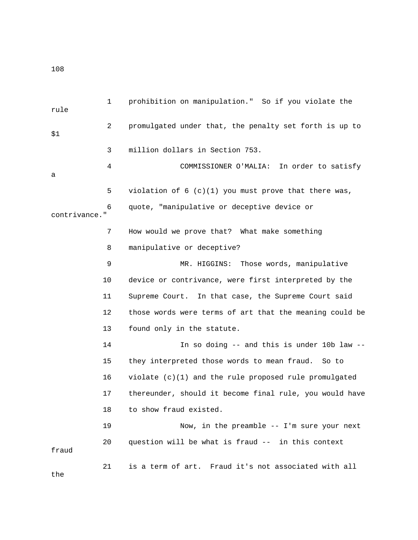1 prohibition on manipulation." So if you violate the rule 2 promulgated under that, the penalty set forth is up to \$1 3 million dollars in Section 753. 4 COMMISSIONER O'MALIA: In order to satisfy a 5 violation of 6 (c)(1) you must prove that there was, 6 quote, "manipulative or deceptive device or contrivance." 7 How would we prove that? What make something 8 manipulative or deceptive? 9 MR. HIGGINS: Those words, manipulative 10 device or contrivance, were first interpreted by the 11 Supreme Court. In that case, the Supreme Court said 12 those words were terms of art that the meaning could be 13 found only in the statute. 14 In so doing -- and this is under 10b law -- 15 they interpreted those words to mean fraud. So to 16 violate (c)(1) and the rule proposed rule promulgated 17 thereunder, should it become final rule, you would have 18 to show fraud existed. 19 Now, in the preamble -- I'm sure your next 20 question will be what is fraud -- in this context fraud 21 is a term of art. Fraud it's not associated with all the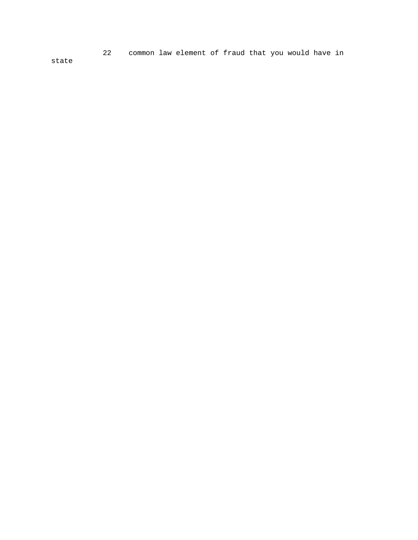22 common law element of fraud that you would have in

state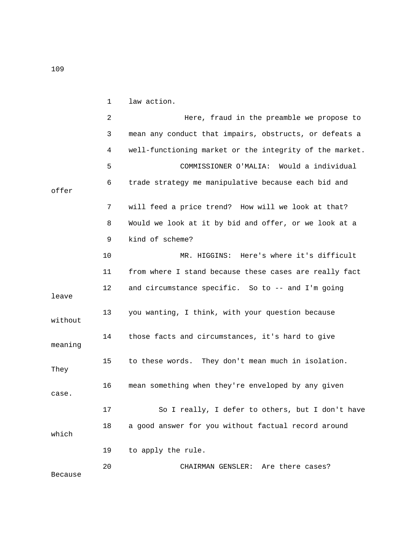|                | 1  | law action.                                             |
|----------------|----|---------------------------------------------------------|
|                | 2  | Here, fraud in the preamble we propose to               |
|                | 3  | mean any conduct that impairs, obstructs, or defeats a  |
|                | 4  | well-functioning market or the integrity of the market. |
|                | 5  | COMMISSIONER O'MALIA: Would a individual                |
| offer          | 6  | trade strategy me manipulative because each bid and     |
|                | 7  | will feed a price trend? How will we look at that?      |
|                | 8  | Would we look at it by bid and offer, or we look at a   |
|                | 9  | kind of scheme?                                         |
|                | 10 | MR. HIGGINS: Here's where it's difficult                |
|                | 11 | from where I stand because these cases are really fact  |
| leave          | 12 | and circumstance specific. So to -- and I'm going       |
| without        | 13 | you wanting, I think, with your question because        |
| meaning        | 14 | those facts and circumstances, it's hard to give        |
| They           | 15 | to these words. They don't mean much in isolation.      |
| case.          | 16 | mean something when they're enveloped by any given      |
|                | 17 | So I really, I defer to others, but I don't have        |
| which          | 18 | a good answer for you without factual record around     |
|                | 19 | to apply the rule.                                      |
| <b>Because</b> | 20 | CHAIRMAN GENSLER: Are there cases?                      |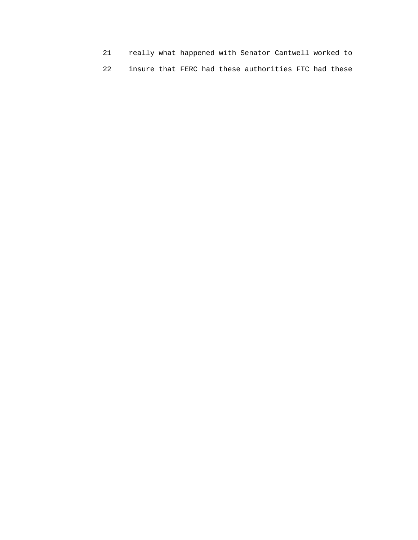- 21 really what happened with Senator Cantwell worked to
- 22 insure that FERC had these authorities FTC had these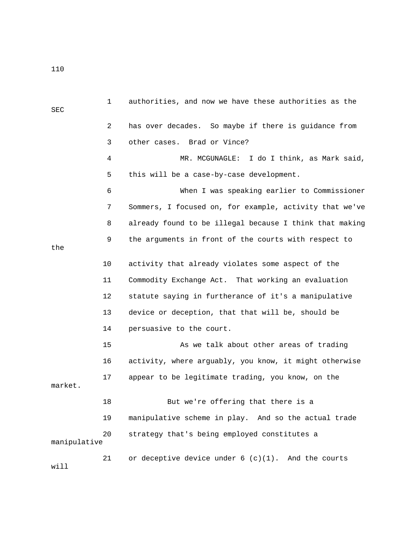1 authorities, and now we have these authorities as the SEC 2 has over decades. So maybe if there is guidance from 3 other cases. Brad or Vince? 4 MR. MCGUNAGLE: I do I think, as Mark said, 5 this will be a case-by-case development. 6 When I was speaking earlier to Commissioner 7 Sommers, I focused on, for example, activity that we've 8 already found to be illegal because I think that making 9 the arguments in front of the courts with respect to the 10 activity that already violates some aspect of the 11 Commodity Exchange Act. That working an evaluation 12 statute saying in furtherance of it's a manipulative 13 device or deception, that that will be, should be 14 persuasive to the court. 15 As we talk about other areas of trading 16 activity, where arguably, you know, it might otherwise 17 appear to be legitimate trading, you know, on the market. 18 But we're offering that there is a 19 manipulative scheme in play. And so the actual trade 20 strategy that's being employed constitutes a manipulative 21 or deceptive device under 6 (c)(1). And the courts will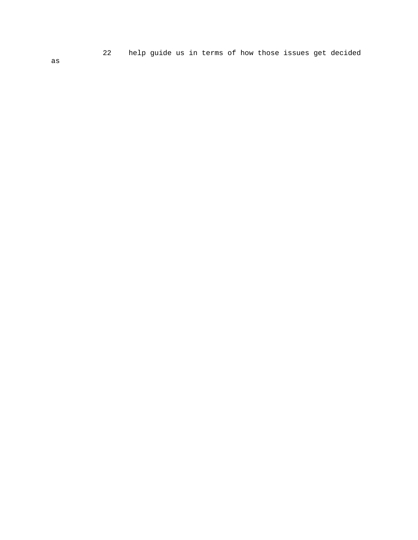22 help guide us in terms of how those issues get decided

as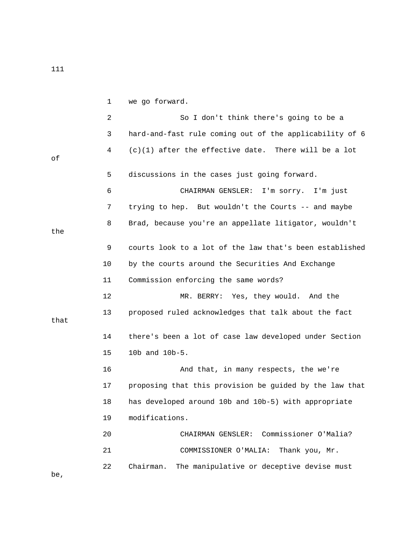1 we go forward.

|      | 2  | So I don't think there's going to be a                  |
|------|----|---------------------------------------------------------|
|      | 3  | hard-and-fast rule coming out of the applicability of 6 |
| оf   | 4  | $(c)(1)$ after the effective date. There will be a lot  |
|      | 5  | discussions in the cases just going forward.            |
|      | 6  | CHAIRMAN GENSLER:<br>I'm sorry. I'm just                |
|      | 7  | trying to hep. But wouldn't the Courts -- and maybe     |
| the  | 8  | Brad, because you're an appellate litigator, wouldn't   |
|      | 9  | courts look to a lot of the law that's been established |
|      | 10 | by the courts around the Securities And Exchange        |
|      | 11 | Commission enforcing the same words?                    |
|      | 12 | MR. BERRY: Yes, they would. And the                     |
| that | 13 | proposed ruled acknowledges that talk about the fact    |
|      | 14 | there's been a lot of case law developed under Section  |
|      | 15 | 10b and 10b-5.                                          |
|      | 16 | And that, in many respects, the we're                   |
|      | 17 | proposing that this provision be guided by the law that |
|      | 18 | has developed around 10b and 10b-5) with appropriate    |
|      | 19 | modifications.                                          |
|      | 20 | Commissioner O'Malia?<br>CHAIRMAN GENSLER:              |
|      | 21 | COMMISSIONER O'MALIA:<br>Thank you, Mr.                 |
|      | 22 | The manipulative or deceptive devise must<br>Chairman.  |

be,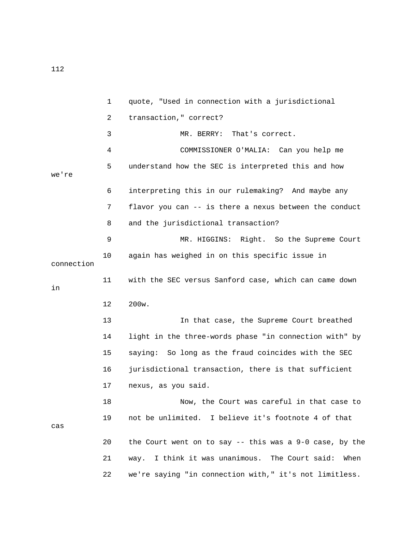1 quote, "Used in connection with a jurisdictional 2 transaction," correct? 3 MR. BERRY: That's correct. 4 COMMISSIONER O'MALIA: Can you help me 5 understand how the SEC is interpreted this and how we're 6 interpreting this in our rulemaking? And maybe any 7 flavor you can -- is there a nexus between the conduct 8 and the jurisdictional transaction? 9 MR. HIGGINS: Right. So the Supreme Court 10 again has weighed in on this specific issue in connection 11 with the SEC versus Sanford case, which can came down in 12 200w. 13 In that case, the Supreme Court breathed 14 light in the three-words phase "in connection with" by 15 saying: So long as the fraud coincides with the SEC 16 jurisdictional transaction, there is that sufficient 17 nexus, as you said. 18 Now, the Court was careful in that case to 19 not be unlimited. I believe it's footnote 4 of that cas 20 the Court went on to say -- this was a 9-0 case, by the 21 way. I think it was unanimous. The Court said: When 22 we're saying "in connection with," it's not limitless.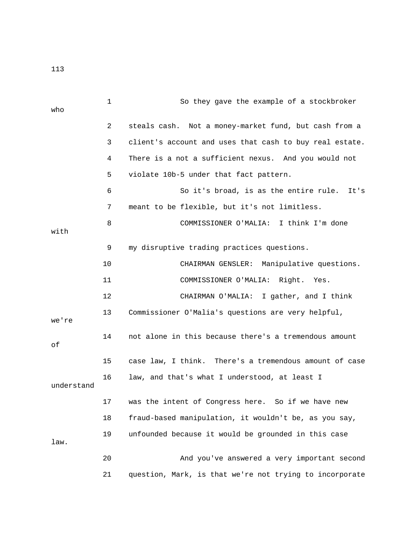|            | $\mathbf 1$ | So they gave the example of a stockbroker               |
|------------|-------------|---------------------------------------------------------|
| who        |             |                                                         |
|            | 2           | steals cash. Not a money-market fund, but cash from a   |
|            | 3           | client's account and uses that cash to buy real estate. |
|            | 4           | There is a not a sufficient nexus. And you would not    |
|            | 5           | violate 10b-5 under that fact pattern.                  |
|            | 6           | So it's broad, is as the entire rule.<br>It's           |
|            | 7           | meant to be flexible, but it's not limitless.           |
| with       | 8           | COMMISSIONER O'MALIA: I think I'm done                  |
|            | 9           | my disruptive trading practices questions.              |
|            | 10          | CHAIRMAN GENSLER:<br>Manipulative questions.            |
|            | 11          | COMMISSIONER O'MALIA:<br>Right.<br>Yes.                 |
|            | 12          | CHAIRMAN O'MALIA: I gather, and I think                 |
| we're      | 13          | Commissioner O'Malia's questions are very helpful,      |
| оf         | 14          | not alone in this because there's a tremendous amount   |
|            | 15          | case law, I think. There's a tremendous amount of case  |
| understand | 16          | law, and that's what I understood, at least I           |
|            | 17          | was the intent of Congress here. So if we have new      |
|            | 18          | fraud-based manipulation, it wouldn't be, as you say,   |
| law.       | 19          | unfounded because it would be grounded in this case     |
|            | 20          | And you've answered a very important second             |
|            | 21          | question, Mark, is that we're not trying to incorporate |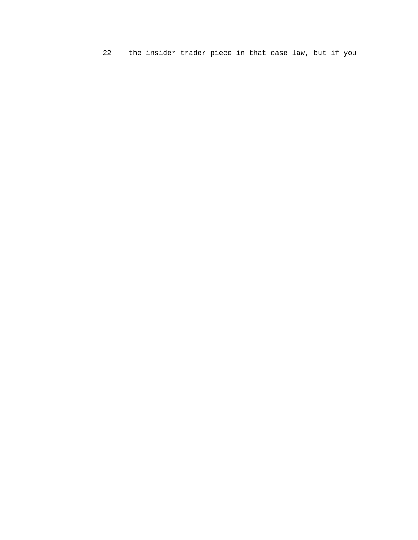22 the insider trader piece in that case law, but if you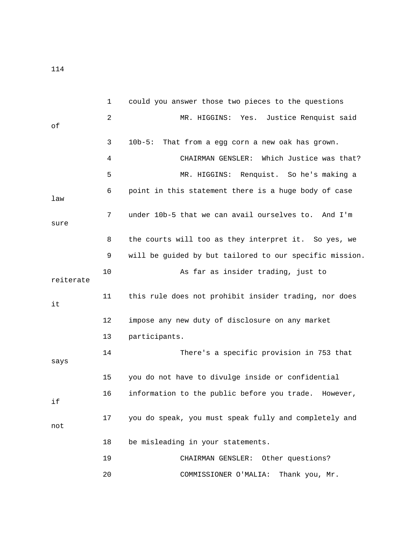|           | $\mathbf 1$ | could you answer those two pieces to the questions      |
|-----------|-------------|---------------------------------------------------------|
| оf        | 2           | Justice Renquist said<br>MR. HIGGINS: Yes.              |
|           | 3           | $10b-5:$<br>That from a egg corn a new oak has grown.   |
|           | 4           | Which Justice was that?<br>CHAIRMAN GENSLER:            |
|           | 5           | Renquist. So he's making a<br>MR. HIGGINS:              |
| law       | 6           | point in this statement there is a huge body of case    |
| sure      | 7           | under 10b-5 that we can avail ourselves to. And I'm     |
|           | 8           | the courts will too as they interpret it. So yes, we    |
|           | 9           | will be guided by but tailored to our specific mission. |
| reiterate | 10          | As far as insider trading, just to                      |
| it        | 11          | this rule does not prohibit insider trading, nor does   |
|           | 12          | impose any new duty of disclosure on any market         |
|           | 13          | participants.                                           |
| says      | 14          | There's a specific provision in 753 that                |
|           | 15          | you do not have to divulge inside or confidential       |
| if        | 16          | information to the public before you trade. However,    |
| not       | 17          | you do speak, you must speak fully and completely and   |
|           | 18          | be misleading in your statements.                       |
|           | 19          | CHAIRMAN GENSLER: Other questions?                      |
|           | 20          | Thank you, Mr.<br>COMMISSIONER O'MALIA:                 |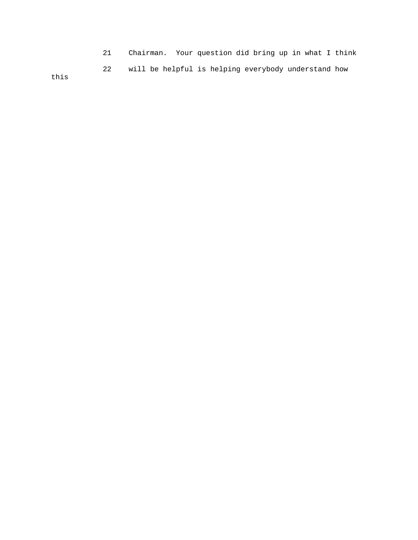21 Chairman. Your question did bring up in what I think 22 will be helpful is helping everybody understand how this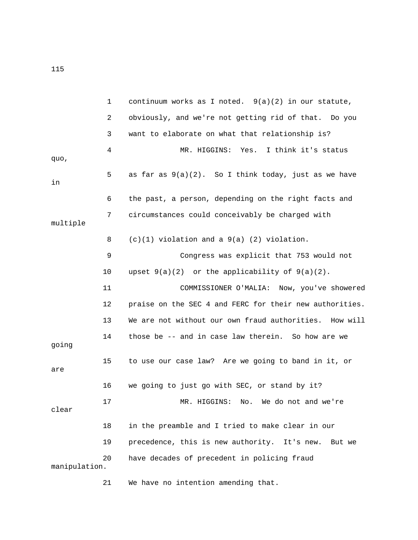1 continuum works as I noted. 9(a)(2) in our statute, 2 obviously, and we're not getting rid of that. Do you 3 want to elaborate on what that relationship is? 4 MR. HIGGINS: Yes. I think it's status quo, 5 as far as 9(a)(2). So I think today, just as we have in 6 the past, a person, depending on the right facts and 7 circumstances could conceivably be charged with multiple 8 (c)(1) violation and a 9(a) (2) violation. 9 Congress was explicit that 753 would not 10 upset 9(a)(2) or the applicability of 9(a)(2). 11 COMMISSIONER O'MALIA: Now, you've showered 12 praise on the SEC 4 and FERC for their new authorities. 13 We are not without our own fraud authorities. How will 14 those be -- and in case law therein. So how are we going 15 to use our case law? Are we going to band in it, or are 16 we going to just go with SEC, or stand by it? 17 MR. HIGGINS: No. We do not and we're clear 18 in the preamble and I tried to make clear in our 19 precedence, this is new authority. It's new. But we 20 have decades of precedent in policing fraud manipulation.

21 We have no intention amending that.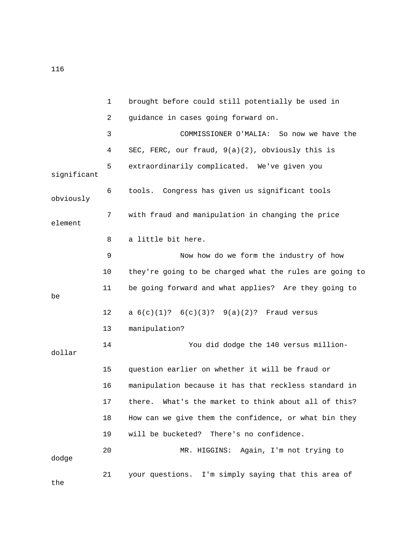|             | $\mathbf{1}$ | brought before could still potentially be used in       |
|-------------|--------------|---------------------------------------------------------|
|             | 2            | guidance in cases going forward on.                     |
|             | 3            | COMMISSIONER O'MALIA:<br>So now we have the             |
|             | 4            | SEC, FERC, our fraud, 9(a)(2), obviously this is        |
| significant | 5            | extraordinarily complicated. We've given you            |
| obviously   | 6            | tools. Congress has given us significant tools          |
| element     | 7            | with fraud and manipulation in changing the price       |
|             | 8            | a little bit here.                                      |
|             | 9            | Now how do we form the industry of how                  |
|             | 10           | they're going to be charged what the rules are going to |
| be          | 11           | be going forward and what applies? Are they going to    |
|             | 12           | a $6(c)(1)$ ? $6(c)(3)$ ? $9(a)(2)$ ? Fraud versus      |
|             | 13           | manipulation?                                           |
| dollar      | 14           | You did dodge the 140 versus million-                   |
|             | 15           | question earlier on whether it will be fraud or         |
|             | 16           | manipulation because it has that reckless standard in   |
|             | 17           | there. What's the market to think about all of this?    |
|             | 18           | How can we give them the confidence, or what bin they   |
|             | 19           | There's no confidence.<br>will be bucketed?             |
| dodge       | 20           | MR. HIGGINS: Again, I'm not trying to                   |
| the         | 21           | your questions. I'm simply saying that this area of     |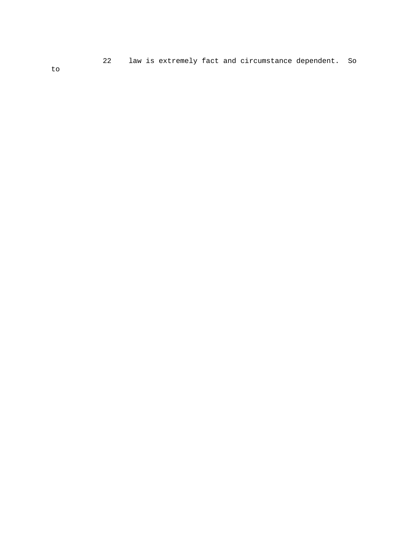22 law is extremely fact and circumstance dependent. So

to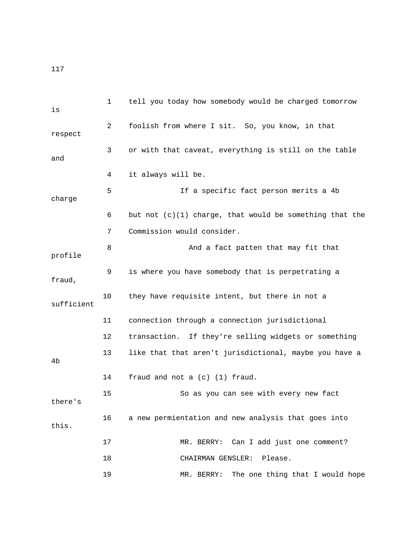| is         | $\mathbf{1}$ | tell you today how somebody would be charged tomorrow     |
|------------|--------------|-----------------------------------------------------------|
| respect    | 2            | foolish from where I sit. So, you know, in that           |
| and        | 3            | or with that caveat, everything is still on the table     |
|            | 4            | it always will be.                                        |
| charge     | 5            | If a specific fact person merits a 4b                     |
|            | 6            | but not $(c)(1)$ charge, that would be something that the |
|            | 7            | Commission would consider.                                |
| profile    | 8            | And a fact patten that may fit that                       |
| fraud,     | 9            | is where you have somebody that is perpetrating a         |
| sufficient | 10           | they have requisite intent, but there in not a            |
|            | 11           | connection through a connection jurisdictional            |
|            | 12           | transaction. If they're selling widgets or something      |
| 4b         | 13           | like that that aren't jurisdictional, maybe you have a    |
|            | 14           | fraud and not a (c) (1) fraud.                            |
| there's    | 15           | So as you can see with every new fact                     |
| this.      | 16           | a new permientation and new analysis that goes into       |
|            | 17           | MR. BERRY: Can I add just one comment?                    |
|            | 18           | Please.<br>CHAIRMAN GENSLER:                              |
|            | 19           | The one thing that I would hope<br>MR. BERRY:             |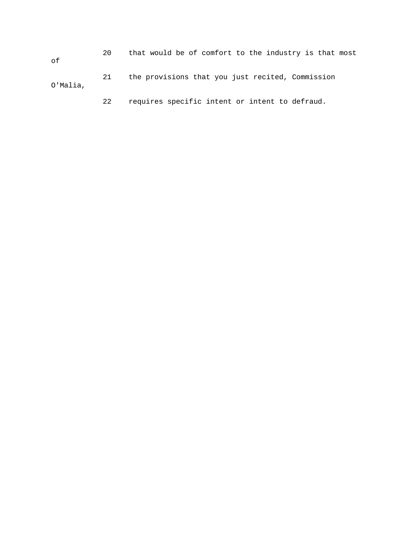20 that would be of comfort to the industry is that most of 21 the provisions that you just recited, Commission O'Malia,

22 requires specific intent or intent to defraud.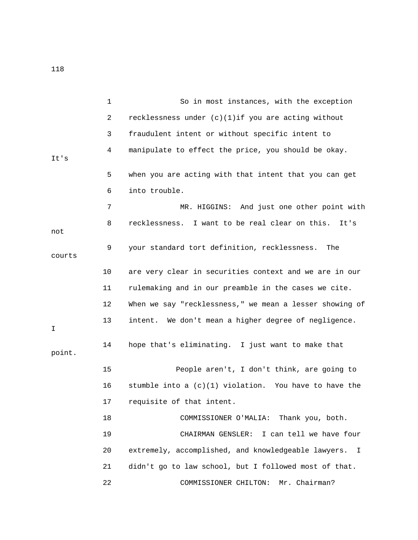1 So in most instances, with the exception 2 recklessness under (c)(1)if you are acting without 3 fraudulent intent or without specific intent to 4 manipulate to effect the price, you should be okay. It's 5 when you are acting with that intent that you can get 6 into trouble. 7 MR. HIGGINS: And just one other point with 8 recklessness. I want to be real clear on this. It's not 9 your standard tort definition, recklessness. The courts 10 are very clear in securities context and we are in our 11 rulemaking and in our preamble in the cases we cite. 12 When we say "recklessness," we mean a lesser showing of 13 intent. We don't mean a higher degree of negligence. I 14 hope that's eliminating. I just want to make that point. 15 People aren't, I don't think, are going to 16 stumble into a  $(c)(1)$  violation. You have to have the 17 requisite of that intent. 18 COMMISSIONER O'MALIA: Thank you, both. 19 CHAIRMAN GENSLER: I can tell we have four 20 extremely, accomplished, and knowledgeable lawyers. I 21 didn't go to law school, but I followed most of that.

22 COMMISSIONER CHILTON: Mr. Chairman?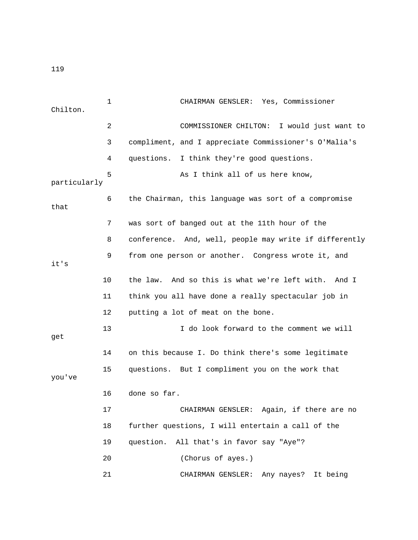| Chilton.     | 1<br>CHAIRMAN GENSLER: Yes, Commissioner                    |
|--------------|-------------------------------------------------------------|
|              | 2<br>COMMISSIONER CHILTON: I would just want to             |
|              | 3<br>compliment, and I appreciate Commissioner's O'Malia's  |
|              | I think they're good questions.<br>4<br>questions.          |
| particularly | 5<br>As I think all of us here know,                        |
| that         | 6<br>the Chairman, this language was sort of a compromise   |
|              | was sort of banged out at the 11th hour of the<br>7         |
|              | conference. And, well, people may write if differently<br>8 |
| it's         | 9<br>from one person or another. Congress wrote it, and     |
| 10           | the law. And so this is what we're left with. And I         |
| 11           | think you all have done a really spectacular job in         |
| 12           | putting a lot of meat on the bone.                          |
| 13<br>get    | I do look forward to the comment we will                    |
| 14           | on this because I. Do think there's some legitimate         |
| 15<br>you've | questions. But I compliment you on the work that            |
| 16           | done so far.                                                |
| 17           | CHAIRMAN GENSLER: Again, if there are no                    |
| 18           | further questions, I will entertain a call of the           |
| 19           | question.<br>All that's in favor say "Aye"?                 |
| 20           | (Chorus of ayes.)                                           |
| 21           | CHAIRMAN GENSLER: Any nayes? It being                       |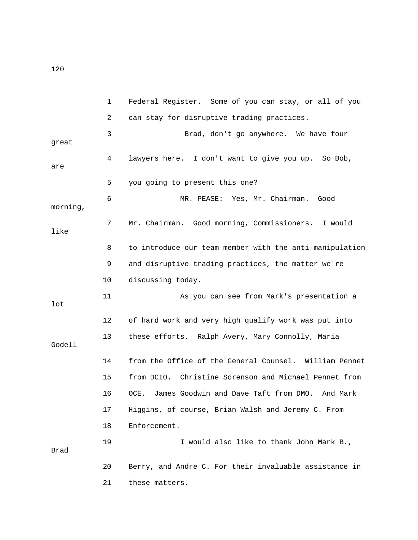1 Federal Register. Some of you can stay, or all of you 2 can stay for disruptive trading practices. 3 Brad, don't go anywhere. We have four great 4 lawyers here. I don't want to give you up. So Bob, are 5 you going to present this one? 6 MR. PEASE: Yes, Mr. Chairman. Good morning, 7 Mr. Chairman. Good morning, Commissioners. I would like 8 to introduce our team member with the anti-manipulation 9 and disruptive trading practices, the matter we're 10 discussing today. 11 As you can see from Mark's presentation a lot 12 of hard work and very high qualify work was put into 13 these efforts. Ralph Avery, Mary Connolly, Maria Godell 14 from the Office of the General Counsel. William Pennet 15 from DCIO. Christine Sorenson and Michael Pennet from 16 OCE. James Goodwin and Dave Taft from DMO. And Mark 17 Higgins, of course, Brian Walsh and Jeremy C. From 18 Enforcement. 19 I would also like to thank John Mark B., Brad 20 Berry, and Andre C. For their invaluable assistance in 21 these matters.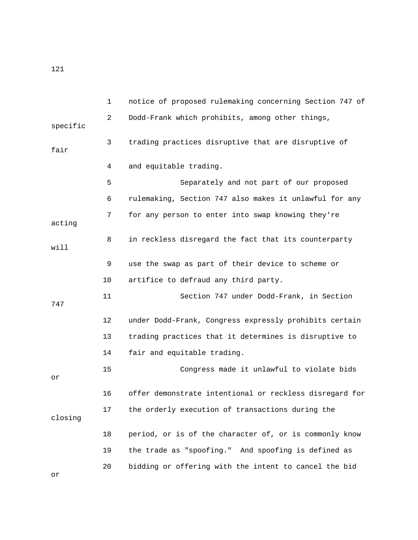1 notice of proposed rulemaking concerning Section 747 of 2 Dodd-Frank which prohibits, among other things, specific 3 trading practices disruptive that are disruptive of fair 4 and equitable trading. 5 Separately and not part of our proposed 6 rulemaking, Section 747 also makes it unlawful for any 7 for any person to enter into swap knowing they're acting 8 in reckless disregard the fact that its counterparty will 9 use the swap as part of their device to scheme or 10 artifice to defraud any third party. 11 Section 747 under Dodd-Frank, in Section 747 12 under Dodd-Frank, Congress expressly prohibits certain 13 trading practices that it determines is disruptive to 14 fair and equitable trading. 15 Congress made it unlawful to violate bids or 16 offer demonstrate intentional or reckless disregard for 17 the orderly execution of transactions during the closing 18 period, or is of the character of, or is commonly know 19 the trade as "spoofing." And spoofing is defined as 20 bidding or offering with the intent to cancel the bid

or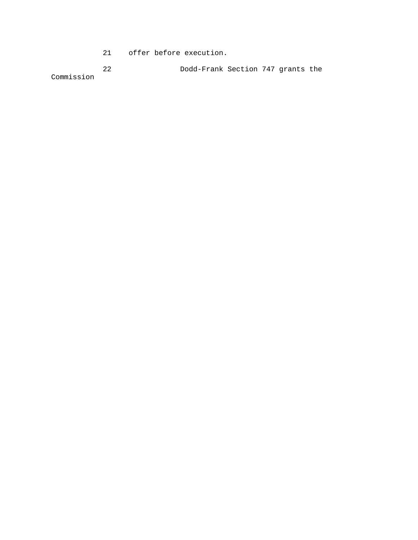21 offer before execution.

 22 Dodd-Frank Section 747 grants the Commission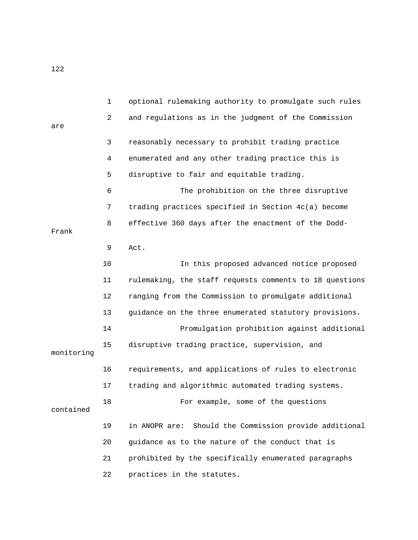1 optional rulemaking authority to promulgate such rules 2 and regulations as in the judgment of the Commission are 3 reasonably necessary to prohibit trading practice 4 enumerated and any other trading practice this is 5 disruptive to fair and equitable trading. 6 The prohibition on the three disruptive 7 trading practices specified in Section 4c(a) become 8 effective 360 days after the enactment of the Dodd-Frank 9 Act. 10 In this proposed advanced notice proposed 11 rulemaking, the staff requests comments to 18 questions 12 ranging from the Commission to promulgate additional 13 guidance on the three enumerated statutory provisions. 14 Promulgation prohibition against additional 15 disruptive trading practice, supervision, and monitoring 16 requirements, and applications of rules to electronic 17 trading and algorithmic automated trading systems. 18 For example, some of the questions contained 19 in ANOPR are: Should the Commission provide additional 20 guidance as to the nature of the conduct that is 21 prohibited by the specifically enumerated paragraphs 22 practices in the statutes.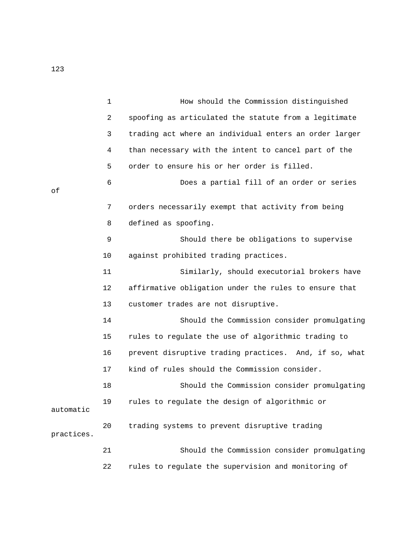|            | $\mathbf{1}$ | How should the Commission distinguished                |
|------------|--------------|--------------------------------------------------------|
|            | 2            | spoofing as articulated the statute from a legitimate  |
|            | 3            | trading act where an individual enters an order larger |
|            | 4            | than necessary with the intent to cancel part of the   |
|            | 5            | order to ensure his or her order is filled.            |
| оf         | 6            | Does a partial fill of an order or series              |
|            | 7            | orders necessarily exempt that activity from being     |
|            | 8            | defined as spoofing.                                   |
|            | 9            | Should there be obligations to supervise               |
|            | 10           | against prohibited trading practices.                  |
|            | 11           | Similarly, should executorial brokers have             |
|            | 12           | affirmative obligation under the rules to ensure that  |
|            | 13           | customer trades are not disruptive.                    |
|            | 14           | Should the Commission consider promulgating            |
|            | 15           | rules to regulate the use of algorithmic trading to    |
|            | 16           | prevent disruptive trading practices. And, if so, what |
|            | 17           | kind of rules should the Commission consider.          |
|            | 18           | Should the Commission consider promulgating            |
| automatic  | 19           | rules to regulate the design of algorithmic or         |
| practices. | 20           | trading systems to prevent disruptive trading          |
|            | 21           | Should the Commission consider promulgating            |
|            | 22           | rules to regulate the supervision and monitoring of    |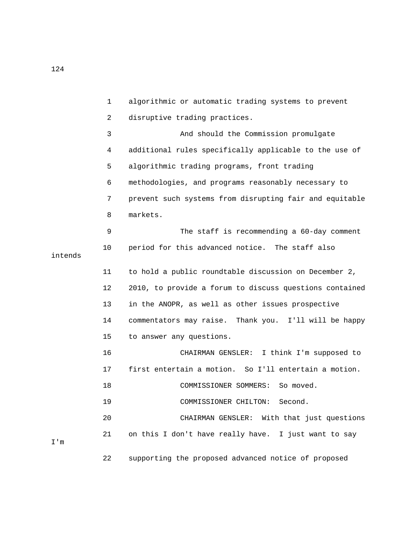1 algorithmic or automatic trading systems to prevent 2 disruptive trading practices. 3 And should the Commission promulgate 4 additional rules specifically applicable to the use of 5 algorithmic trading programs, front trading 6 methodologies, and programs reasonably necessary to 7 prevent such systems from disrupting fair and equitable 8 markets. 9 The staff is recommending a 60-day comment 10 period for this advanced notice. The staff also intends 11 to hold a public roundtable discussion on December 2, 12 2010, to provide a forum to discuss questions contained 13 in the ANOPR, as well as other issues prospective 14 commentators may raise. Thank you. I'll will be happy 15 to answer any questions. 16 CHAIRMAN GENSLER: I think I'm supposed to 17 first entertain a motion. So I'll entertain a motion. 18 COMMISSIONER SOMMERS: So moved. 19 COMMISSIONER CHILTON: Second. 20 CHAIRMAN GENSLER: With that just questions 21 on this I don't have really have. I just want to say I'm 22 supporting the proposed advanced notice of proposed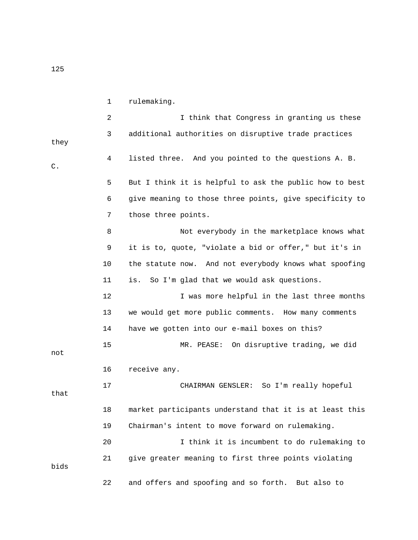1 rulemaking.

2 I think that Congress in granting us these 3 additional authorities on disruptive trade practices they 4 listed three. And you pointed to the questions A. B. C. 5 But I think it is helpful to ask the public how to best 6 give meaning to those three points, give specificity to 7 those three points. 8 Not everybody in the marketplace knows what 9 it is to, quote, "violate a bid or offer," but it's in 10 the statute now. And not everybody knows what spoofing 11 is. So I'm glad that we would ask questions. 12 I was more helpful in the last three months 13 we would get more public comments. How many comments 14 have we gotten into our e-mail boxes on this? 15 MR. PEASE: On disruptive trading, we did not 16 receive any. 17 CHAIRMAN GENSLER: So I'm really hopeful that 18 market participants understand that it is at least this 19 Chairman's intent to move forward on rulemaking. 20 I think it is incumbent to do rulemaking to 21 give greater meaning to first three points violating bids 22 and offers and spoofing and so forth. But also to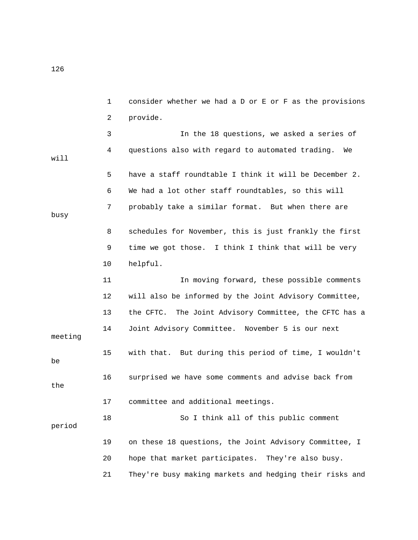1 consider whether we had a D or E or F as the provisions 2 provide. 3 In the 18 questions, we asked a series of 4 questions also with regard to automated trading. We will 5 have a staff roundtable I think it will be December 2. 6 We had a lot other staff roundtables, so this will 7 probably take a similar format. But when there are busy 8 schedules for November, this is just frankly the first 9 time we got those. I think I think that will be very 10 helpful. 11 In moving forward, these possible comments 12 will also be informed by the Joint Advisory Committee, 13 the CFTC. The Joint Advisory Committee, the CFTC has a 14 Joint Advisory Committee. November 5 is our next meeting 15 with that. But during this period of time, I wouldn't be 16 surprised we have some comments and advise back from the 17 committee and additional meetings. 18 So I think all of this public comment period 19 on these 18 questions, the Joint Advisory Committee, I 20 hope that market participates. They're also busy. 21 They're busy making markets and hedging their risks and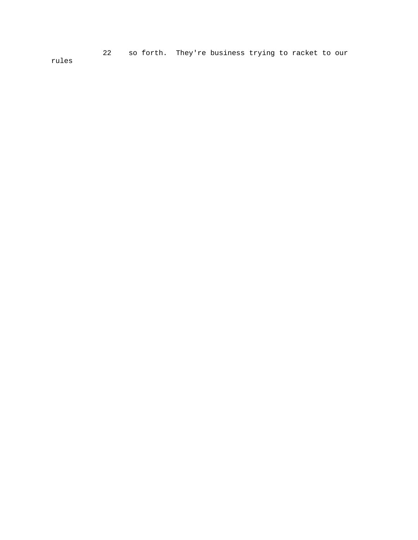22 so forth. They're business trying to racket to our rules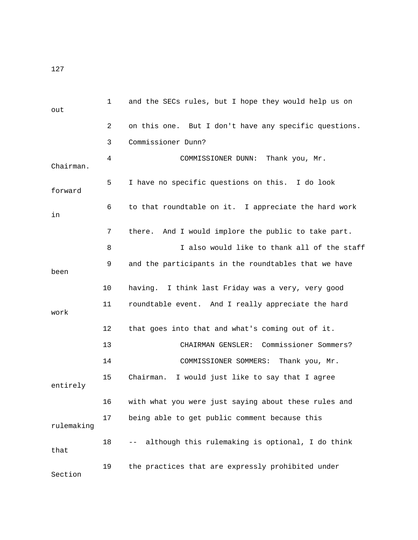| out        | 1  | and the SECs rules, but I hope they would help us on                                                                                                           |
|------------|----|----------------------------------------------------------------------------------------------------------------------------------------------------------------|
|            | 2  | on this one. But I don't have any specific questions.                                                                                                          |
|            | 3  | Commissioner Dunn?                                                                                                                                             |
| Chairman.  | 4  | Thank you, Mr.<br>COMMISSIONER DUNN:                                                                                                                           |
| forward    | 5  | I have no specific questions on this. I do look                                                                                                                |
| in         | 6  | to that roundtable on it. I appreciate the hard work                                                                                                           |
|            | 7  | And I would implore the public to take part.<br>there.                                                                                                         |
|            | 8  | I also would like to thank all of the staff                                                                                                                    |
| been       | 9  | and the participants in the roundtables that we have                                                                                                           |
|            | 10 | having. I think last Friday was a very, very good                                                                                                              |
| work       | 11 | roundtable event. And I really appreciate the hard                                                                                                             |
|            | 12 | that goes into that and what's coming out of it.                                                                                                               |
|            | 13 | Commissioner Sommers?<br>CHAIRMAN GENSLER:                                                                                                                     |
|            | 14 | COMMISSIONER SOMMERS:<br>Thank you, Mr.                                                                                                                        |
| entirely   | 15 | I would just like to say that I agree<br>Chairman.                                                                                                             |
|            | 16 | with what you were just saying about these rules and                                                                                                           |
| rulemaking | 17 | being able to get public comment because this                                                                                                                  |
| that       | 18 | although this rulemaking is optional, I do think<br>$\frac{1}{2} \frac{1}{2} \left( \frac{1}{2} \right) \left( \frac{1}{2} \right) \left( \frac{1}{2} \right)$ |
| Section    | 19 | the practices that are expressly prohibited under                                                                                                              |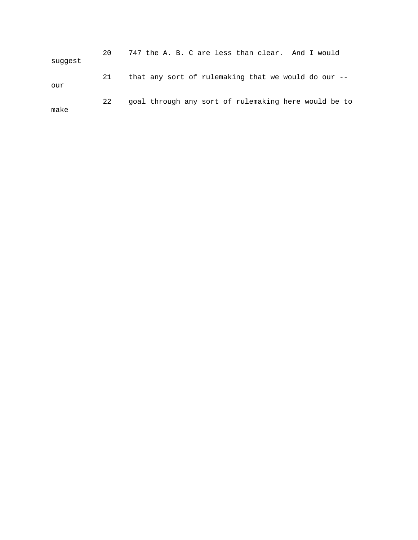| suggest | 20. | 747 the A. B. C are less than clear. And I would       |
|---------|-----|--------------------------------------------------------|
| our     | 21  | that any sort of rulemaking that we would do our $-$ - |
| make    | 22  | goal through any sort of rulemaking here would be to   |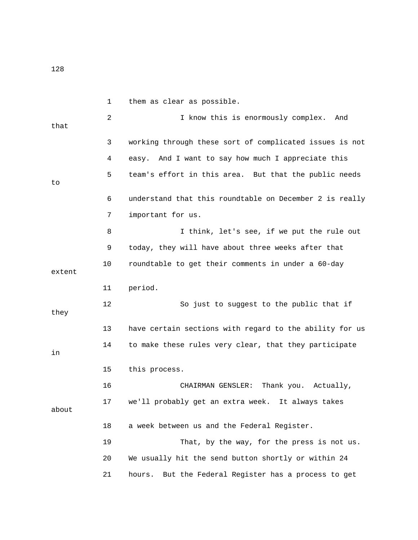|        | $\mathbf 1$ | them as clear as possible.                              |
|--------|-------------|---------------------------------------------------------|
| that   | 2           | I know this is enormously complex.<br>And               |
|        | 3           | working through these sort of complicated issues is not |
|        | 4           | And I want to say how much I appreciate this<br>easy.   |
| to     | 5           | team's effort in this area. But that the public needs   |
|        | 6           | understand that this roundtable on December 2 is really |
|        | 7           | important for us.                                       |
|        | 8           | I think, let's see, if we put the rule out              |
|        | 9           | today, they will have about three weeks after that      |
| extent | 10          | roundtable to get their comments in under a 60-day      |
|        | 11          | period.                                                 |
| they   | 12          | So just to suggest to the public that if                |
|        | 13          | have certain sections with regard to the ability for us |
| in     | 14          | to make these rules very clear, that they participate   |
|        | 15          | this process.                                           |
|        | 16          | CHAIRMAN GENSLER:<br>Thank you. Actually,               |
| about  | 17          | we'll probably get an extra week. It always takes       |
|        | 18          | a week between us and the Federal Register.             |
|        | 19          | That, by the way, for the press is not us.              |
|        | 20          | We usually hit the send button shortly or within 24     |
|        | 21          | But the Federal Register has a process to get<br>hours. |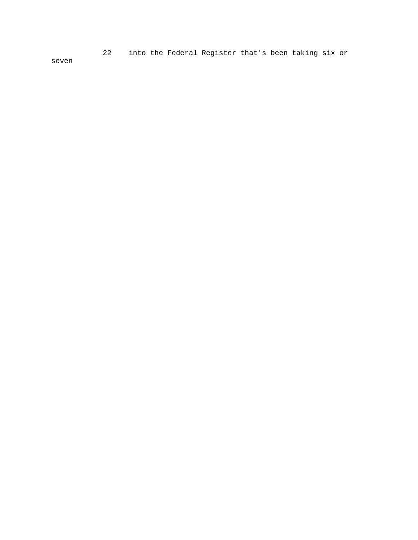22 into the Federal Register that's been taking six or

seven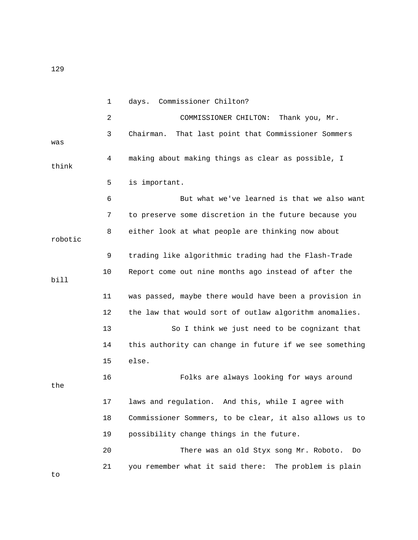1 days. Commissioner Chilton? 2 COMMISSIONER CHILTON: Thank you, Mr. 3 Chairman. That last point that Commissioner Sommers was 4 making about making things as clear as possible, I think 5 is important. 6 But what we've learned is that we also want 7 to preserve some discretion in the future because you 8 either look at what people are thinking now about robotic 9 trading like algorithmic trading had the Flash-Trade 10 Report come out nine months ago instead of after the bill 11 was passed, maybe there would have been a provision in 12 the law that would sort of outlaw algorithm anomalies. 13 So I think we just need to be cognizant that 14 this authority can change in future if we see something 15 else. 16 Folks are always looking for ways around the 17 laws and regulation. And this, while I agree with 18 Commissioner Sommers, to be clear, it also allows us to 19 possibility change things in the future. 20 There was an old Styx song Mr. Roboto. Do 21 you remember what it said there: The problem is plain

to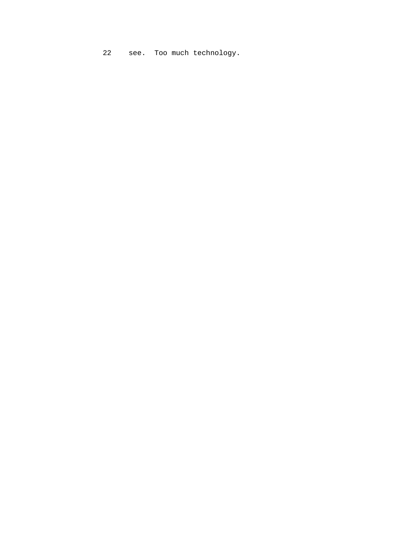22 see. Too much technology.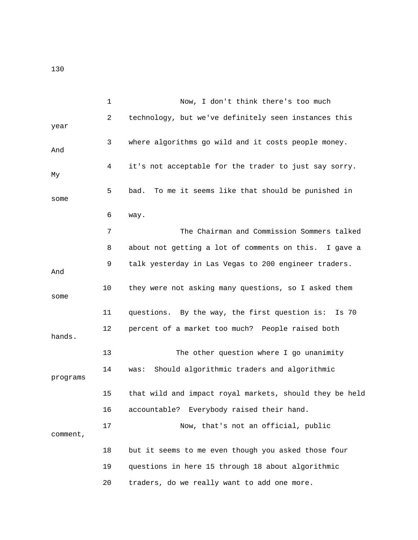|          | 1  | Now, I don't think there's too much                     |
|----------|----|---------------------------------------------------------|
| year     | 2  | technology, but we've definitely seen instances this    |
| And      | 3  | where algorithms go wild and it costs people money.     |
| Мy       | 4  | it's not acceptable for the trader to just say sorry.   |
| some     | 5  | To me it seems like that should be punished in<br>bad.  |
|          | 6  | way.                                                    |
|          | 7  | The Chairman and Commission Sommers talked              |
|          | 8  | about not getting a lot of comments on this. I gave a   |
| And      | 9  | talk yesterday in Las Vegas to 200 engineer traders.    |
| some     | 10 | they were not asking many questions, so I asked them    |
|          | 11 | questions. By the way, the first question is:<br>Is 70  |
| hands.   | 12 | percent of a market too much? People raised both        |
|          | 13 | The other question where I go unanimity                 |
| programs | 14 | Should algorithmic traders and algorithmic<br>was:      |
|          | 15 | that wild and impact royal markets, should they be held |
|          | 16 | accountable? Everybody raised their hand.               |
| comment, | 17 | Now, that's not an official, public                     |
|          | 18 | but it seems to me even though you asked those four     |
|          | 19 | questions in here 15 through 18 about algorithmic       |
|          | 20 | traders, do we really want to add one more.             |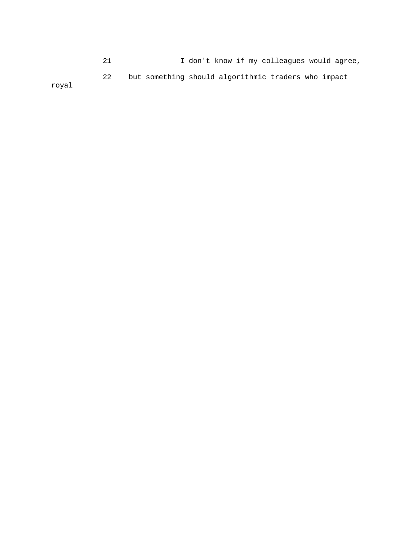21 I don't know if my colleagues would agree, 22 but something should algorithmic traders who impact

royal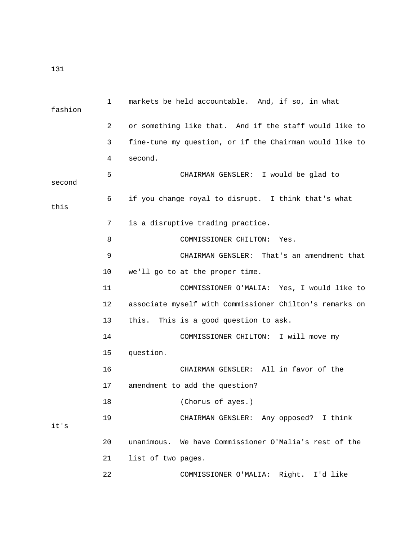| fashion | $\mathbf{1}$ | markets be held accountable. And, if so, in what        |
|---------|--------------|---------------------------------------------------------|
|         | 2            | or something like that. And if the staff would like to  |
|         | 3            | fine-tune my question, or if the Chairman would like to |
|         | 4            | second.                                                 |
| second  | 5            | CHAIRMAN GENSLER: I would be glad to                    |
| this    | 6            | if you change royal to disrupt. I think that's what     |
|         | 7            | is a disruptive trading practice.                       |
|         | 8            | COMMISSIONER CHILTON:<br>Yes.                           |
|         | 9            | CHAIRMAN GENSLER: That's an amendment that              |
|         | 10           | we'll go to at the proper time.                         |
|         | 11           | COMMISSIONER O'MALIA: Yes, I would like to              |
|         | 12           | associate myself with Commissioner Chilton's remarks on |
|         | 13           | this.<br>This is a good question to ask.                |
|         | 14           | COMMISSIONER CHILTON: I will move my                    |
|         | 15           | question.                                               |
|         | 16           | CHAIRMAN GENSLER: All in favor of the                   |
|         | 17           | amendment to add the question?                          |
|         | 18           | (Chorus of ayes.)                                       |
| it's    | 19           | CHAIRMAN GENSLER: Any opposed? I think                  |
|         | 20           | unanimous. We have Commissioner O'Malia's rest of the   |
|         | 21           | list of two pages.                                      |
|         | 22           | COMMISSIONER O'MALIA: Right. I'd like                   |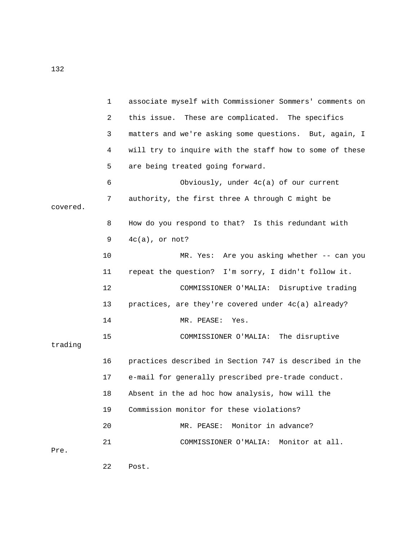| $\mathbf{1}$  | associate myself with Commissioner Sommers' comments on |
|---------------|---------------------------------------------------------|
| 2             | this issue. These are complicated. The specifics        |
| 3             | matters and we're asking some questions. But, again, I  |
| 4             | will try to inquire with the staff how to some of these |
| 5             | are being treated going forward.                        |
| 6             | Obviously, under 4c(a) of our current                   |
| 7<br>covered. | authority, the first three A through C might be         |
| 8             | How do you respond to that? Is this redundant with      |
| 9             | $4c(a)$ , or not?                                       |
| 10            | MR. Yes: Are you asking whether -- can you              |
| 11            | repeat the question? I'm sorry, I didn't follow it.     |
| 12            | COMMISSIONER O'MALIA: Disruptive trading                |
| 13            | practices, are they're covered under $4c(a)$ already?   |
| 14            | MR. PEASE:<br>Yes.                                      |
| 15<br>trading | COMMISSIONER O'MALIA: The disruptive                    |
| 16            | practices described in Section 747 is described in the  |
| 17            | e-mail for generally prescribed pre-trade conduct.      |
| 18            | Absent in the ad hoc how analysis, how will the         |
| 19            | Commission monitor for these violations?                |
| 20            | Monitor in advance?<br>MR. PEASE:                       |
| 21<br>Pre.    | Monitor at all.<br>COMMISSIONER O'MALIA:                |

22 Post.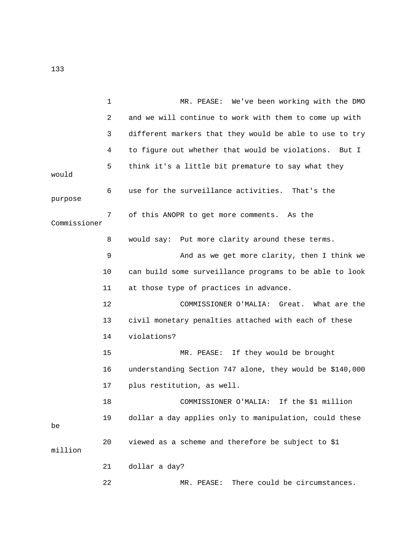1 MR. PEASE: We've been working with the DMO 2 and we will continue to work with them to come up with 3 different markers that they would be able to use to try 4 to figure out whether that would be violations. But I 5 think it's a little bit premature to say what they would 6 use for the surveillance activities. That's the purpose 7 of this ANOPR to get more comments. As the Commissioner 8 would say: Put more clarity around these terms. 9 And as we get more clarity, then I think we 10 can build some surveillance programs to be able to look 11 at those type of practices in advance. 12 COMMISSIONER O'MALIA: Great. What are the 13 civil monetary penalties attached with each of these 14 violations? 15 MR. PEASE: If they would be brought 16 understanding Section 747 alone, they would be \$140,000 17 plus restitution, as well. 18 COMMISSIONER O'MALIA: If the \$1 million 19 dollar a day applies only to manipulation, could these be 20 viewed as a scheme and therefore be subject to \$1 million 21 dollar a day? 22 MR. PEASE: There could be circumstances.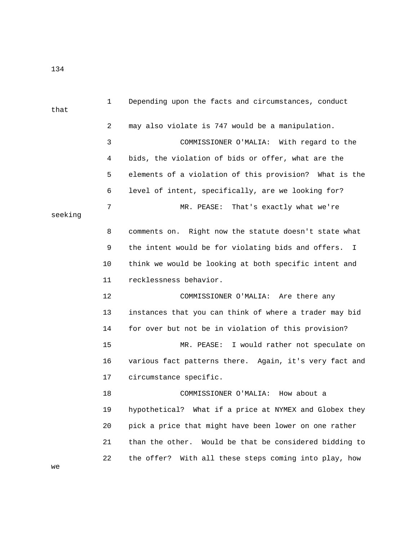1 Depending upon the facts and circumstances, conduct that 2 may also violate is 747 would be a manipulation. 3 COMMISSIONER O'MALIA: With regard to the 4 bids, the violation of bids or offer, what are the 5 elements of a violation of this provision? What is the 6 level of intent, specifically, are we looking for? 7 MR. PEASE: That's exactly what we're seeking 8 comments on. Right now the statute doesn't state what 9 the intent would be for violating bids and offers. I 10 think we would be looking at both specific intent and 11 recklessness behavior. 12 COMMISSIONER O'MALIA: Are there any 13 instances that you can think of where a trader may bid 14 for over but not be in violation of this provision? 15 MR. PEASE: I would rather not speculate on 16 various fact patterns there. Again, it's very fact and 17 circumstance specific. 18 COMMISSIONER O'MALIA: How about a 19 hypothetical? What if a price at NYMEX and Globex they 20 pick a price that might have been lower on one rather 21 than the other. Would be that be considered bidding to 22 the offer? With all these steps coming into play, how we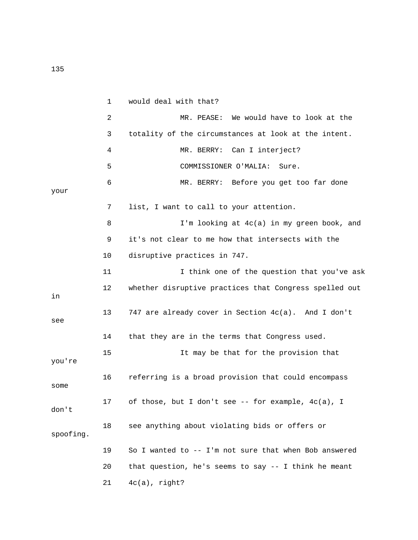1 would deal with that? 2 MR. PEASE: We would have to look at the 3 totality of the circumstances at look at the intent. 4 MR. BERRY: Can I interject? 5 COMMISSIONER O'MALIA: Sure. 6 MR. BERRY: Before you get too far done your 7 list, I want to call to your attention. 8 I'm looking at 4c(a) in my green book, and 9 it's not clear to me how that intersects with the 10 disruptive practices in 747. 11 I think one of the question that you've ask 12 whether disruptive practices that Congress spelled out in 13 747 are already cover in Section 4c(a). And I don't see 14 that they are in the terms that Congress used. 15 It may be that for the provision that you're 16 referring is a broad provision that could encompass some 17 of those, but I don't see -- for example, 4c(a), I don't 18 see anything about violating bids or offers or spoofing. 19 So I wanted to -- I'm not sure that when Bob answered 20 that question, he's seems to say -- I think he meant 21 4c(a), right?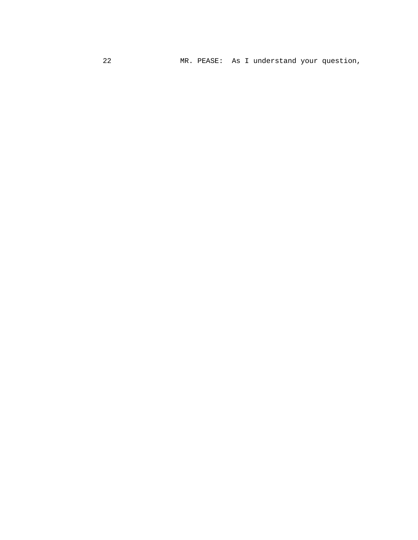22 MR. PEASE: As I understand your question,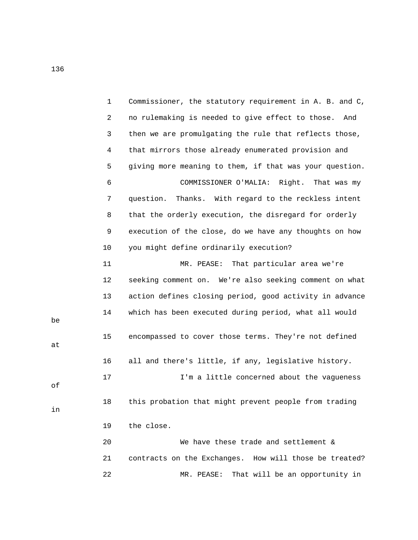|    | $\mathbf 1$ | Commissioner, the statutory requirement in A. B. and C, |
|----|-------------|---------------------------------------------------------|
|    | 2           | no rulemaking is needed to give effect to those.<br>And |
|    | 3           | then we are promulgating the rule that reflects those,  |
|    | 4           | that mirrors those already enumerated provision and     |
|    | 5           | giving more meaning to them, if that was your question. |
|    | 6           | COMMISSIONER O'MALIA:<br>Right.<br>That was my          |
|    | 7           | question.<br>Thanks. With regard to the reckless intent |
|    | 8           | that the orderly execution, the disregard for orderly   |
|    | 9           | execution of the close, do we have any thoughts on how  |
|    | 10          | you might define ordinarily execution?                  |
|    | 11          | MR. PEASE: That particular area we're                   |
|    | 12          | seeking comment on. We're also seeking comment on what  |
|    | 13          | action defines closing period, good activity in advance |
| be | 14          | which has been executed during period, what all would   |
| at | 15          | encompassed to cover those terms. They're not defined   |
|    | 16          | all and there's little, if any, legislative history.    |
| оf | 17          | I'm a little concerned about the vagueness              |
| in | 18          | this probation that might prevent people from trading   |
|    | 19          | the close.                                              |
|    | 20          | We have these trade and settlement &                    |
|    | 21          | contracts on the Exchanges. How will those be treated?  |
|    | 22          | That will be an opportunity in<br>MR. PEASE:            |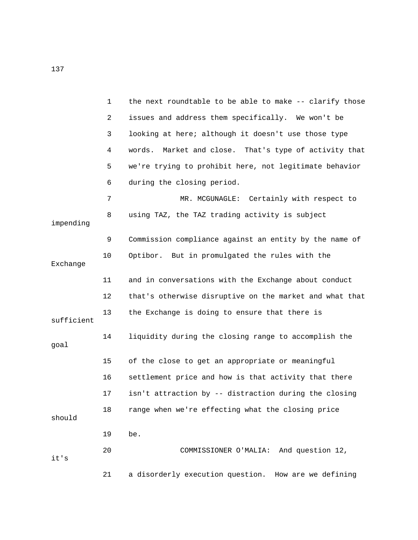|            | $\mathbf{1}$   | the next roundtable to be able to make -- clarify those  |
|------------|----------------|----------------------------------------------------------|
|            | $\overline{a}$ | issues and address them specifically. We won't be        |
|            | 3              | looking at here; although it doesn't use those type      |
|            | 4              | Market and close. That's type of activity that<br>words. |
|            | 5              | we're trying to prohibit here, not legitimate behavior   |
|            | 6              | during the closing period.                               |
|            | 7              | MR. MCGUNAGLE: Certainly with respect to                 |
| impending  | 8              | using TAZ, the TAZ trading activity is subject           |
|            | 9              | Commission compliance against an entity by the name of   |
| Exchange   | 10             | Optibor. But in promulgated the rules with the           |
|            | 11             | and in conversations with the Exchange about conduct     |
|            | 12             | that's otherwise disruptive on the market and what that  |
| sufficient | 13             | the Exchange is doing to ensure that there is            |
| goal       | 14             | liquidity during the closing range to accomplish the     |
|            | 15             | of the close to get an appropriate or meaningful         |
|            | 16             | settlement price and how is that activity that there     |
|            | 17             | isn't attraction by -- distraction during the closing    |
| should     | 18             | range when we're effecting what the closing price        |
|            | 19             | be.                                                      |
| it's       | 20             | And question 12,<br>COMMISSIONER O'MALIA:                |
|            | 21             | a disorderly execution question.<br>How are we defining  |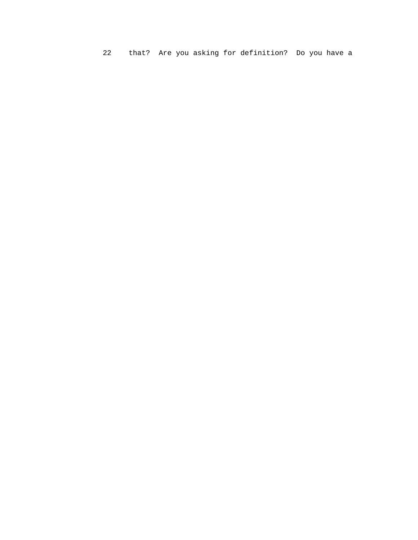that? Are you asking for definition? Do you have a  $22$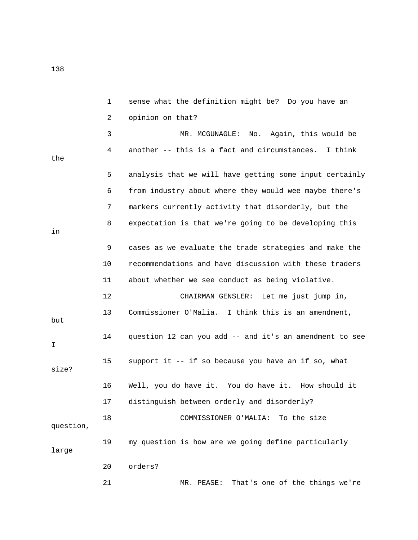1 sense what the definition might be? Do you have an 2 opinion on that? 3 MR. MCGUNAGLE: No. Again, this would be 4 another -- this is a fact and circumstances. I think the 5 analysis that we will have getting some input certainly 6 from industry about where they would wee maybe there's 7 markers currently activity that disorderly, but the 8 expectation is that we're going to be developing this in 9 cases as we evaluate the trade strategies and make the 10 recommendations and have discussion with these traders 11 about whether we see conduct as being violative. 12 CHAIRMAN GENSLER: Let me just jump in, 13 Commissioner O'Malia. I think this is an amendment, but 14 question 12 can you add -- and it's an amendment to see I 15 support it -- if so because you have an if so, what size? 16 Well, you do have it. You do have it. How should it 17 distinguish between orderly and disorderly? 18 COMMISSIONER O'MALIA: To the size question, 19 my question is how are we going define particularly large 20 orders? 21 MR. PEASE: That's one of the things we're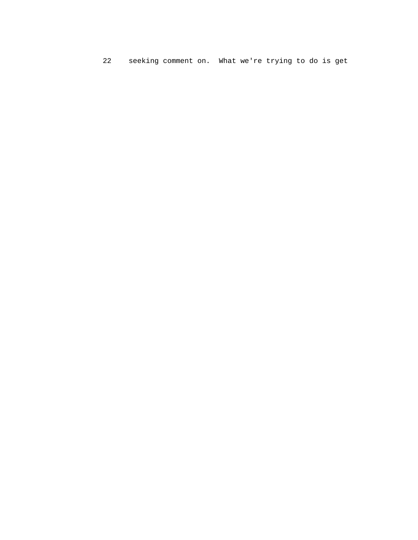22 seeking comment on. What we're trying to do is get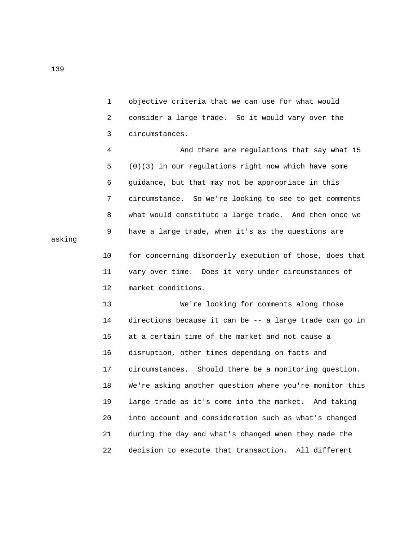1 objective criteria that we can use for what would 2 consider a large trade. So it would vary over the 3 circumstances.

 4 And there are regulations that say what 15 5 (0)(3) in our regulations right now which have some 6 guidance, but that may not be appropriate in this 7 circumstance. So we're looking to see to get comments 8 what would constitute a large trade. And then once we 9 have a large trade, when it's as the questions are

 10 for concerning disorderly execution of those, does that 11 vary over time. Does it very under circumstances of 12 market conditions.

 13 We're looking for comments along those 14 directions because it can be -- a large trade can go in 15 at a certain time of the market and not cause a 16 disruption, other times depending on facts and 17 circumstances. Should there be a monitoring question. 18 We're asking another question where you're monitor this 19 large trade as it's come into the market. And taking 20 into account and consideration such as what's changed 21 during the day and what's changed when they made the 22 decision to execute that transaction. All different

asking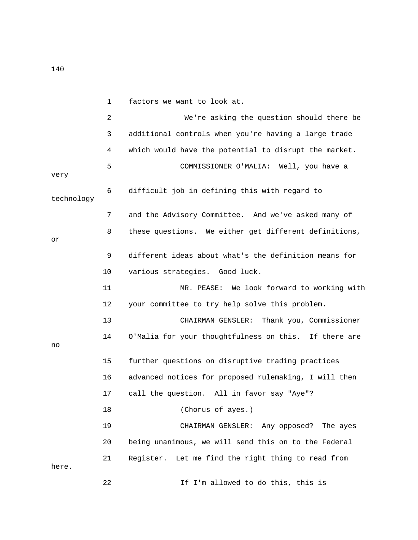|            | 1  | factors we want to look at.                           |
|------------|----|-------------------------------------------------------|
|            | 2  | We're asking the question should there be             |
|            | 3  | additional controls when you're having a large trade  |
|            | 4  | which would have the potential to disrupt the market. |
| very       | 5  | COMMISSIONER O'MALIA: Well, you have a                |
| technology | 6  | difficult job in defining this with regard to         |
|            | 7  | and the Advisory Committee. And we've asked many of   |
| оr         | 8  | these questions. We either get different definitions, |
|            | 9  | different ideas about what's the definition means for |
|            | 10 | various strategies. Good luck.                        |
|            | 11 | MR. PEASE: We look forward to working with            |
|            | 12 | your committee to try help solve this problem.        |
|            | 13 | Thank you, Commissioner<br>CHAIRMAN GENSLER:          |
| no         | 14 | O'Malia for your thoughtfulness on this. If there are |
|            | 15 | further questions on disruptive trading practices     |
|            | 16 | advanced notices for proposed rulemaking, I will then |
|            | 17 | call the question. All in favor say "Aye"?            |
|            | 18 | (Chorus of ayes.)                                     |
|            | 19 | CHAIRMAN GENSLER: Any opposed? The ayes               |
|            | 20 | being unanimous, we will send this on to the Federal  |
| here.      | 21 | Register.<br>Let me find the right thing to read from |
|            | 22 | If I'm allowed to do this, this is                    |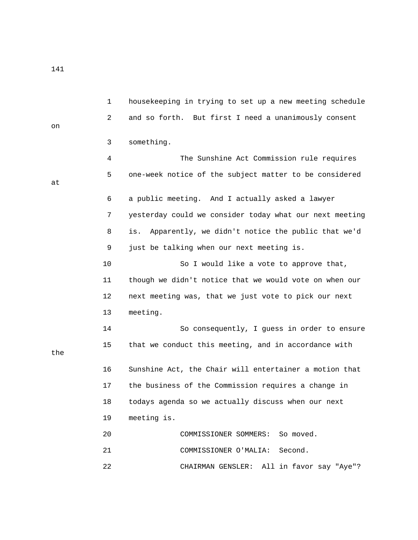141

 1 housekeeping in trying to set up a new meeting schedule 2 and so forth. But first I need a unanimously consent on 3 something. 4 The Sunshine Act Commission rule requires 5 one-week notice of the subject matter to be considered at 6 a public meeting. And I actually asked a lawyer 7 yesterday could we consider today what our next meeting 8 is. Apparently, we didn't notice the public that we'd 9 just be talking when our next meeting is. 10 So I would like a vote to approve that, 11 though we didn't notice that we would vote on when our 12 next meeting was, that we just vote to pick our next 13 meeting. 14 So consequently, I guess in order to ensure 15 that we conduct this meeting, and in accordance with the 16 Sunshine Act, the Chair will entertainer a motion that 17 the business of the Commission requires a change in 18 todays agenda so we actually discuss when our next 19 meeting is. 20 COMMISSIONER SOMMERS: So moved. 21 COMMISSIONER O'MALIA: Second. 22 CHAIRMAN GENSLER: All in favor say "Aye"?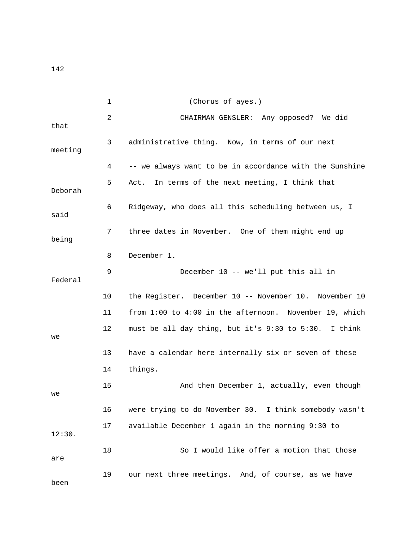1 (Chorus of ayes.) 2 CHAIRMAN GENSLER: Any opposed? We did that 3 administrative thing. Now, in terms of our next meeting 4 -- we always want to be in accordance with the Sunshine 5 Act. In terms of the next meeting, I think that Deborah 6 Ridgeway, who does all this scheduling between us, I said 7 three dates in November. One of them might end up being 8 December 1. 9 December 10 -- we'll put this all in Federal 10 the Register. December 10 -- November 10. November 10 11 from 1:00 to 4:00 in the afternoon. November 19, which 12 must be all day thing, but it's 9:30 to 5:30. I think we 13 have a calendar here internally six or seven of these 14 things. 15 And then December 1, actually, even though we 16 were trying to do November 30. I think somebody wasn't 17 available December 1 again in the morning 9:30 to 12:30. 18 So I would like offer a motion that those are 19 our next three meetings. And, of course, as we have been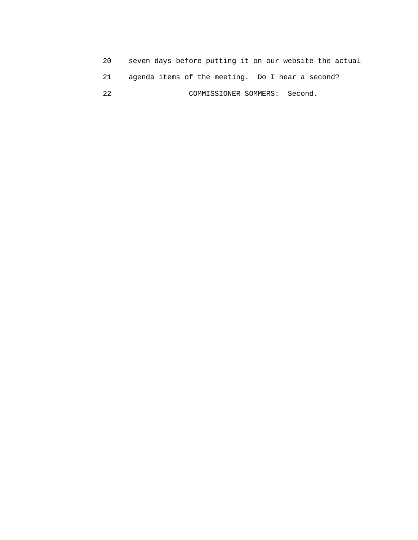| 20 | seven days before putting it on our website the actual |
|----|--------------------------------------------------------|
|    | agenda items of the meeting. Do I hear a second?       |
| つつ | COMMISSIONER SOMMERS: Second.                          |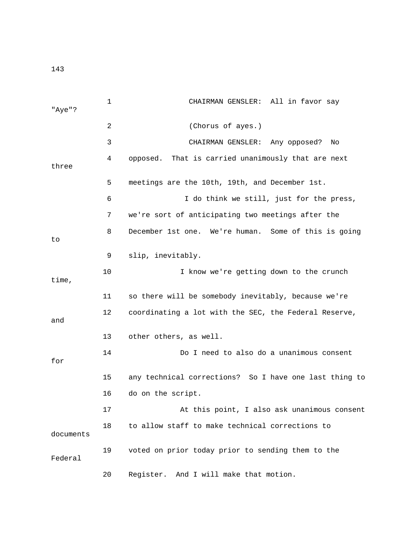| "Aye"?    | 1  | CHAIRMAN GENSLER: All in favor say                     |
|-----------|----|--------------------------------------------------------|
|           | 2  | (Chorus of ayes.)                                      |
|           | 3  | CHAIRMAN GENSLER: Any opposed?<br>No                   |
| three     | 4  | That is carried unanimously that are next<br>opposed.  |
|           | 5  | meetings are the 10th, 19th, and December 1st.         |
|           | 6  | I do think we still, just for the press,               |
|           | 7  | we're sort of anticipating two meetings after the      |
| to        | 8  | December 1st one. We're human. Some of this is going   |
|           | 9  | slip, inevitably.                                      |
| time,     | 10 | I know we're getting down to the crunch                |
|           | 11 | so there will be somebody inevitably, because we're    |
| and       | 12 | coordinating a lot with the SEC, the Federal Reserve,  |
|           | 13 | other others, as well.                                 |
| for       | 14 | Do I need to also do a unanimous consent               |
|           | 15 | any technical corrections? So I have one last thing to |
|           | 16 | do on the script.                                      |
|           | 17 | At this point, I also ask unanimous consent            |
| documents | 18 | to allow staff to make technical corrections to        |
| Federal   | 19 | voted on prior today prior to sending them to the      |
|           | 20 | Register.<br>And I will make that motion.              |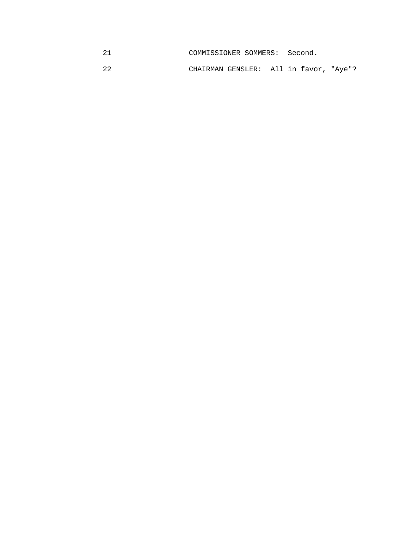| COMMISSIONER SOMMERS: | Second. |
|-----------------------|---------|
|                       |         |

22 CHAIRMAN GENSLER: All in favor, "Aye"?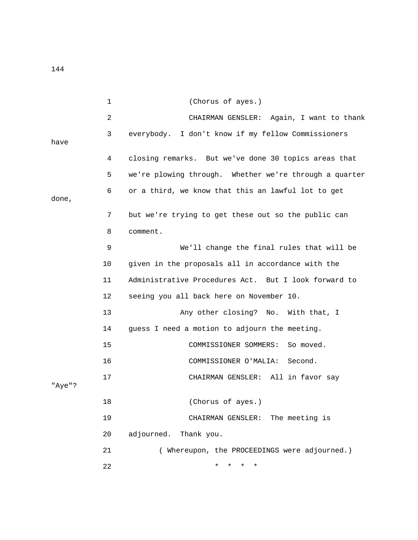1 (Chorus of ayes.) 2 CHAIRMAN GENSLER: Again, I want to thank 3 everybody. I don't know if my fellow Commissioners have 4 closing remarks. But we've done 30 topics areas that 5 we're plowing through. Whether we're through a quarter 6 or a third, we know that this an lawful lot to get done, 7 but we're trying to get these out so the public can 8 comment. 9 We'll change the final rules that will be 10 given in the proposals all in accordance with the 11 Administrative Procedures Act. But I look forward to 12 seeing you all back here on November 10. 13 Any other closing? No. With that, I 14 guess I need a motion to adjourn the meeting. 15 COMMISSIONER SOMMERS: So moved. 16 COMMISSIONER O'MALIA: Second. 17 CHAIRMAN GENSLER: All in favor say "Aye"? 18 (Chorus of ayes.) 19 CHAIRMAN GENSLER: The meeting is 20 adjourned. Thank you. 21 ( Whereupon, the PROCEEDINGS were adjourned.) 22 \* \* \* \*